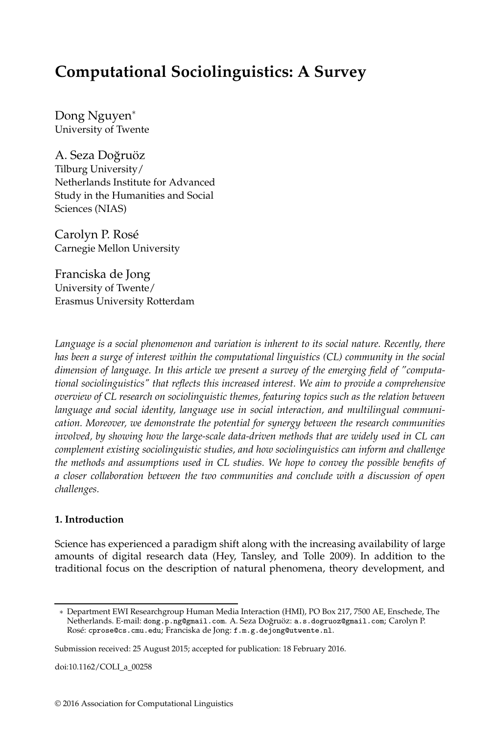# **Computational Sociolinguistics: A Survey**

Dong Nguyen<sup>∗</sup> University of Twente

A. Seza Doğruöz Tilburg University/ Netherlands Institute for Advanced Study in the Humanities and Social Sciences (NIAS)

Carolyn P. Rosé Carnegie Mellon University

Franciska de Jong University of Twente/ Erasmus University Rotterdam

*Language is a social phenomenon and variation is inherent to its social nature. Recently, there has been a surge of interest within the computational linguistics (CL) community in the social dimension of language. In this article we present a survey of the emerging field of "computational sociolinguistics" that reflects this increased interest. We aim to provide a comprehensive overview of CL research on sociolinguistic themes, featuring topics such as the relation between language and social identity, language use in social interaction, and multilingual communication. Moreover, we demonstrate the potential for synergy between the research communities involved, by showing how the large-scale data-driven methods that are widely used in CL can complement existing sociolinguistic studies, and how sociolinguistics can inform and challenge the methods and assumptions used in CL studies. We hope to convey the possible benefits of a closer collaboration between the two communities and conclude with a discussion of open challenges.*

#### **1. Introduction**

Science has experienced a paradigm shift along with the increasing availability of large amounts of digital research data (Hey, Tansley, and Tolle 2009). In addition to the traditional focus on the description of natural phenomena, theory development, and

doi:10.1162/COLI\_a\_00258

<sup>∗</sup> Department EWI Researchgroup Human Media Interaction (HMI), PO Box 217, 7500 AE, Enschede, The Netherlands. E-mail: dong.p.ng@gmai1.com. A. Seza Doğruöz: a.s.dogruoz@gmai1.com; Carolyn P. Rosé: cprose@cs.cmu.edu; Franciska de Jong: f.m.g.dejong@utwente.nl.

Submission received: 25 August 2015; accepted for publication: 18 February 2016.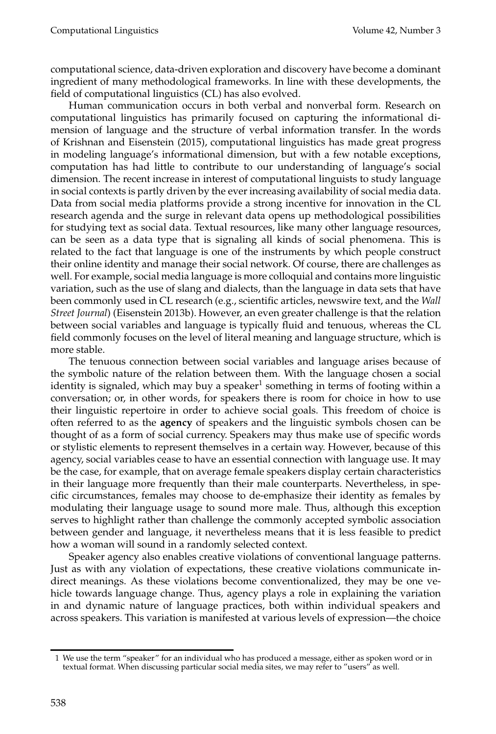computational science, data-driven exploration and discovery have become a dominant ingredient of many methodological frameworks. In line with these developments, the field of computational linguistics (CL) has also evolved.

Human communication occurs in both verbal and nonverbal form. Research on computational linguistics has primarily focused on capturing the informational dimension of language and the structure of verbal information transfer. In the words of Krishnan and Eisenstein (2015), computational linguistics has made great progress in modeling language's informational dimension, but with a few notable exceptions, computation has had little to contribute to our understanding of language's social dimension. The recent increase in interest of computational linguists to study language in social contexts is partly driven by the ever increasing availability of social media data. Data from social media platforms provide a strong incentive for innovation in the CL research agenda and the surge in relevant data opens up methodological possibilities for studying text as social data. Textual resources, like many other language resources, can be seen as a data type that is signaling all kinds of social phenomena. This is related to the fact that language is one of the instruments by which people construct their online identity and manage their social network. Of course, there are challenges as well. For example, social media language is more colloquial and contains more linguistic variation, such as the use of slang and dialects, than the language in data sets that have been commonly used in CL research (e.g., scientific articles, newswire text, and the *Wall Street Journal*) (Eisenstein 2013b). However, an even greater challenge is that the relation between social variables and language is typically fluid and tenuous, whereas the CL field commonly focuses on the level of literal meaning and language structure, which is more stable.

The tenuous connection between social variables and language arises because of the symbolic nature of the relation between them. With the language chosen a social identity is signaled, which may buy a speaker<sup>1</sup> something in terms of footing within a conversation; or, in other words, for speakers there is room for choice in how to use their linguistic repertoire in order to achieve social goals. This freedom of choice is often referred to as the **agency** of speakers and the linguistic symbols chosen can be thought of as a form of social currency. Speakers may thus make use of specific words or stylistic elements to represent themselves in a certain way. However, because of this agency, social variables cease to have an essential connection with language use. It may be the case, for example, that on average female speakers display certain characteristics in their language more frequently than their male counterparts. Nevertheless, in specific circumstances, females may choose to de-emphasize their identity as females by modulating their language usage to sound more male. Thus, although this exception serves to highlight rather than challenge the commonly accepted symbolic association between gender and language, it nevertheless means that it is less feasible to predict how a woman will sound in a randomly selected context.

Speaker agency also enables creative violations of conventional language patterns. Just as with any violation of expectations, these creative violations communicate indirect meanings. As these violations become conventionalized, they may be one vehicle towards language change. Thus, agency plays a role in explaining the variation in and dynamic nature of language practices, both within individual speakers and across speakers. This variation is manifested at various levels of expression—the choice

<sup>1</sup> We use the term "speaker" for an individual who has produced a message, either as spoken word or in textual format. When discussing particular social media sites, we may refer to "users" as well.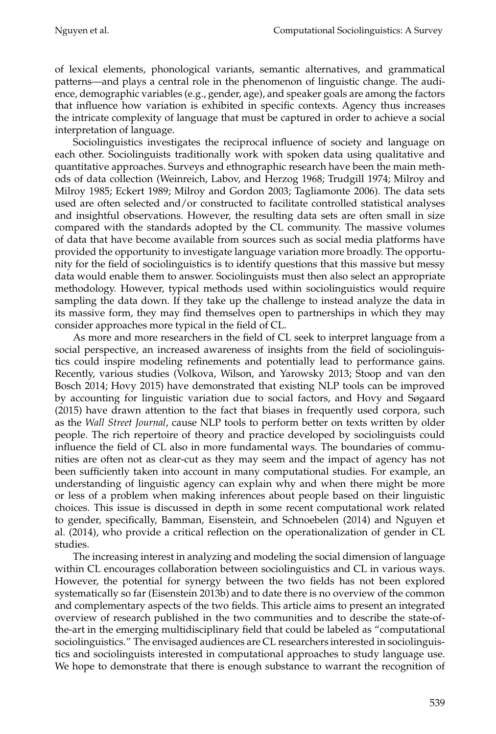of lexical elements, phonological variants, semantic alternatives, and grammatical patterns—and plays a central role in the phenomenon of linguistic change. The audience, demographic variables (e.g., gender, age), and speaker goals are among the factors that influence how variation is exhibited in specific contexts. Agency thus increases the intricate complexity of language that must be captured in order to achieve a social interpretation of language.

Sociolinguistics investigates the reciprocal influence of society and language on each other. Sociolinguists traditionally work with spoken data using qualitative and quantitative approaches. Surveys and ethnographic research have been the main methods of data collection (Weinreich, Labov, and Herzog 1968; Trudgill 1974; Milroy and Milroy 1985; Eckert 1989; Milroy and Gordon 2003; Tagliamonte 2006). The data sets used are often selected and/or constructed to facilitate controlled statistical analyses and insightful observations. However, the resulting data sets are often small in size compared with the standards adopted by the CL community. The massive volumes of data that have become available from sources such as social media platforms have provided the opportunity to investigate language variation more broadly. The opportunity for the field of sociolinguistics is to identify questions that this massive but messy data would enable them to answer. Sociolinguists must then also select an appropriate methodology. However, typical methods used within sociolinguistics would require sampling the data down. If they take up the challenge to instead analyze the data in its massive form, they may find themselves open to partnerships in which they may consider approaches more typical in the field of CL.

As more and more researchers in the field of CL seek to interpret language from a social perspective, an increased awareness of insights from the field of sociolinguistics could inspire modeling refinements and potentially lead to performance gains. Recently, various studies (Volkova, Wilson, and Yarowsky 2013; Stoop and van den Bosch 2014; Hovy 2015) have demonstrated that existing NLP tools can be improved by accounting for linguistic variation due to social factors, and Hovy and Søgaard (2015) have drawn attention to the fact that biases in frequently used corpora, such as the *Wall Street Journal*, cause NLP tools to perform better on texts written by older people. The rich repertoire of theory and practice developed by sociolinguists could influence the field of CL also in more fundamental ways. The boundaries of communities are often not as clear-cut as they may seem and the impact of agency has not been sufficiently taken into account in many computational studies. For example, an understanding of linguistic agency can explain why and when there might be more or less of a problem when making inferences about people based on their linguistic choices. This issue is discussed in depth in some recent computational work related to gender, specifically, Bamman, Eisenstein, and Schnoebelen (2014) and Nguyen et al. (2014), who provide a critical reflection on the operationalization of gender in CL studies.

The increasing interest in analyzing and modeling the social dimension of language within CL encourages collaboration between sociolinguistics and CL in various ways. However, the potential for synergy between the two fields has not been explored systematically so far (Eisenstein 2013b) and to date there is no overview of the common and complementary aspects of the two fields. This article aims to present an integrated overview of research published in the two communities and to describe the state-ofthe-art in the emerging multidisciplinary field that could be labeled as "computational sociolinguistics." The envisaged audiences are CL researchers interested in sociolinguistics and sociolinguists interested in computational approaches to study language use. We hope to demonstrate that there is enough substance to warrant the recognition of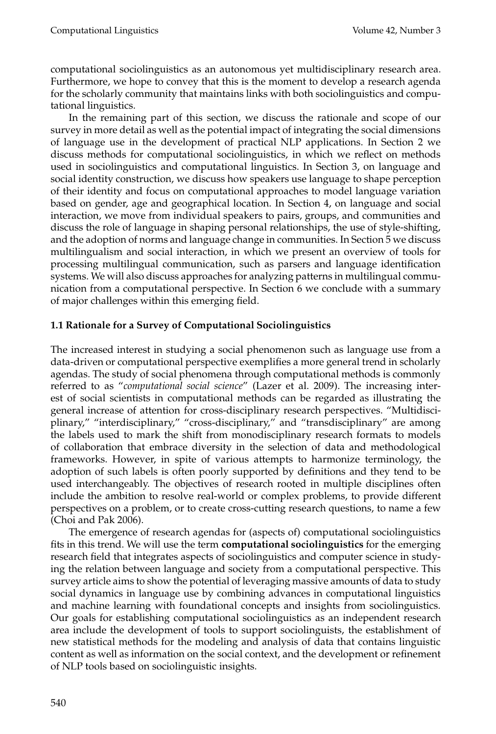computational sociolinguistics as an autonomous yet multidisciplinary research area. Furthermore, we hope to convey that this is the moment to develop a research agenda for the scholarly community that maintains links with both sociolinguistics and computational linguistics.

In the remaining part of this section, we discuss the rationale and scope of our survey in more detail as well as the potential impact of integrating the social dimensions of language use in the development of practical NLP applications. In Section 2 we discuss methods for computational sociolinguistics, in which we reflect on methods used in sociolinguistics and computational linguistics. In Section 3, on language and social identity construction, we discuss how speakers use language to shape perception of their identity and focus on computational approaches to model language variation based on gender, age and geographical location. In Section 4, on language and social interaction, we move from individual speakers to pairs, groups, and communities and discuss the role of language in shaping personal relationships, the use of style-shifting, and the adoption of norms and language change in communities. In Section 5 we discuss multilingualism and social interaction, in which we present an overview of tools for processing multilingual communication, such as parsers and language identification systems. We will also discuss approaches for analyzing patterns in multilingual communication from a computational perspective. In Section 6 we conclude with a summary of major challenges within this emerging field.

#### **1.1 Rationale for a Survey of Computational Sociolinguistics**

The increased interest in studying a social phenomenon such as language use from a data-driven or computational perspective exemplifies a more general trend in scholarly agendas. The study of social phenomena through computational methods is commonly referred to as "*computational social science*" (Lazer et al. 2009). The increasing interest of social scientists in computational methods can be regarded as illustrating the general increase of attention for cross-disciplinary research perspectives. "Multidisciplinary," "interdisciplinary," "cross-disciplinary," and "transdisciplinary" are among the labels used to mark the shift from monodisciplinary research formats to models of collaboration that embrace diversity in the selection of data and methodological frameworks. However, in spite of various attempts to harmonize terminology, the adoption of such labels is often poorly supported by definitions and they tend to be used interchangeably. The objectives of research rooted in multiple disciplines often include the ambition to resolve real-world or complex problems, to provide different perspectives on a problem, or to create cross-cutting research questions, to name a few (Choi and Pak 2006).

The emergence of research agendas for (aspects of) computational sociolinguistics fits in this trend. We will use the term **computational sociolinguistics** for the emerging research field that integrates aspects of sociolinguistics and computer science in studying the relation between language and society from a computational perspective. This survey article aims to show the potential of leveraging massive amounts of data to study social dynamics in language use by combining advances in computational linguistics and machine learning with foundational concepts and insights from sociolinguistics. Our goals for establishing computational sociolinguistics as an independent research area include the development of tools to support sociolinguists, the establishment of new statistical methods for the modeling and analysis of data that contains linguistic content as well as information on the social context, and the development or refinement of NLP tools based on sociolinguistic insights.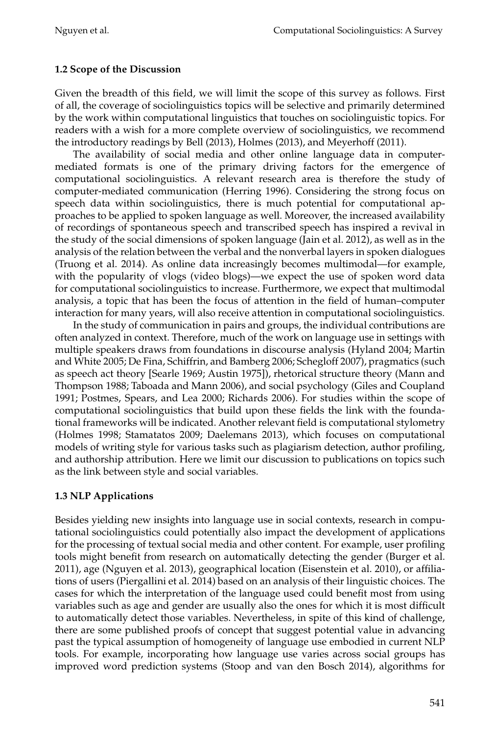#### **1.2 Scope of the Discussion**

Given the breadth of this field, we will limit the scope of this survey as follows. First of all, the coverage of sociolinguistics topics will be selective and primarily determined by the work within computational linguistics that touches on sociolinguistic topics. For readers with a wish for a more complete overview of sociolinguistics, we recommend the introductory readings by Bell (2013), Holmes (2013), and Meyerhoff (2011).

The availability of social media and other online language data in computermediated formats is one of the primary driving factors for the emergence of computational sociolinguistics. A relevant research area is therefore the study of computer-mediated communication (Herring 1996). Considering the strong focus on speech data within sociolinguistics, there is much potential for computational approaches to be applied to spoken language as well. Moreover, the increased availability of recordings of spontaneous speech and transcribed speech has inspired a revival in the study of the social dimensions of spoken language (Jain et al. 2012), as well as in the analysis of the relation between the verbal and the nonverbal layers in spoken dialogues (Truong et al. 2014). As online data increasingly becomes multimodal—for example, with the popularity of vlogs (video blogs)—we expect the use of spoken word data for computational sociolinguistics to increase. Furthermore, we expect that multimodal analysis, a topic that has been the focus of attention in the field of human–computer interaction for many years, will also receive attention in computational sociolinguistics.

In the study of communication in pairs and groups, the individual contributions are often analyzed in context. Therefore, much of the work on language use in settings with multiple speakers draws from foundations in discourse analysis (Hyland 2004; Martin and White 2005; De Fina, Schiffrin, and Bamberg 2006; Schegloff 2007), pragmatics (such as speech act theory [Searle 1969; Austin 1975]), rhetorical structure theory (Mann and Thompson 1988; Taboada and Mann 2006), and social psychology (Giles and Coupland 1991; Postmes, Spears, and Lea 2000; Richards 2006). For studies within the scope of computational sociolinguistics that build upon these fields the link with the foundational frameworks will be indicated. Another relevant field is computational stylometry (Holmes 1998; Stamatatos 2009; Daelemans 2013), which focuses on computational models of writing style for various tasks such as plagiarism detection, author profiling, and authorship attribution. Here we limit our discussion to publications on topics such as the link between style and social variables.

## **1.3 NLP Applications**

Besides yielding new insights into language use in social contexts, research in computational sociolinguistics could potentially also impact the development of applications for the processing of textual social media and other content. For example, user profiling tools might benefit from research on automatically detecting the gender (Burger et al. 2011), age (Nguyen et al. 2013), geographical location (Eisenstein et al. 2010), or affiliations of users (Piergallini et al. 2014) based on an analysis of their linguistic choices. The cases for which the interpretation of the language used could benefit most from using variables such as age and gender are usually also the ones for which it is most difficult to automatically detect those variables. Nevertheless, in spite of this kind of challenge, there are some published proofs of concept that suggest potential value in advancing past the typical assumption of homogeneity of language use embodied in current NLP tools. For example, incorporating how language use varies across social groups has improved word prediction systems (Stoop and van den Bosch 2014), algorithms for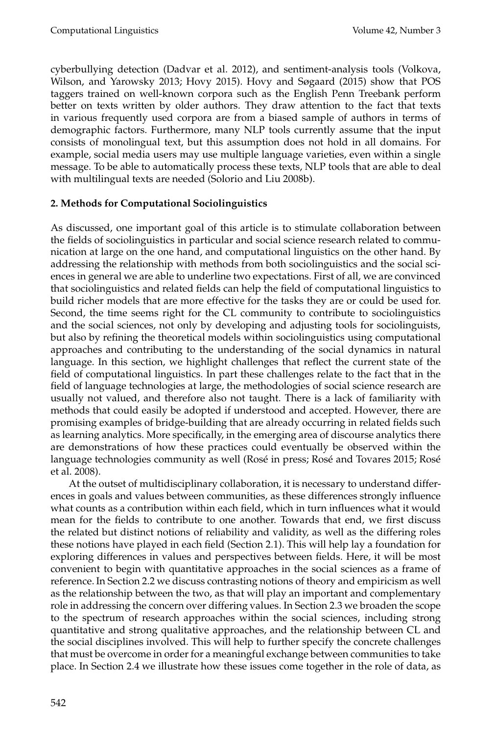cyberbullying detection (Dadvar et al. 2012), and sentiment-analysis tools (Volkova, Wilson, and Yarowsky 2013; Hovy 2015). Hovy and Søgaard (2015) show that POS taggers trained on well-known corpora such as the English Penn Treebank perform better on texts written by older authors. They draw attention to the fact that texts in various frequently used corpora are from a biased sample of authors in terms of demographic factors. Furthermore, many NLP tools currently assume that the input consists of monolingual text, but this assumption does not hold in all domains. For example, social media users may use multiple language varieties, even within a single message. To be able to automatically process these texts, NLP tools that are able to deal with multilingual texts are needed (Solorio and Liu 2008b).

#### **2. Methods for Computational Sociolinguistics**

As discussed, one important goal of this article is to stimulate collaboration between the fields of sociolinguistics in particular and social science research related to communication at large on the one hand, and computational linguistics on the other hand. By addressing the relationship with methods from both sociolinguistics and the social sciences in general we are able to underline two expectations. First of all, we are convinced that sociolinguistics and related fields can help the field of computational linguistics to build richer models that are more effective for the tasks they are or could be used for. Second, the time seems right for the CL community to contribute to sociolinguistics and the social sciences, not only by developing and adjusting tools for sociolinguists, but also by refining the theoretical models within sociolinguistics using computational approaches and contributing to the understanding of the social dynamics in natural language. In this section, we highlight challenges that reflect the current state of the field of computational linguistics. In part these challenges relate to the fact that in the field of language technologies at large, the methodologies of social science research are usually not valued, and therefore also not taught. There is a lack of familiarity with methods that could easily be adopted if understood and accepted. However, there are promising examples of bridge-building that are already occurring in related fields such as learning analytics. More specifically, in the emerging area of discourse analytics there are demonstrations of how these practices could eventually be observed within the language technologies community as well (Rosé in press; Rosé and Tovares 2015; Rosé et al. 2008).

At the outset of multidisciplinary collaboration, it is necessary to understand differences in goals and values between communities, as these differences strongly influence what counts as a contribution within each field, which in turn influences what it would mean for the fields to contribute to one another. Towards that end, we first discuss the related but distinct notions of reliability and validity, as well as the differing roles these notions have played in each field (Section 2.1). This will help lay a foundation for exploring differences in values and perspectives between fields. Here, it will be most convenient to begin with quantitative approaches in the social sciences as a frame of reference. In Section 2.2 we discuss contrasting notions of theory and empiricism as well as the relationship between the two, as that will play an important and complementary role in addressing the concern over differing values. In Section 2.3 we broaden the scope to the spectrum of research approaches within the social sciences, including strong quantitative and strong qualitative approaches, and the relationship between CL and the social disciplines involved. This will help to further specify the concrete challenges that must be overcome in order for a meaningful exchange between communities to take place. In Section 2.4 we illustrate how these issues come together in the role of data, as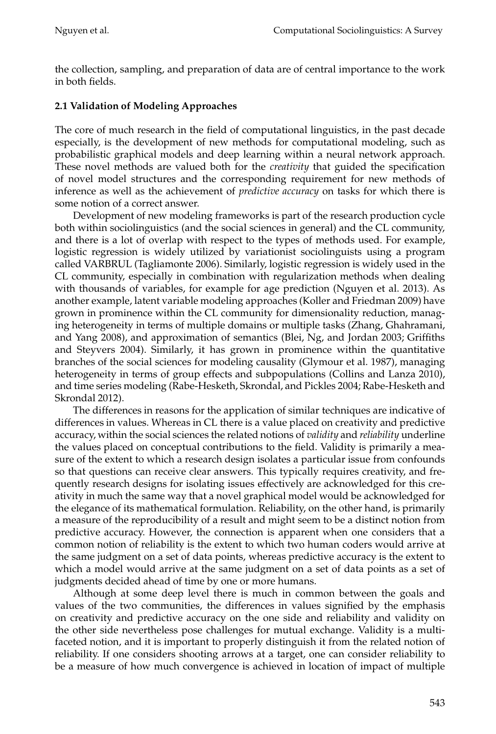the collection, sampling, and preparation of data are of central importance to the work in both fields.

## **2.1 Validation of Modeling Approaches**

The core of much research in the field of computational linguistics, in the past decade especially, is the development of new methods for computational modeling, such as probabilistic graphical models and deep learning within a neural network approach. These novel methods are valued both for the *creativity* that guided the specification of novel model structures and the corresponding requirement for new methods of inference as well as the achievement of *predictive accuracy* on tasks for which there is some notion of a correct answer.

Development of new modeling frameworks is part of the research production cycle both within sociolinguistics (and the social sciences in general) and the CL community, and there is a lot of overlap with respect to the types of methods used. For example, logistic regression is widely utilized by variationist sociolinguists using a program called VARBRUL (Tagliamonte 2006). Similarly, logistic regression is widely used in the CL community, especially in combination with regularization methods when dealing with thousands of variables, for example for age prediction (Nguyen et al. 2013). As another example, latent variable modeling approaches (Koller and Friedman 2009) have grown in prominence within the CL community for dimensionality reduction, managing heterogeneity in terms of multiple domains or multiple tasks (Zhang, Ghahramani, and Yang 2008), and approximation of semantics (Blei, Ng, and Jordan 2003; Griffiths and Steyvers 2004). Similarly, it has grown in prominence within the quantitative branches of the social sciences for modeling causality (Glymour et al. 1987), managing heterogeneity in terms of group effects and subpopulations (Collins and Lanza 2010), and time series modeling (Rabe-Hesketh, Skrondal, and Pickles 2004; Rabe-Hesketh and Skrondal 2012).

The differences in reasons for the application of similar techniques are indicative of differences in values. Whereas in CL there is a value placed on creativity and predictive accuracy, within the social sciences the related notions of *validity* and *reliability* underline the values placed on conceptual contributions to the field. Validity is primarily a measure of the extent to which a research design isolates a particular issue from confounds so that questions can receive clear answers. This typically requires creativity, and frequently research designs for isolating issues effectively are acknowledged for this creativity in much the same way that a novel graphical model would be acknowledged for the elegance of its mathematical formulation. Reliability, on the other hand, is primarily a measure of the reproducibility of a result and might seem to be a distinct notion from predictive accuracy. However, the connection is apparent when one considers that a common notion of reliability is the extent to which two human coders would arrive at the same judgment on a set of data points, whereas predictive accuracy is the extent to which a model would arrive at the same judgment on a set of data points as a set of judgments decided ahead of time by one or more humans.

Although at some deep level there is much in common between the goals and values of the two communities, the differences in values signified by the emphasis on creativity and predictive accuracy on the one side and reliability and validity on the other side nevertheless pose challenges for mutual exchange. Validity is a multifaceted notion, and it is important to properly distinguish it from the related notion of reliability. If one considers shooting arrows at a target, one can consider reliability to be a measure of how much convergence is achieved in location of impact of multiple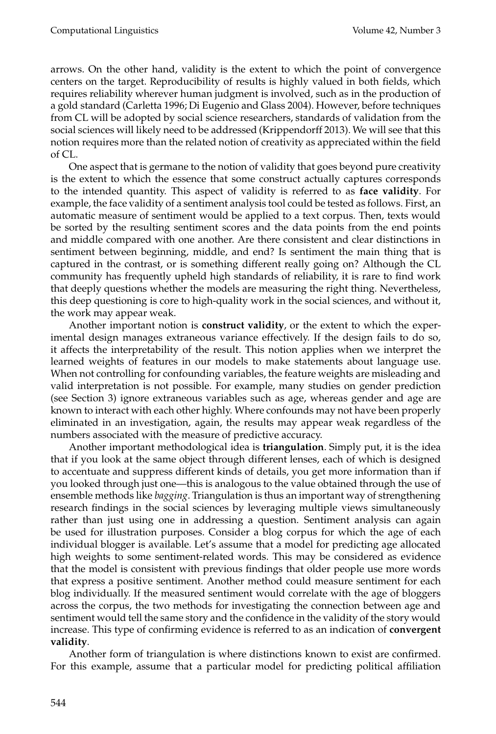arrows. On the other hand, validity is the extent to which the point of convergence centers on the target. Reproducibility of results is highly valued in both fields, which requires reliability wherever human judgment is involved, such as in the production of a gold standard (Carletta 1996; Di Eugenio and Glass 2004). However, before techniques from CL will be adopted by social science researchers, standards of validation from the social sciences will likely need to be addressed (Krippendorff 2013). We will see that this notion requires more than the related notion of creativity as appreciated within the field of CL.

One aspect that is germane to the notion of validity that goes beyond pure creativity is the extent to which the essence that some construct actually captures corresponds to the intended quantity. This aspect of validity is referred to as **face validity**. For example, the face validity of a sentiment analysis tool could be tested as follows. First, an automatic measure of sentiment would be applied to a text corpus. Then, texts would be sorted by the resulting sentiment scores and the data points from the end points and middle compared with one another. Are there consistent and clear distinctions in sentiment between beginning, middle, and end? Is sentiment the main thing that is captured in the contrast, or is something different really going on? Although the CL community has frequently upheld high standards of reliability, it is rare to find work that deeply questions whether the models are measuring the right thing. Nevertheless, this deep questioning is core to high-quality work in the social sciences, and without it, the work may appear weak.

Another important notion is **construct validity**, or the extent to which the experimental design manages extraneous variance effectively. If the design fails to do so, it affects the interpretability of the result. This notion applies when we interpret the learned weights of features in our models to make statements about language use. When not controlling for confounding variables, the feature weights are misleading and valid interpretation is not possible. For example, many studies on gender prediction (see Section 3) ignore extraneous variables such as age, whereas gender and age are known to interact with each other highly. Where confounds may not have been properly eliminated in an investigation, again, the results may appear weak regardless of the numbers associated with the measure of predictive accuracy.

Another important methodological idea is **triangulation**. Simply put, it is the idea that if you look at the same object through different lenses, each of which is designed to accentuate and suppress different kinds of details, you get more information than if you looked through just one—this is analogous to the value obtained through the use of ensemble methods like *bagging*. Triangulation is thus an important way of strengthening research findings in the social sciences by leveraging multiple views simultaneously rather than just using one in addressing a question. Sentiment analysis can again be used for illustration purposes. Consider a blog corpus for which the age of each individual blogger is available. Let's assume that a model for predicting age allocated high weights to some sentiment-related words. This may be considered as evidence that the model is consistent with previous findings that older people use more words that express a positive sentiment. Another method could measure sentiment for each blog individually. If the measured sentiment would correlate with the age of bloggers across the corpus, the two methods for investigating the connection between age and sentiment would tell the same story and the confidence in the validity of the story would increase. This type of confirming evidence is referred to as an indication of **convergent validity**.

Another form of triangulation is where distinctions known to exist are confirmed. For this example, assume that a particular model for predicting political affiliation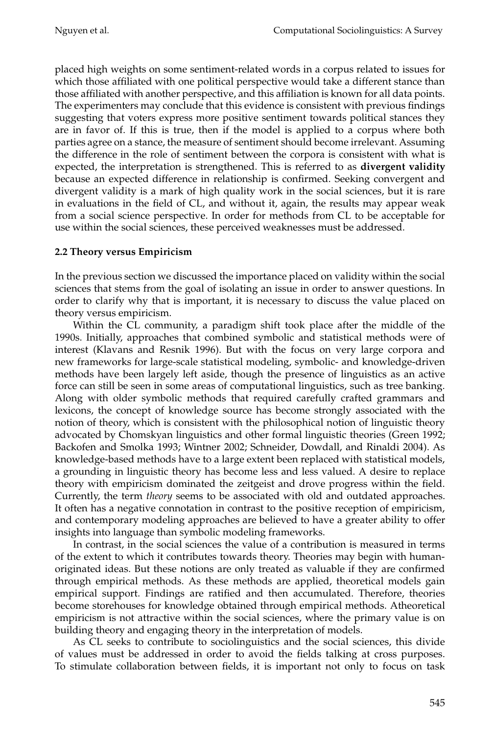placed high weights on some sentiment-related words in a corpus related to issues for which those affiliated with one political perspective would take a different stance than those affiliated with another perspective, and this affiliation is known for all data points. The experimenters may conclude that this evidence is consistent with previous findings suggesting that voters express more positive sentiment towards political stances they are in favor of. If this is true, then if the model is applied to a corpus where both parties agree on a stance, the measure of sentiment should become irrelevant. Assuming the difference in the role of sentiment between the corpora is consistent with what is expected, the interpretation is strengthened. This is referred to as **divergent validity** because an expected difference in relationship is confirmed. Seeking convergent and divergent validity is a mark of high quality work in the social sciences, but it is rare in evaluations in the field of CL, and without it, again, the results may appear weak from a social science perspective. In order for methods from CL to be acceptable for use within the social sciences, these perceived weaknesses must be addressed.

#### **2.2 Theory versus Empiricism**

In the previous section we discussed the importance placed on validity within the social sciences that stems from the goal of isolating an issue in order to answer questions. In order to clarify why that is important, it is necessary to discuss the value placed on theory versus empiricism.

Within the CL community, a paradigm shift took place after the middle of the 1990s. Initially, approaches that combined symbolic and statistical methods were of interest (Klavans and Resnik 1996). But with the focus on very large corpora and new frameworks for large-scale statistical modeling, symbolic- and knowledge-driven methods have been largely left aside, though the presence of linguistics as an active force can still be seen in some areas of computational linguistics, such as tree banking. Along with older symbolic methods that required carefully crafted grammars and lexicons, the concept of knowledge source has become strongly associated with the notion of theory, which is consistent with the philosophical notion of linguistic theory advocated by Chomskyan linguistics and other formal linguistic theories (Green 1992; Backofen and Smolka 1993; Wintner 2002; Schneider, Dowdall, and Rinaldi 2004). As knowledge-based methods have to a large extent been replaced with statistical models, a grounding in linguistic theory has become less and less valued. A desire to replace theory with empiricism dominated the zeitgeist and drove progress within the field. Currently, the term *theory* seems to be associated with old and outdated approaches. It often has a negative connotation in contrast to the positive reception of empiricism, and contemporary modeling approaches are believed to have a greater ability to offer insights into language than symbolic modeling frameworks.

In contrast, in the social sciences the value of a contribution is measured in terms of the extent to which it contributes towards theory. Theories may begin with humanoriginated ideas. But these notions are only treated as valuable if they are confirmed through empirical methods. As these methods are applied, theoretical models gain empirical support. Findings are ratified and then accumulated. Therefore, theories become storehouses for knowledge obtained through empirical methods. Atheoretical empiricism is not attractive within the social sciences, where the primary value is on building theory and engaging theory in the interpretation of models.

As CL seeks to contribute to sociolinguistics and the social sciences, this divide of values must be addressed in order to avoid the fields talking at cross purposes. To stimulate collaboration between fields, it is important not only to focus on task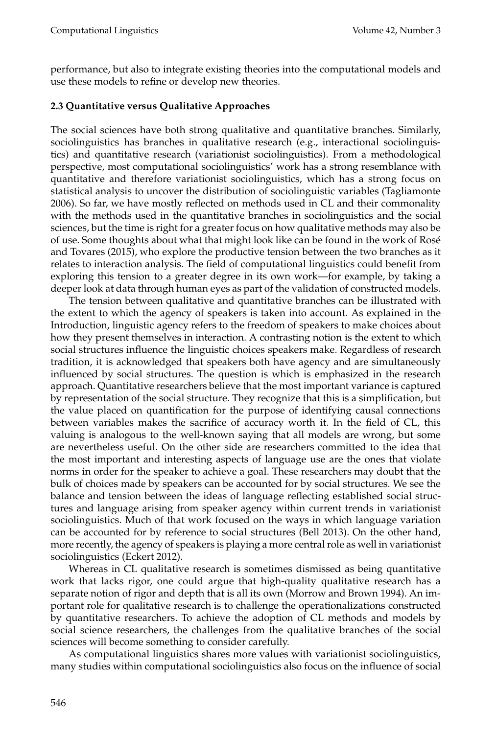performance, but also to integrate existing theories into the computational models and use these models to refine or develop new theories.

#### **2.3 Quantitative versus Qualitative Approaches**

The social sciences have both strong qualitative and quantitative branches. Similarly, sociolinguistics has branches in qualitative research (e.g., interactional sociolinguistics) and quantitative research (variationist sociolinguistics). From a methodological perspective, most computational sociolinguistics' work has a strong resemblance with quantitative and therefore variationist sociolinguistics, which has a strong focus on statistical analysis to uncover the distribution of sociolinguistic variables (Tagliamonte 2006). So far, we have mostly reflected on methods used in CL and their commonality with the methods used in the quantitative branches in sociolinguistics and the social sciences, but the time is right for a greater focus on how qualitative methods may also be of use. Some thoughts about what that might look like can be found in the work of Rosé and Tovares (2015), who explore the productive tension between the two branches as it relates to interaction analysis. The field of computational linguistics could benefit from exploring this tension to a greater degree in its own work—for example, by taking a deeper look at data through human eyes as part of the validation of constructed models.

The tension between qualitative and quantitative branches can be illustrated with the extent to which the agency of speakers is taken into account. As explained in the Introduction, linguistic agency refers to the freedom of speakers to make choices about how they present themselves in interaction. A contrasting notion is the extent to which social structures influence the linguistic choices speakers make. Regardless of research tradition, it is acknowledged that speakers both have agency and are simultaneously influenced by social structures. The question is which is emphasized in the research approach. Quantitative researchers believe that the most important variance is captured by representation of the social structure. They recognize that this is a simplification, but the value placed on quantification for the purpose of identifying causal connections between variables makes the sacrifice of accuracy worth it. In the field of CL, this valuing is analogous to the well-known saying that all models are wrong, but some are nevertheless useful. On the other side are researchers committed to the idea that the most important and interesting aspects of language use are the ones that violate norms in order for the speaker to achieve a goal. These researchers may doubt that the bulk of choices made by speakers can be accounted for by social structures. We see the balance and tension between the ideas of language reflecting established social structures and language arising from speaker agency within current trends in variationist sociolinguistics. Much of that work focused on the ways in which language variation can be accounted for by reference to social structures (Bell 2013). On the other hand, more recently, the agency of speakers is playing a more central role as well in variationist sociolinguistics (Eckert 2012).

Whereas in CL qualitative research is sometimes dismissed as being quantitative work that lacks rigor, one could argue that high-quality qualitative research has a separate notion of rigor and depth that is all its own (Morrow and Brown 1994). An important role for qualitative research is to challenge the operationalizations constructed by quantitative researchers. To achieve the adoption of CL methods and models by social science researchers, the challenges from the qualitative branches of the social sciences will become something to consider carefully.

As computational linguistics shares more values with variationist sociolinguistics, many studies within computational sociolinguistics also focus on the influence of social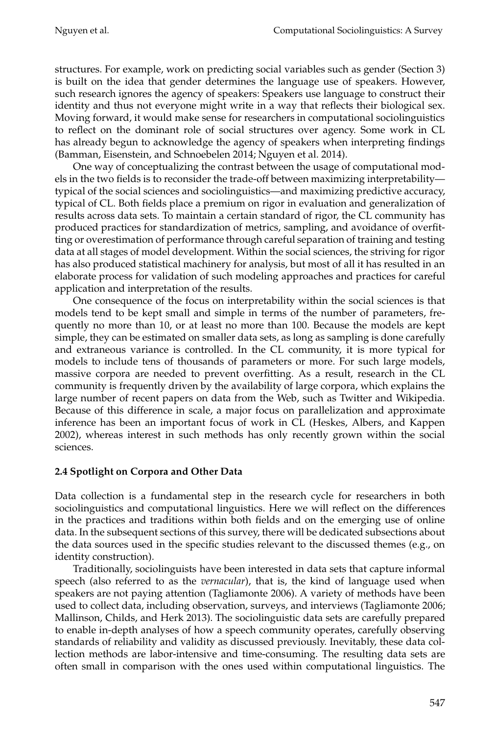structures. For example, work on predicting social variables such as gender (Section 3) is built on the idea that gender determines the language use of speakers. However, such research ignores the agency of speakers: Speakers use language to construct their identity and thus not everyone might write in a way that reflects their biological sex. Moving forward, it would make sense for researchers in computational sociolinguistics to reflect on the dominant role of social structures over agency. Some work in CL has already begun to acknowledge the agency of speakers when interpreting findings (Bamman, Eisenstein, and Schnoebelen 2014; Nguyen et al. 2014).

One way of conceptualizing the contrast between the usage of computational models in the two fields is to reconsider the trade-off between maximizing interpretability typical of the social sciences and sociolinguistics—and maximizing predictive accuracy, typical of CL. Both fields place a premium on rigor in evaluation and generalization of results across data sets. To maintain a certain standard of rigor, the CL community has produced practices for standardization of metrics, sampling, and avoidance of overfitting or overestimation of performance through careful separation of training and testing data at all stages of model development. Within the social sciences, the striving for rigor has also produced statistical machinery for analysis, but most of all it has resulted in an elaborate process for validation of such modeling approaches and practices for careful application and interpretation of the results.

One consequence of the focus on interpretability within the social sciences is that models tend to be kept small and simple in terms of the number of parameters, frequently no more than 10, or at least no more than 100. Because the models are kept simple, they can be estimated on smaller data sets, as long as sampling is done carefully and extraneous variance is controlled. In the CL community, it is more typical for models to include tens of thousands of parameters or more. For such large models, massive corpora are needed to prevent overfitting. As a result, research in the CL community is frequently driven by the availability of large corpora, which explains the large number of recent papers on data from the Web, such as Twitter and Wikipedia. Because of this difference in scale, a major focus on parallelization and approximate inference has been an important focus of work in CL (Heskes, Albers, and Kappen 2002), whereas interest in such methods has only recently grown within the social sciences.

## **2.4 Spotlight on Corpora and Other Data**

Data collection is a fundamental step in the research cycle for researchers in both sociolinguistics and computational linguistics. Here we will reflect on the differences in the practices and traditions within both fields and on the emerging use of online data. In the subsequent sections of this survey, there will be dedicated subsections about the data sources used in the specific studies relevant to the discussed themes (e.g., on identity construction).

Traditionally, sociolinguists have been interested in data sets that capture informal speech (also referred to as the *vernacular*), that is, the kind of language used when speakers are not paying attention (Tagliamonte 2006). A variety of methods have been used to collect data, including observation, surveys, and interviews (Tagliamonte 2006; Mallinson, Childs, and Herk 2013). The sociolinguistic data sets are carefully prepared to enable in-depth analyses of how a speech community operates, carefully observing standards of reliability and validity as discussed previously. Inevitably, these data collection methods are labor-intensive and time-consuming. The resulting data sets are often small in comparison with the ones used within computational linguistics. The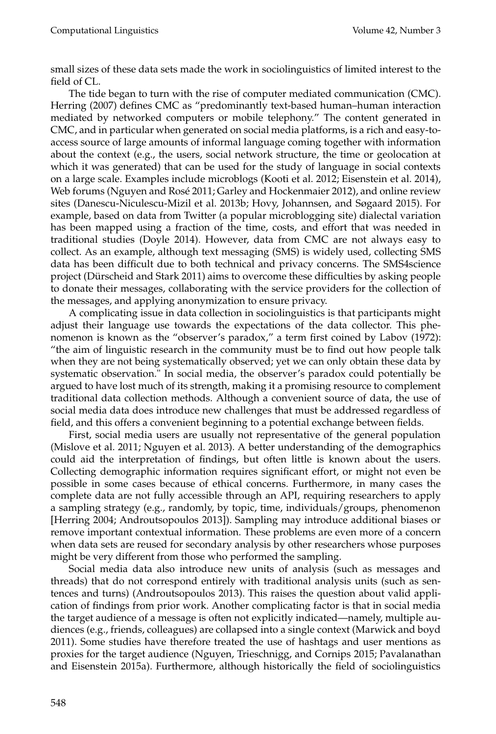small sizes of these data sets made the work in sociolinguistics of limited interest to the field of CL.

The tide began to turn with the rise of computer mediated communication (CMC). Herring (2007) defines CMC as "predominantly text-based human–human interaction mediated by networked computers or mobile telephony." The content generated in CMC, and in particular when generated on social media platforms, is a rich and easy-toaccess source of large amounts of informal language coming together with information about the context (e.g., the users, social network structure, the time or geolocation at which it was generated) that can be used for the study of language in social contexts on a large scale. Examples include microblogs (Kooti et al. 2012; Eisenstein et al. 2014), Web forums (Nguyen and Rosé 2011; Garley and Hockenmaier 2012), and online review sites (Danescu-Niculescu-Mizil et al. 2013b; Hovy, Johannsen, and Søgaard 2015). For example, based on data from Twitter (a popular microblogging site) dialectal variation has been mapped using a fraction of the time, costs, and effort that was needed in traditional studies (Doyle 2014). However, data from CMC are not always easy to collect. As an example, although text messaging (SMS) is widely used, collecting SMS data has been difficult due to both technical and privacy concerns. The SMS4science project (Dürscheid and Stark 2011) aims to overcome these difficulties by asking people to donate their messages, collaborating with the service providers for the collection of the messages, and applying anonymization to ensure privacy.

A complicating issue in data collection in sociolinguistics is that participants might adjust their language use towards the expectations of the data collector. This phenomenon is known as the "observer's paradox," a term first coined by Labov (1972): "the aim of linguistic research in the community must be to find out how people talk when they are not being systematically observed; yet we can only obtain these data by systematic observation." In social media, the observer's paradox could potentially be argued to have lost much of its strength, making it a promising resource to complement traditional data collection methods. Although a convenient source of data, the use of social media data does introduce new challenges that must be addressed regardless of field, and this offers a convenient beginning to a potential exchange between fields.

First, social media users are usually not representative of the general population (Mislove et al. 2011; Nguyen et al. 2013). A better understanding of the demographics could aid the interpretation of findings, but often little is known about the users. Collecting demographic information requires significant effort, or might not even be possible in some cases because of ethical concerns. Furthermore, in many cases the complete data are not fully accessible through an API, requiring researchers to apply a sampling strategy (e.g., randomly, by topic, time, individuals/groups, phenomenon [Herring 2004; Androutsopoulos 2013]). Sampling may introduce additional biases or remove important contextual information. These problems are even more of a concern when data sets are reused for secondary analysis by other researchers whose purposes might be very different from those who performed the sampling.

Social media data also introduce new units of analysis (such as messages and threads) that do not correspond entirely with traditional analysis units (such as sentences and turns) (Androutsopoulos 2013). This raises the question about valid application of findings from prior work. Another complicating factor is that in social media the target audience of a message is often not explicitly indicated—namely, multiple audiences (e.g., friends, colleagues) are collapsed into a single context (Marwick and boyd 2011). Some studies have therefore treated the use of hashtags and user mentions as proxies for the target audience (Nguyen, Trieschnigg, and Cornips 2015; Pavalanathan and Eisenstein 2015a). Furthermore, although historically the field of sociolinguistics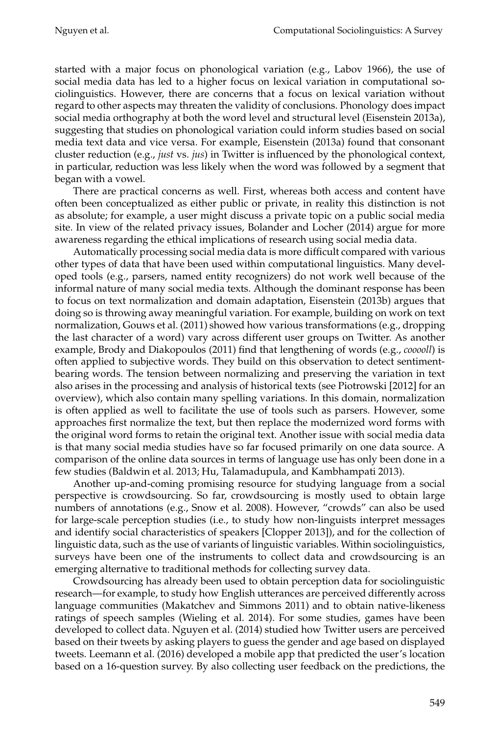started with a major focus on phonological variation (e.g., Labov 1966), the use of social media data has led to a higher focus on lexical variation in computational sociolinguistics. However, there are concerns that a focus on lexical variation without regard to other aspects may threaten the validity of conclusions. Phonology does impact social media orthography at both the word level and structural level (Eisenstein 2013a), suggesting that studies on phonological variation could inform studies based on social media text data and vice versa. For example, Eisenstein (2013a) found that consonant cluster reduction (e.g., *just* vs. *jus*) in Twitter is influenced by the phonological context, in particular, reduction was less likely when the word was followed by a segment that began with a vowel.

There are practical concerns as well. First, whereas both access and content have often been conceptualized as either public or private, in reality this distinction is not as absolute; for example, a user might discuss a private topic on a public social media site. In view of the related privacy issues, Bolander and Locher (2014) argue for more awareness regarding the ethical implications of research using social media data.

Automatically processing social media data is more difficult compared with various other types of data that have been used within computational linguistics. Many developed tools (e.g., parsers, named entity recognizers) do not work well because of the informal nature of many social media texts. Although the dominant response has been to focus on text normalization and domain adaptation, Eisenstein (2013b) argues that doing so is throwing away meaningful variation. For example, building on work on text normalization, Gouws et al. (2011) showed how various transformations (e.g., dropping the last character of a word) vary across different user groups on Twitter. As another example, Brody and Diakopoulos (2011) find that lengthening of words (e.g., *cooooll*) is often applied to subjective words. They build on this observation to detect sentimentbearing words. The tension between normalizing and preserving the variation in text also arises in the processing and analysis of historical texts (see Piotrowski [2012] for an overview), which also contain many spelling variations. In this domain, normalization is often applied as well to facilitate the use of tools such as parsers. However, some approaches first normalize the text, but then replace the modernized word forms with the original word forms to retain the original text. Another issue with social media data is that many social media studies have so far focused primarily on one data source. A comparison of the online data sources in terms of language use has only been done in a few studies (Baldwin et al. 2013; Hu, Talamadupula, and Kambhampati 2013).

Another up-and-coming promising resource for studying language from a social perspective is crowdsourcing. So far, crowdsourcing is mostly used to obtain large numbers of annotations (e.g., Snow et al. 2008). However, "crowds" can also be used for large-scale perception studies (i.e., to study how non-linguists interpret messages and identify social characteristics of speakers [Clopper 2013]), and for the collection of linguistic data, such as the use of variants of linguistic variables. Within sociolinguistics, surveys have been one of the instruments to collect data and crowdsourcing is an emerging alternative to traditional methods for collecting survey data.

Crowdsourcing has already been used to obtain perception data for sociolinguistic research—for example, to study how English utterances are perceived differently across language communities (Makatchev and Simmons 2011) and to obtain native-likeness ratings of speech samples (Wieling et al. 2014). For some studies, games have been developed to collect data. Nguyen et al. (2014) studied how Twitter users are perceived based on their tweets by asking players to guess the gender and age based on displayed tweets. Leemann et al. (2016) developed a mobile app that predicted the user's location based on a 16-question survey. By also collecting user feedback on the predictions, the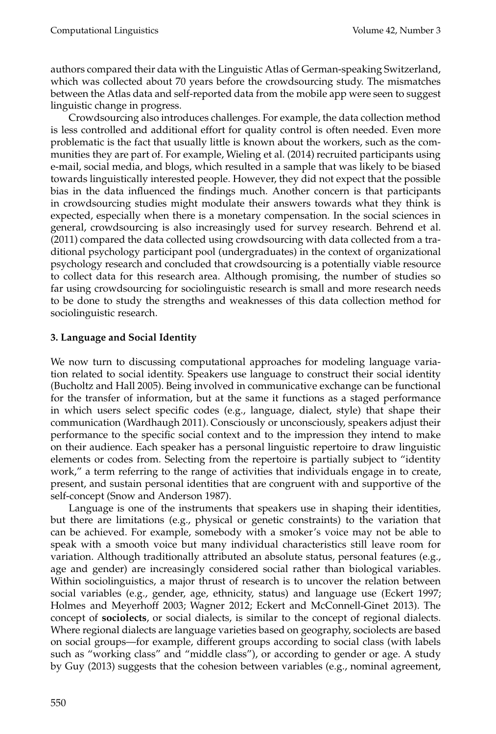authors compared their data with the Linguistic Atlas of German-speaking Switzerland, which was collected about 70 years before the crowdsourcing study. The mismatches between the Atlas data and self-reported data from the mobile app were seen to suggest linguistic change in progress.

Crowdsourcing also introduces challenges. For example, the data collection method is less controlled and additional effort for quality control is often needed. Even more problematic is the fact that usually little is known about the workers, such as the communities they are part of. For example, Wieling et al. (2014) recruited participants using e-mail, social media, and blogs, which resulted in a sample that was likely to be biased towards linguistically interested people. However, they did not expect that the possible bias in the data influenced the findings much. Another concern is that participants in crowdsourcing studies might modulate their answers towards what they think is expected, especially when there is a monetary compensation. In the social sciences in general, crowdsourcing is also increasingly used for survey research. Behrend et al. (2011) compared the data collected using crowdsourcing with data collected from a traditional psychology participant pool (undergraduates) in the context of organizational psychology research and concluded that crowdsourcing is a potentially viable resource to collect data for this research area. Although promising, the number of studies so far using crowdsourcing for sociolinguistic research is small and more research needs to be done to study the strengths and weaknesses of this data collection method for sociolinguistic research.

#### **3. Language and Social Identity**

We now turn to discussing computational approaches for modeling language variation related to social identity. Speakers use language to construct their social identity (Bucholtz and Hall 2005). Being involved in communicative exchange can be functional for the transfer of information, but at the same it functions as a staged performance in which users select specific codes (e.g., language, dialect, style) that shape their communication (Wardhaugh 2011). Consciously or unconsciously, speakers adjust their performance to the specific social context and to the impression they intend to make on their audience. Each speaker has a personal linguistic repertoire to draw linguistic elements or codes from. Selecting from the repertoire is partially subject to "identity work," a term referring to the range of activities that individuals engage in to create, present, and sustain personal identities that are congruent with and supportive of the self-concept (Snow and Anderson 1987).

Language is one of the instruments that speakers use in shaping their identities, but there are limitations (e.g., physical or genetic constraints) to the variation that can be achieved. For example, somebody with a smoker's voice may not be able to speak with a smooth voice but many individual characteristics still leave room for variation. Although traditionally attributed an absolute status, personal features (e.g., age and gender) are increasingly considered social rather than biological variables. Within sociolinguistics, a major thrust of research is to uncover the relation between social variables (e.g., gender, age, ethnicity, status) and language use (Eckert 1997; Holmes and Meyerhoff 2003; Wagner 2012; Eckert and McConnell-Ginet 2013). The concept of **sociolects**, or social dialects, is similar to the concept of regional dialects. Where regional dialects are language varieties based on geography, sociolects are based on social groups—for example, different groups according to social class (with labels such as "working class" and "middle class"), or according to gender or age. A study by Guy (2013) suggests that the cohesion between variables (e.g., nominal agreement,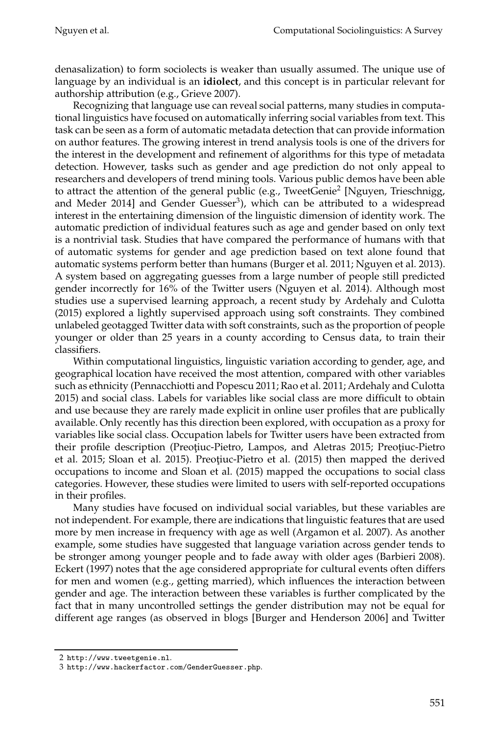denasalization) to form sociolects is weaker than usually assumed. The unique use of language by an individual is an **idiolect**, and this concept is in particular relevant for authorship attribution (e.g., Grieve 2007).

Recognizing that language use can reveal social patterns, many studies in computational linguistics have focused on automatically inferring social variables from text. This task can be seen as a form of automatic metadata detection that can provide information on author features. The growing interest in trend analysis tools is one of the drivers for the interest in the development and refinement of algorithms for this type of metadata detection. However, tasks such as gender and age prediction do not only appeal to researchers and developers of trend mining tools. Various public demos have been able to attract the attention of the general public (e.g., TweetGenie<sup>2</sup> [Nguyen, Trieschnigg, and Meder 2014] and Gender Guesser<sup>3</sup>), which can be attributed to a widespread interest in the entertaining dimension of the linguistic dimension of identity work. The automatic prediction of individual features such as age and gender based on only text is a nontrivial task. Studies that have compared the performance of humans with that of automatic systems for gender and age prediction based on text alone found that automatic systems perform better than humans (Burger et al. 2011; Nguyen et al. 2013). A system based on aggregating guesses from a large number of people still predicted gender incorrectly for 16% of the Twitter users (Nguyen et al. 2014). Although most studies use a supervised learning approach, a recent study by Ardehaly and Culotta (2015) explored a lightly supervised approach using soft constraints. They combined unlabeled geotagged Twitter data with soft constraints, such as the proportion of people younger or older than 25 years in a county according to Census data, to train their classifiers.

Within computational linguistics, linguistic variation according to gender, age, and geographical location have received the most attention, compared with other variables such as ethnicity (Pennacchiotti and Popescu 2011; Rao et al. 2011; Ardehaly and Culotta 2015) and social class. Labels for variables like social class are more difficult to obtain and use because they are rarely made explicit in online user profiles that are publically available. Only recently has this direction been explored, with occupation as a proxy for variables like social class. Occupation labels for Twitter users have been extracted from their profile description (Preoțiuc-Pietro, Lampos, and Aletras 2015; Preoțiuc-Pietro et al. 2015; Sloan et al. 2015). Preoțiuc-Pietro et al. (2015) then mapped the derived occupations to income and Sloan et al. (2015) mapped the occupations to social class categories. However, these studies were limited to users with self-reported occupations in their profiles.

Many studies have focused on individual social variables, but these variables are not independent. For example, there are indications that linguistic features that are used more by men increase in frequency with age as well (Argamon et al. 2007). As another example, some studies have suggested that language variation across gender tends to be stronger among younger people and to fade away with older ages (Barbieri 2008). Eckert (1997) notes that the age considered appropriate for cultural events often differs for men and women (e.g., getting married), which influences the interaction between gender and age. The interaction between these variables is further complicated by the fact that in many uncontrolled settings the gender distribution may not be equal for different age ranges (as observed in blogs [Burger and Henderson 2006] and Twitter

<sup>2</sup> http://www.tweetgenie.nl.

<sup>3</sup> http://www.hackerfactor.com/GenderGuesser.php.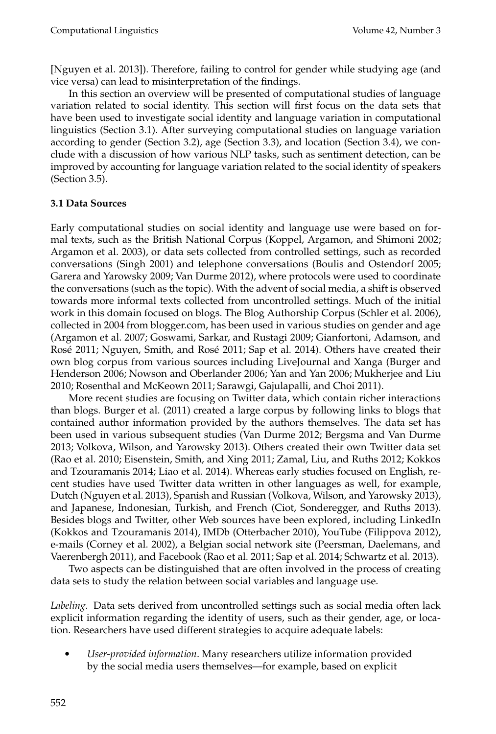[Nguyen et al. 2013]). Therefore, failing to control for gender while studying age (and vice versa) can lead to misinterpretation of the findings.

In this section an overview will be presented of computational studies of language variation related to social identity. This section will first focus on the data sets that have been used to investigate social identity and language variation in computational linguistics (Section 3.1). After surveying computational studies on language variation according to gender (Section 3.2), age (Section 3.3), and location (Section 3.4), we conclude with a discussion of how various NLP tasks, such as sentiment detection, can be improved by accounting for language variation related to the social identity of speakers (Section 3.5).

#### **3.1 Data Sources**

Early computational studies on social identity and language use were based on formal texts, such as the British National Corpus (Koppel, Argamon, and Shimoni 2002; Argamon et al. 2003), or data sets collected from controlled settings, such as recorded conversations (Singh 2001) and telephone conversations (Boulis and Ostendorf 2005; Garera and Yarowsky 2009; Van Durme 2012), where protocols were used to coordinate the conversations (such as the topic). With the advent of social media, a shift is observed towards more informal texts collected from uncontrolled settings. Much of the initial work in this domain focused on blogs. The Blog Authorship Corpus (Schler et al. 2006), collected in 2004 from blogger.com, has been used in various studies on gender and age (Argamon et al. 2007; Goswami, Sarkar, and Rustagi 2009; Gianfortoni, Adamson, and Rosé 2011; Nguyen, Smith, and Rosé 2011; Sap et al. 2014). Others have created their own blog corpus from various sources including LiveJournal and Xanga (Burger and Henderson 2006; Nowson and Oberlander 2006; Yan and Yan 2006; Mukherjee and Liu 2010; Rosenthal and McKeown 2011; Sarawgi, Gajulapalli, and Choi 2011).

More recent studies are focusing on Twitter data, which contain richer interactions than blogs. Burger et al. (2011) created a large corpus by following links to blogs that contained author information provided by the authors themselves. The data set has been used in various subsequent studies (Van Durme 2012; Bergsma and Van Durme 2013; Volkova, Wilson, and Yarowsky 2013). Others created their own Twitter data set (Rao et al. 2010; Eisenstein, Smith, and Xing 2011; Zamal, Liu, and Ruths 2012; Kokkos and Tzouramanis 2014; Liao et al. 2014). Whereas early studies focused on English, recent studies have used Twitter data written in other languages as well, for example, Dutch (Nguyen et al. 2013), Spanish and Russian (Volkova, Wilson, and Yarowsky 2013), and Japanese, Indonesian, Turkish, and French (Ciot, Sonderegger, and Ruths 2013). Besides blogs and Twitter, other Web sources have been explored, including LinkedIn (Kokkos and Tzouramanis 2014), IMDb (Otterbacher 2010), YouTube (Filippova 2012), e-mails (Corney et al. 2002), a Belgian social network site (Peersman, Daelemans, and Vaerenbergh 2011), and Facebook (Rao et al. 2011; Sap et al. 2014; Schwartz et al. 2013).

Two aspects can be distinguished that are often involved in the process of creating data sets to study the relation between social variables and language use.

*Labeling.* Data sets derived from uncontrolled settings such as social media often lack explicit information regarding the identity of users, such as their gender, age, or location. Researchers have used different strategies to acquire adequate labels:

- *User-provided information*. Many researchers utilize information provided by the social media users themselves—for example, based on explicit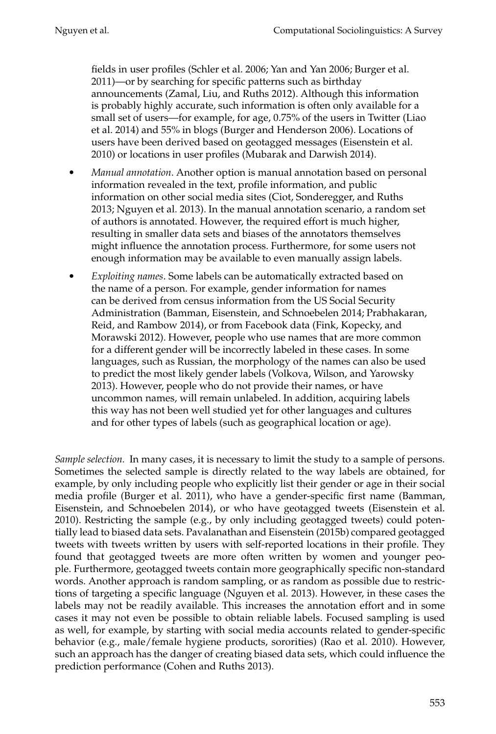fields in user profiles (Schler et al. 2006; Yan and Yan 2006; Burger et al. 2011)—or by searching for specific patterns such as birthday announcements (Zamal, Liu, and Ruths 2012). Although this information is probably highly accurate, such information is often only available for a small set of users—for example, for age, 0.75% of the users in Twitter (Liao et al. 2014) and 55% in blogs (Burger and Henderson 2006). Locations of users have been derived based on geotagged messages (Eisenstein et al. 2010) or locations in user profiles (Mubarak and Darwish 2014).

- - *Manual annotation*. Another option is manual annotation based on personal information revealed in the text, profile information, and public information on other social media sites (Ciot, Sonderegger, and Ruths 2013; Nguyen et al. 2013). In the manual annotation scenario, a random set of authors is annotated. However, the required effort is much higher, resulting in smaller data sets and biases of the annotators themselves might influence the annotation process. Furthermore, for some users not enough information may be available to even manually assign labels.
- - *Exploiting names*. Some labels can be automatically extracted based on the name of a person. For example, gender information for names can be derived from census information from the US Social Security Administration (Bamman, Eisenstein, and Schnoebelen 2014; Prabhakaran, Reid, and Rambow 2014), or from Facebook data (Fink, Kopecky, and Morawski 2012). However, people who use names that are more common for a different gender will be incorrectly labeled in these cases. In some languages, such as Russian, the morphology of the names can also be used to predict the most likely gender labels (Volkova, Wilson, and Yarowsky 2013). However, people who do not provide their names, or have uncommon names, will remain unlabeled. In addition, acquiring labels this way has not been well studied yet for other languages and cultures and for other types of labels (such as geographical location or age).

*Sample selection.* In many cases, it is necessary to limit the study to a sample of persons. Sometimes the selected sample is directly related to the way labels are obtained, for example, by only including people who explicitly list their gender or age in their social media profile (Burger et al. 2011), who have a gender-specific first name (Bamman, Eisenstein, and Schnoebelen 2014), or who have geotagged tweets (Eisenstein et al. 2010). Restricting the sample (e.g., by only including geotagged tweets) could potentially lead to biased data sets. Pavalanathan and Eisenstein (2015b) compared geotagged tweets with tweets written by users with self-reported locations in their profile. They found that geotagged tweets are more often written by women and younger people. Furthermore, geotagged tweets contain more geographically specific non-standard words. Another approach is random sampling, or as random as possible due to restrictions of targeting a specific language (Nguyen et al. 2013). However, in these cases the labels may not be readily available. This increases the annotation effort and in some cases it may not even be possible to obtain reliable labels. Focused sampling is used as well, for example, by starting with social media accounts related to gender-specific behavior (e.g., male/female hygiene products, sororities) (Rao et al. 2010). However, such an approach has the danger of creating biased data sets, which could influence the prediction performance (Cohen and Ruths 2013).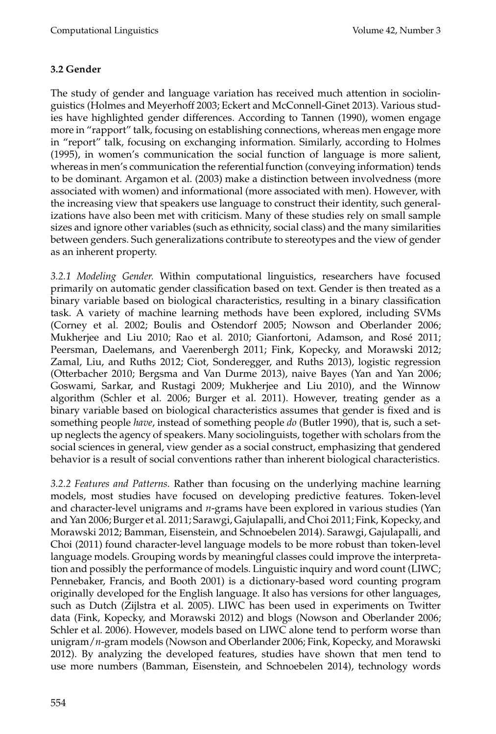## **3.2 Gender**

The study of gender and language variation has received much attention in sociolinguistics (Holmes and Meyerhoff 2003; Eckert and McConnell-Ginet 2013). Various studies have highlighted gender differences. According to Tannen (1990), women engage more in "rapport" talk, focusing on establishing connections, whereas men engage more in "report" talk, focusing on exchanging information. Similarly, according to Holmes (1995), in women's communication the social function of language is more salient, whereas in men's communication the referential function (conveying information) tends to be dominant. Argamon et al. (2003) make a distinction between involvedness (more associated with women) and informational (more associated with men). However, with the increasing view that speakers use language to construct their identity, such generalizations have also been met with criticism. Many of these studies rely on small sample sizes and ignore other variables (such as ethnicity, social class) and the many similarities between genders. Such generalizations contribute to stereotypes and the view of gender as an inherent property.

*3.2.1 Modeling Gender.* Within computational linguistics, researchers have focused primarily on automatic gender classification based on text. Gender is then treated as a binary variable based on biological characteristics, resulting in a binary classification task. A variety of machine learning methods have been explored, including SVMs (Corney et al. 2002; Boulis and Ostendorf 2005; Nowson and Oberlander 2006; Mukherjee and Liu 2010; Rao et al. 2010; Gianfortoni, Adamson, and Rosé 2011; Peersman, Daelemans, and Vaerenbergh 2011; Fink, Kopecky, and Morawski 2012; Zamal, Liu, and Ruths 2012; Ciot, Sonderegger, and Ruths 2013), logistic regression (Otterbacher 2010; Bergsma and Van Durme 2013), naive Bayes (Yan and Yan 2006; Goswami, Sarkar, and Rustagi 2009; Mukherjee and Liu 2010), and the Winnow algorithm (Schler et al. 2006; Burger et al. 2011). However, treating gender as a binary variable based on biological characteristics assumes that gender is fixed and is something people *have*, instead of something people *do* (Butler 1990), that is, such a setup neglects the agency of speakers. Many sociolinguists, together with scholars from the social sciences in general, view gender as a social construct, emphasizing that gendered behavior is a result of social conventions rather than inherent biological characteristics.

*3.2.2 Features and Patterns.* Rather than focusing on the underlying machine learning models, most studies have focused on developing predictive features. Token-level and character-level unigrams and *n*-grams have been explored in various studies (Yan and Yan 2006; Burger et al. 2011; Sarawgi, Gajulapalli, and Choi 2011; Fink, Kopecky, and Morawski 2012; Bamman, Eisenstein, and Schnoebelen 2014). Sarawgi, Gajulapalli, and Choi (2011) found character-level language models to be more robust than token-level language models. Grouping words by meaningful classes could improve the interpretation and possibly the performance of models. Linguistic inquiry and word count (LIWC; Pennebaker, Francis, and Booth 2001) is a dictionary-based word counting program originally developed for the English language. It also has versions for other languages, such as Dutch (Zijlstra et al. 2005). LIWC has been used in experiments on Twitter data (Fink, Kopecky, and Morawski 2012) and blogs (Nowson and Oberlander 2006; Schler et al. 2006). However, models based on LIWC alone tend to perform worse than unigram/*n*-gram models (Nowson and Oberlander 2006; Fink, Kopecky, and Morawski 2012). By analyzing the developed features, studies have shown that men tend to use more numbers (Bamman, Eisenstein, and Schnoebelen 2014), technology words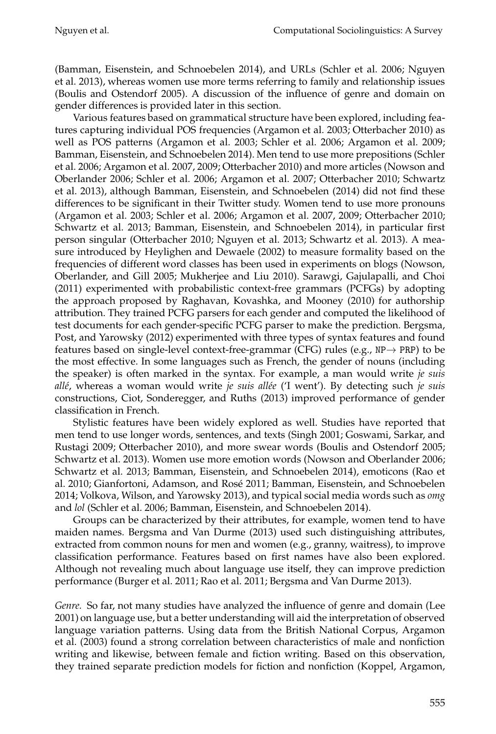(Bamman, Eisenstein, and Schnoebelen 2014), and URLs (Schler et al. 2006; Nguyen et al. 2013), whereas women use more terms referring to family and relationship issues (Boulis and Ostendorf 2005). A discussion of the influence of genre and domain on gender differences is provided later in this section.

Various features based on grammatical structure have been explored, including features capturing individual POS frequencies (Argamon et al. 2003; Otterbacher 2010) as well as POS patterns (Argamon et al. 2003; Schler et al. 2006; Argamon et al. 2009; Bamman, Eisenstein, and Schnoebelen 2014). Men tend to use more prepositions (Schler et al. 2006; Argamon et al. 2007, 2009; Otterbacher 2010) and more articles (Nowson and Oberlander 2006; Schler et al. 2006; Argamon et al. 2007; Otterbacher 2010; Schwartz et al. 2013), although Bamman, Eisenstein, and Schnoebelen (2014) did not find these differences to be significant in their Twitter study. Women tend to use more pronouns (Argamon et al. 2003; Schler et al. 2006; Argamon et al. 2007, 2009; Otterbacher 2010; Schwartz et al. 2013; Bamman, Eisenstein, and Schnoebelen 2014), in particular first person singular (Otterbacher 2010; Nguyen et al. 2013; Schwartz et al. 2013). A measure introduced by Heylighen and Dewaele (2002) to measure formality based on the frequencies of different word classes has been used in experiments on blogs (Nowson, Oberlander, and Gill 2005; Mukherjee and Liu 2010). Sarawgi, Gajulapalli, and Choi (2011) experimented with probabilistic context-free grammars (PCFGs) by adopting the approach proposed by Raghavan, Kovashka, and Mooney (2010) for authorship attribution. They trained PCFG parsers for each gender and computed the likelihood of test documents for each gender-specific PCFG parser to make the prediction. Bergsma, Post, and Yarowsky (2012) experimented with three types of syntax features and found features based on single-level context-free-grammar (CFG) rules (e.g.,  $NP \rightarrow PRP$ ) to be the most effective. In some languages such as French, the gender of nouns (including the speaker) is often marked in the syntax. For example, a man would write *je suis allé*, whereas a woman would write *je suis allée* ('I went'). By detecting such *je suis* constructions, Ciot, Sonderegger, and Ruths (2013) improved performance of gender classification in French.

Stylistic features have been widely explored as well. Studies have reported that men tend to use longer words, sentences, and texts (Singh 2001; Goswami, Sarkar, and Rustagi 2009; Otterbacher 2010), and more swear words (Boulis and Ostendorf 2005; Schwartz et al. 2013). Women use more emotion words (Nowson and Oberlander 2006; Schwartz et al. 2013; Bamman, Eisenstein, and Schnoebelen 2014), emoticons (Rao et al. 2010; Gianfortoni, Adamson, and Rosé 2011; Bamman, Eisenstein, and Schnoebelen 2014; Volkova, Wilson, and Yarowsky 2013), and typical social media words such as *omg* and *lol* (Schler et al. 2006; Bamman, Eisenstein, and Schnoebelen 2014).

Groups can be characterized by their attributes, for example, women tend to have maiden names. Bergsma and Van Durme (2013) used such distinguishing attributes, extracted from common nouns for men and women (e.g., granny, waitress), to improve classification performance. Features based on first names have also been explored. Although not revealing much about language use itself, they can improve prediction performance (Burger et al. 2011; Rao et al. 2011; Bergsma and Van Durme 2013).

*Genre.* So far, not many studies have analyzed the influence of genre and domain (Lee 2001) on language use, but a better understanding will aid the interpretation of observed language variation patterns. Using data from the British National Corpus, Argamon et al. (2003) found a strong correlation between characteristics of male and nonfiction writing and likewise, between female and fiction writing. Based on this observation, they trained separate prediction models for fiction and nonfiction (Koppel, Argamon,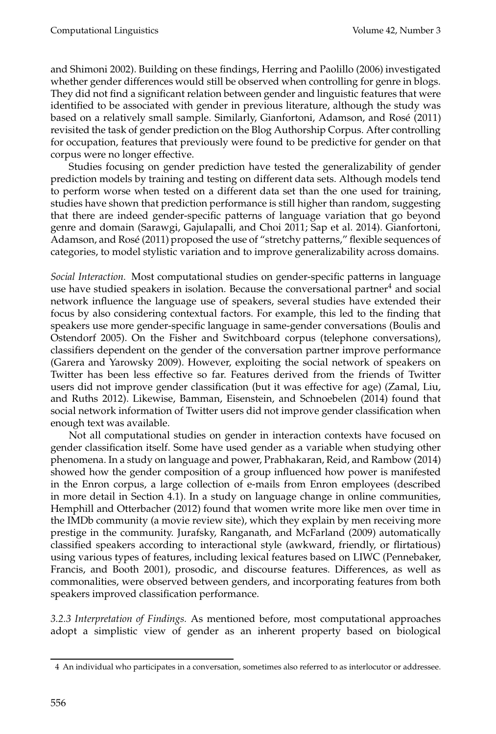and Shimoni 2002). Building on these findings, Herring and Paolillo (2006) investigated whether gender differences would still be observed when controlling for genre in blogs. They did not find a significant relation between gender and linguistic features that were identified to be associated with gender in previous literature, although the study was based on a relatively small sample. Similarly, Gianfortoni, Adamson, and Rosé (2011) revisited the task of gender prediction on the Blog Authorship Corpus. After controlling for occupation, features that previously were found to be predictive for gender on that corpus were no longer effective.

Studies focusing on gender prediction have tested the generalizability of gender prediction models by training and testing on different data sets. Although models tend to perform worse when tested on a different data set than the one used for training, studies have shown that prediction performance is still higher than random, suggesting that there are indeed gender-specific patterns of language variation that go beyond genre and domain (Sarawgi, Gajulapalli, and Choi 2011; Sap et al. 2014). Gianfortoni, Adamson, and Rosé (2011) proposed the use of "stretchy patterns," flexible sequences of categories, to model stylistic variation and to improve generalizability across domains.

*Social Interaction.* Most computational studies on gender-specific patterns in language use have studied speakers in isolation. Because the conversational partner $4$  and social network influence the language use of speakers, several studies have extended their focus by also considering contextual factors. For example, this led to the finding that speakers use more gender-specific language in same-gender conversations (Boulis and Ostendorf 2005). On the Fisher and Switchboard corpus (telephone conversations), classifiers dependent on the gender of the conversation partner improve performance (Garera and Yarowsky 2009). However, exploiting the social network of speakers on Twitter has been less effective so far. Features derived from the friends of Twitter users did not improve gender classification (but it was effective for age) (Zamal, Liu, and Ruths 2012). Likewise, Bamman, Eisenstein, and Schnoebelen (2014) found that social network information of Twitter users did not improve gender classification when enough text was available.

Not all computational studies on gender in interaction contexts have focused on gender classification itself. Some have used gender as a variable when studying other phenomena. In a study on language and power, Prabhakaran, Reid, and Rambow (2014) showed how the gender composition of a group influenced how power is manifested in the Enron corpus, a large collection of e-mails from Enron employees (described in more detail in Section 4.1). In a study on language change in online communities, Hemphill and Otterbacher (2012) found that women write more like men over time in the IMDb community (a movie review site), which they explain by men receiving more prestige in the community. Jurafsky, Ranganath, and McFarland (2009) automatically classified speakers according to interactional style (awkward, friendly, or flirtatious) using various types of features, including lexical features based on LIWC (Pennebaker, Francis, and Booth 2001), prosodic, and discourse features. Differences, as well as commonalities, were observed between genders, and incorporating features from both speakers improved classification performance.

*3.2.3 Interpretation of Findings.* As mentioned before, most computational approaches adopt a simplistic view of gender as an inherent property based on biological

<sup>4</sup> An individual who participates in a conversation, sometimes also referred to as interlocutor or addressee.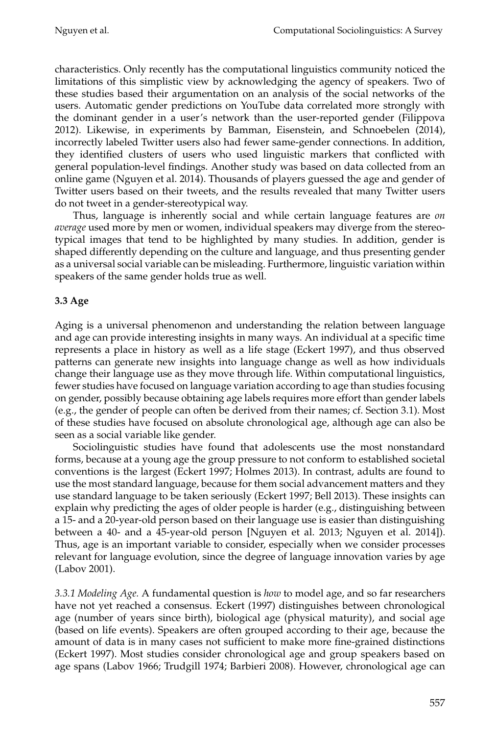characteristics. Only recently has the computational linguistics community noticed the limitations of this simplistic view by acknowledging the agency of speakers. Two of these studies based their argumentation on an analysis of the social networks of the users. Automatic gender predictions on YouTube data correlated more strongly with the dominant gender in a user's network than the user-reported gender (Filippova 2012). Likewise, in experiments by Bamman, Eisenstein, and Schnoebelen (2014), incorrectly labeled Twitter users also had fewer same-gender connections. In addition, they identified clusters of users who used linguistic markers that conflicted with general population-level findings. Another study was based on data collected from an online game (Nguyen et al. 2014). Thousands of players guessed the age and gender of Twitter users based on their tweets, and the results revealed that many Twitter users do not tweet in a gender-stereotypical way.

Thus, language is inherently social and while certain language features are *on average* used more by men or women, individual speakers may diverge from the stereotypical images that tend to be highlighted by many studies. In addition, gender is shaped differently depending on the culture and language, and thus presenting gender as a universal social variable can be misleading. Furthermore, linguistic variation within speakers of the same gender holds true as well.

## **3.3 Age**

Aging is a universal phenomenon and understanding the relation between language and age can provide interesting insights in many ways. An individual at a specific time represents a place in history as well as a life stage (Eckert 1997), and thus observed patterns can generate new insights into language change as well as how individuals change their language use as they move through life. Within computational linguistics, fewer studies have focused on language variation according to age than studies focusing on gender, possibly because obtaining age labels requires more effort than gender labels (e.g., the gender of people can often be derived from their names; cf. Section 3.1). Most of these studies have focused on absolute chronological age, although age can also be seen as a social variable like gender.

Sociolinguistic studies have found that adolescents use the most nonstandard forms, because at a young age the group pressure to not conform to established societal conventions is the largest (Eckert 1997; Holmes 2013). In contrast, adults are found to use the most standard language, because for them social advancement matters and they use standard language to be taken seriously (Eckert 1997; Bell 2013). These insights can explain why predicting the ages of older people is harder (e.g., distinguishing between a 15- and a 20-year-old person based on their language use is easier than distinguishing between a 40- and a 45-year-old person [Nguyen et al. 2013; Nguyen et al. 2014]). Thus, age is an important variable to consider, especially when we consider processes relevant for language evolution, since the degree of language innovation varies by age (Labov 2001).

*3.3.1 Modeling Age.* A fundamental question is *how* to model age, and so far researchers have not yet reached a consensus. Eckert (1997) distinguishes between chronological age (number of years since birth), biological age (physical maturity), and social age (based on life events). Speakers are often grouped according to their age, because the amount of data is in many cases not sufficient to make more fine-grained distinctions (Eckert 1997). Most studies consider chronological age and group speakers based on age spans (Labov 1966; Trudgill 1974; Barbieri 2008). However, chronological age can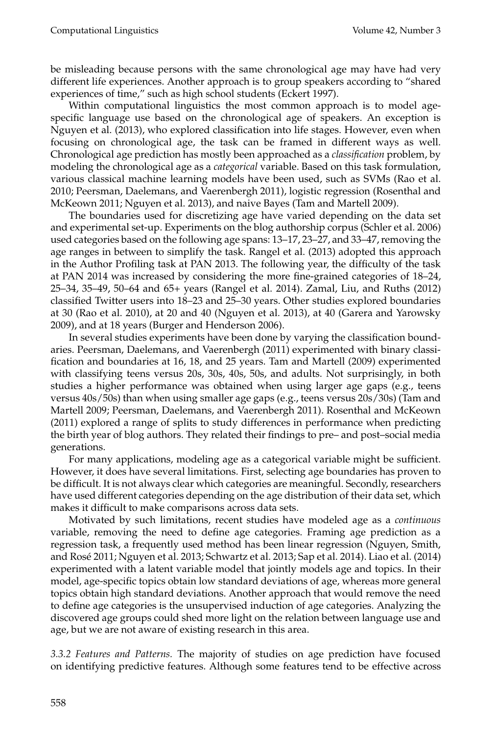be misleading because persons with the same chronological age may have had very different life experiences. Another approach is to group speakers according to "shared experiences of time," such as high school students (Eckert 1997).

Within computational linguistics the most common approach is to model agespecific language use based on the chronological age of speakers. An exception is Nguyen et al. (2013), who explored classification into life stages. However, even when focusing on chronological age, the task can be framed in different ways as well. Chronological age prediction has mostly been approached as a *classification* problem, by modeling the chronological age as a *categorical* variable. Based on this task formulation, various classical machine learning models have been used, such as SVMs (Rao et al. 2010; Peersman, Daelemans, and Vaerenbergh 2011), logistic regression (Rosenthal and McKeown 2011; Nguyen et al. 2013), and naive Bayes (Tam and Martell 2009).

The boundaries used for discretizing age have varied depending on the data set and experimental set-up. Experiments on the blog authorship corpus (Schler et al. 2006) used categories based on the following age spans: 13–17, 23–27, and 33–47, removing the age ranges in between to simplify the task. Rangel et al. (2013) adopted this approach in the Author Profiling task at PAN 2013. The following year, the difficulty of the task at PAN 2014 was increased by considering the more fine-grained categories of 18–24, 25–34, 35–49, 50–64 and 65+ years (Rangel et al. 2014). Zamal, Liu, and Ruths (2012) classified Twitter users into 18–23 and 25–30 years. Other studies explored boundaries at 30 (Rao et al. 2010), at 20 and 40 (Nguyen et al. 2013), at 40 (Garera and Yarowsky 2009), and at 18 years (Burger and Henderson 2006).

In several studies experiments have been done by varying the classification boundaries. Peersman, Daelemans, and Vaerenbergh (2011) experimented with binary classification and boundaries at 16, 18, and 25 years. Tam and Martell (2009) experimented with classifying teens versus 20s, 30s, 40s, 50s, and adults. Not surprisingly, in both studies a higher performance was obtained when using larger age gaps (e.g., teens versus 40s/50s) than when using smaller age gaps (e.g., teens versus 20s/30s) (Tam and Martell 2009; Peersman, Daelemans, and Vaerenbergh 2011). Rosenthal and McKeown (2011) explored a range of splits to study differences in performance when predicting the birth year of blog authors. They related their findings to pre– and post–social media generations.

For many applications, modeling age as a categorical variable might be sufficient. However, it does have several limitations. First, selecting age boundaries has proven to be difficult. It is not always clear which categories are meaningful. Secondly, researchers have used different categories depending on the age distribution of their data set, which makes it difficult to make comparisons across data sets.

Motivated by such limitations, recent studies have modeled age as a *continuous* variable, removing the need to define age categories. Framing age prediction as a regression task, a frequently used method has been linear regression (Nguyen, Smith, and Rosé 2011; Nguyen et al. 2013; Schwartz et al. 2013; Sap et al. 2014). Liao et al. (2014) experimented with a latent variable model that jointly models age and topics. In their model, age-specific topics obtain low standard deviations of age, whereas more general topics obtain high standard deviations. Another approach that would remove the need to define age categories is the unsupervised induction of age categories. Analyzing the discovered age groups could shed more light on the relation between language use and age, but we are not aware of existing research in this area.

*3.3.2 Features and Patterns.* The majority of studies on age prediction have focused on identifying predictive features. Although some features tend to be effective across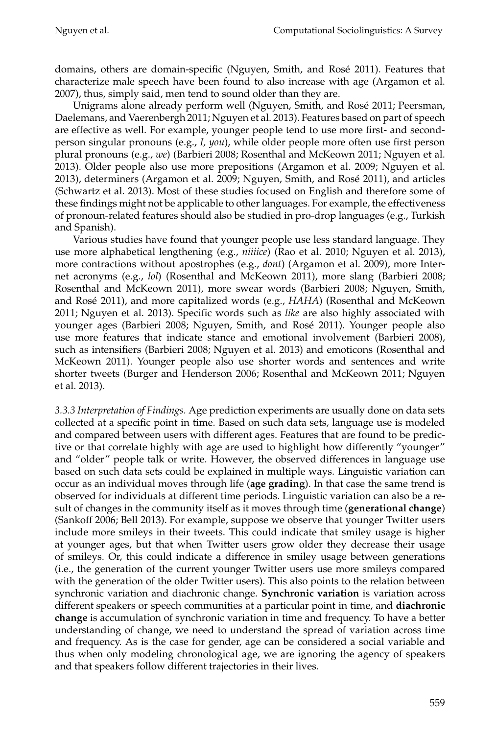domains, others are domain-specific (Nguyen, Smith, and Rosé 2011). Features that characterize male speech have been found to also increase with age (Argamon et al. 2007), thus, simply said, men tend to sound older than they are.

Unigrams alone already perform well (Nguyen, Smith, and Rosé 2011; Peersman, Daelemans, and Vaerenbergh 2011; Nguyen et al. 2013). Features based on part of speech are effective as well. For example, younger people tend to use more first- and secondperson singular pronouns (e.g., *I, you*), while older people more often use first person plural pronouns (e.g., *we*) (Barbieri 2008; Rosenthal and McKeown 2011; Nguyen et al. 2013). Older people also use more prepositions (Argamon et al. 2009; Nguyen et al. 2013), determiners (Argamon et al. 2009; Nguyen, Smith, and Rosé 2011), and articles (Schwartz et al. 2013). Most of these studies focused on English and therefore some of these findings might not be applicable to other languages. For example, the effectiveness of pronoun-related features should also be studied in pro-drop languages (e.g., Turkish and Spanish).

Various studies have found that younger people use less standard language. They use more alphabetical lengthening (e.g., *niiiice*) (Rao et al. 2010; Nguyen et al. 2013), more contractions without apostrophes (e.g., *dont*) (Argamon et al. 2009), more Internet acronyms (e.g., *lol*) (Rosenthal and McKeown 2011), more slang (Barbieri 2008; Rosenthal and McKeown 2011), more swear words (Barbieri 2008; Nguyen, Smith, and Rosé 2011), and more capitalized words (e.g., *HAHA*) (Rosenthal and McKeown 2011; Nguyen et al. 2013). Specific words such as *like* are also highly associated with younger ages (Barbieri 2008; Nguyen, Smith, and Rosé 2011). Younger people also use more features that indicate stance and emotional involvement (Barbieri 2008), such as intensifiers (Barbieri 2008; Nguyen et al. 2013) and emoticons (Rosenthal and McKeown 2011). Younger people also use shorter words and sentences and write shorter tweets (Burger and Henderson 2006; Rosenthal and McKeown 2011; Nguyen et al. 2013).

*3.3.3 Interpretation of Findings.* Age prediction experiments are usually done on data sets collected at a specific point in time. Based on such data sets, language use is modeled and compared between users with different ages. Features that are found to be predictive or that correlate highly with age are used to highlight how differently "younger" and "older" people talk or write. However, the observed differences in language use based on such data sets could be explained in multiple ways. Linguistic variation can occur as an individual moves through life (**age grading**). In that case the same trend is observed for individuals at different time periods. Linguistic variation can also be a result of changes in the community itself as it moves through time (**generational change**) (Sankoff 2006; Bell 2013). For example, suppose we observe that younger Twitter users include more smileys in their tweets. This could indicate that smiley usage is higher at younger ages, but that when Twitter users grow older they decrease their usage of smileys. Or, this could indicate a difference in smiley usage between generations (i.e., the generation of the current younger Twitter users use more smileys compared with the generation of the older Twitter users). This also points to the relation between synchronic variation and diachronic change. **Synchronic variation** is variation across different speakers or speech communities at a particular point in time, and **diachronic change** is accumulation of synchronic variation in time and frequency. To have a better understanding of change, we need to understand the spread of variation across time and frequency. As is the case for gender, age can be considered a social variable and thus when only modeling chronological age, we are ignoring the agency of speakers and that speakers follow different trajectories in their lives.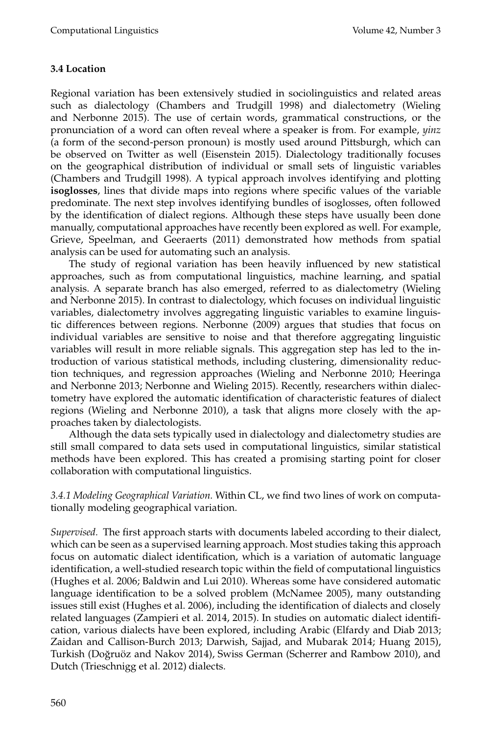## **3.4 Location**

Regional variation has been extensively studied in sociolinguistics and related areas such as dialectology (Chambers and Trudgill 1998) and dialectometry (Wieling and Nerbonne 2015). The use of certain words, grammatical constructions, or the pronunciation of a word can often reveal where a speaker is from. For example, *yinz* (a form of the second-person pronoun) is mostly used around Pittsburgh, which can be observed on Twitter as well (Eisenstein 2015). Dialectology traditionally focuses on the geographical distribution of individual or small sets of linguistic variables (Chambers and Trudgill 1998). A typical approach involves identifying and plotting **isoglosses**, lines that divide maps into regions where specific values of the variable predominate. The next step involves identifying bundles of isoglosses, often followed by the identification of dialect regions. Although these steps have usually been done manually, computational approaches have recently been explored as well. For example, Grieve, Speelman, and Geeraerts (2011) demonstrated how methods from spatial analysis can be used for automating such an analysis.

The study of regional variation has been heavily influenced by new statistical approaches, such as from computational linguistics, machine learning, and spatial analysis. A separate branch has also emerged, referred to as dialectometry (Wieling and Nerbonne 2015). In contrast to dialectology, which focuses on individual linguistic variables, dialectometry involves aggregating linguistic variables to examine linguistic differences between regions. Nerbonne (2009) argues that studies that focus on individual variables are sensitive to noise and that therefore aggregating linguistic variables will result in more reliable signals. This aggregation step has led to the introduction of various statistical methods, including clustering, dimensionality reduction techniques, and regression approaches (Wieling and Nerbonne 2010; Heeringa and Nerbonne 2013; Nerbonne and Wieling 2015). Recently, researchers within dialectometry have explored the automatic identification of characteristic features of dialect regions (Wieling and Nerbonne 2010), a task that aligns more closely with the approaches taken by dialectologists.

Although the data sets typically used in dialectology and dialectometry studies are still small compared to data sets used in computational linguistics, similar statistical methods have been explored. This has created a promising starting point for closer collaboration with computational linguistics.

*3.4.1 Modeling Geographical Variation.* Within CL, we find two lines of work on computationally modeling geographical variation.

*Supervised.* The first approach starts with documents labeled according to their dialect, which can be seen as a supervised learning approach. Most studies taking this approach focus on automatic dialect identification, which is a variation of automatic language identification, a well-studied research topic within the field of computational linguistics (Hughes et al. 2006; Baldwin and Lui 2010). Whereas some have considered automatic language identification to be a solved problem (McNamee 2005), many outstanding issues still exist (Hughes et al. 2006), including the identification of dialects and closely related languages (Zampieri et al. 2014, 2015). In studies on automatic dialect identification, various dialects have been explored, including Arabic (Elfardy and Diab 2013; Zaidan and Callison-Burch 2013; Darwish, Sajjad, and Mubarak 2014; Huang 2015), Turkish (Doğruöz and Nakov 2014), Swiss German (Scherrer and Rambow 2010), and Dutch (Trieschnigg et al. 2012) dialects.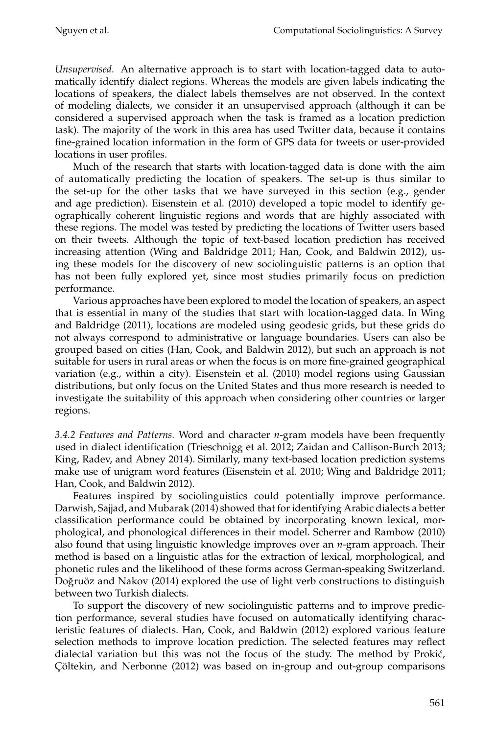*Unsupervised.* An alternative approach is to start with location-tagged data to automatically identify dialect regions. Whereas the models are given labels indicating the locations of speakers, the dialect labels themselves are not observed. In the context of modeling dialects, we consider it an unsupervised approach (although it can be considered a supervised approach when the task is framed as a location prediction task). The majority of the work in this area has used Twitter data, because it contains fine-grained location information in the form of GPS data for tweets or user-provided locations in user profiles.

Much of the research that starts with location-tagged data is done with the aim of automatically predicting the location of speakers. The set-up is thus similar to the set-up for the other tasks that we have surveyed in this section (e.g., gender and age prediction). Eisenstein et al. (2010) developed a topic model to identify geographically coherent linguistic regions and words that are highly associated with these regions. The model was tested by predicting the locations of Twitter users based on their tweets. Although the topic of text-based location prediction has received increasing attention (Wing and Baldridge 2011; Han, Cook, and Baldwin 2012), using these models for the discovery of new sociolinguistic patterns is an option that has not been fully explored yet, since most studies primarily focus on prediction performance.

Various approaches have been explored to model the location of speakers, an aspect that is essential in many of the studies that start with location-tagged data. In Wing and Baldridge (2011), locations are modeled using geodesic grids, but these grids do not always correspond to administrative or language boundaries. Users can also be grouped based on cities (Han, Cook, and Baldwin 2012), but such an approach is not suitable for users in rural areas or when the focus is on more fine-grained geographical variation (e.g., within a city). Eisenstein et al. (2010) model regions using Gaussian distributions, but only focus on the United States and thus more research is needed to investigate the suitability of this approach when considering other countries or larger regions.

*3.4.2 Features and Patterns.* Word and character *n*-gram models have been frequently used in dialect identification (Trieschnigg et al. 2012; Zaidan and Callison-Burch 2013; King, Radev, and Abney 2014). Similarly, many text-based location prediction systems make use of unigram word features (Eisenstein et al. 2010; Wing and Baldridge 2011; Han, Cook, and Baldwin 2012).

Features inspired by sociolinguistics could potentially improve performance. Darwish, Sajjad, and Mubarak (2014) showed that for identifying Arabic dialects a better classification performance could be obtained by incorporating known lexical, morphological, and phonological differences in their model. Scherrer and Rambow (2010) also found that using linguistic knowledge improves over an *n*-gram approach. Their method is based on a linguistic atlas for the extraction of lexical, morphological, and phonetic rules and the likelihood of these forms across German-speaking Switzerland. Doğruöz and Nakov (2014) explored the use of light verb constructions to distinguish between two Turkish dialects.

To support the discovery of new sociolinguistic patterns and to improve prediction performance, several studies have focused on automatically identifying characteristic features of dialects. Han, Cook, and Baldwin (2012) explored various feature selection methods to improve location prediction. The selected features may reflect dialectal variation but this was not the focus of the study. The method by Prokić, Çöltekin, and Nerbonne (2012) was based on in-group and out-group comparisons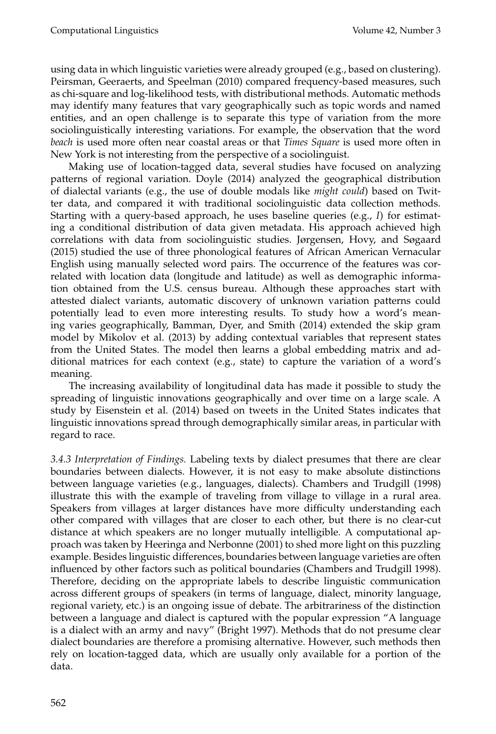using data in which linguistic varieties were already grouped (e.g., based on clustering). Peirsman, Geeraerts, and Speelman (2010) compared frequency-based measures, such as chi-square and log-likelihood tests, with distributional methods. Automatic methods may identify many features that vary geographically such as topic words and named entities, and an open challenge is to separate this type of variation from the more sociolinguistically interesting variations. For example, the observation that the word *beach* is used more often near coastal areas or that *Times Square* is used more often in New York is not interesting from the perspective of a sociolinguist.

Making use of location-tagged data, several studies have focused on analyzing patterns of regional variation. Doyle (2014) analyzed the geographical distribution of dialectal variants (e.g., the use of double modals like *might could*) based on Twitter data, and compared it with traditional sociolinguistic data collection methods. Starting with a query-based approach, he uses baseline queries (e.g., *I*) for estimating a conditional distribution of data given metadata. His approach achieved high correlations with data from sociolinguistic studies. Jørgensen, Hovy, and Søgaard (2015) studied the use of three phonological features of African American Vernacular English using manually selected word pairs. The occurrence of the features was correlated with location data (longitude and latitude) as well as demographic information obtained from the U.S. census bureau. Although these approaches start with attested dialect variants, automatic discovery of unknown variation patterns could potentially lead to even more interesting results. To study how a word's meaning varies geographically, Bamman, Dyer, and Smith (2014) extended the skip gram model by Mikolov et al. (2013) by adding contextual variables that represent states from the United States. The model then learns a global embedding matrix and additional matrices for each context (e.g., state) to capture the variation of a word's meaning.

The increasing availability of longitudinal data has made it possible to study the spreading of linguistic innovations geographically and over time on a large scale. A study by Eisenstein et al. (2014) based on tweets in the United States indicates that linguistic innovations spread through demographically similar areas, in particular with regard to race.

*3.4.3 Interpretation of Findings.* Labeling texts by dialect presumes that there are clear boundaries between dialects. However, it is not easy to make absolute distinctions between language varieties (e.g., languages, dialects). Chambers and Trudgill (1998) illustrate this with the example of traveling from village to village in a rural area. Speakers from villages at larger distances have more difficulty understanding each other compared with villages that are closer to each other, but there is no clear-cut distance at which speakers are no longer mutually intelligible. A computational approach was taken by Heeringa and Nerbonne (2001) to shed more light on this puzzling example. Besides linguistic differences, boundaries between language varieties are often influenced by other factors such as political boundaries (Chambers and Trudgill 1998). Therefore, deciding on the appropriate labels to describe linguistic communication across different groups of speakers (in terms of language, dialect, minority language, regional variety, etc.) is an ongoing issue of debate. The arbitrariness of the distinction between a language and dialect is captured with the popular expression "A language is a dialect with an army and navy" (Bright 1997). Methods that do not presume clear dialect boundaries are therefore a promising alternative. However, such methods then rely on location-tagged data, which are usually only available for a portion of the data.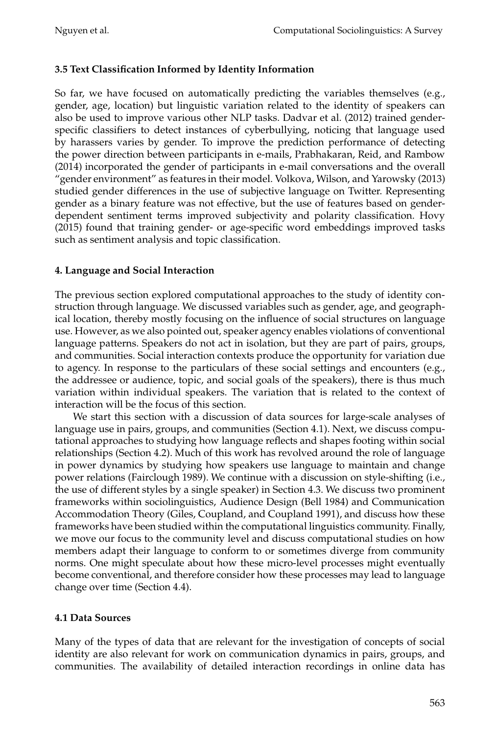#### **3.5 Text Classification Informed by Identity Information**

So far, we have focused on automatically predicting the variables themselves (e.g., gender, age, location) but linguistic variation related to the identity of speakers can also be used to improve various other NLP tasks. Dadvar et al. (2012) trained genderspecific classifiers to detect instances of cyberbullying, noticing that language used by harassers varies by gender. To improve the prediction performance of detecting the power direction between participants in e-mails, Prabhakaran, Reid, and Rambow (2014) incorporated the gender of participants in e-mail conversations and the overall "gender environment" as features in their model. Volkova, Wilson, and Yarowsky (2013) studied gender differences in the use of subjective language on Twitter. Representing gender as a binary feature was not effective, but the use of features based on genderdependent sentiment terms improved subjectivity and polarity classification. Hovy (2015) found that training gender- or age-specific word embeddings improved tasks such as sentiment analysis and topic classification.

#### **4. Language and Social Interaction**

The previous section explored computational approaches to the study of identity construction through language. We discussed variables such as gender, age, and geographical location, thereby mostly focusing on the influence of social structures on language use. However, as we also pointed out, speaker agency enables violations of conventional language patterns. Speakers do not act in isolation, but they are part of pairs, groups, and communities. Social interaction contexts produce the opportunity for variation due to agency. In response to the particulars of these social settings and encounters (e.g., the addressee or audience, topic, and social goals of the speakers), there is thus much variation within individual speakers. The variation that is related to the context of interaction will be the focus of this section.

We start this section with a discussion of data sources for large-scale analyses of language use in pairs, groups, and communities (Section 4.1). Next, we discuss computational approaches to studying how language reflects and shapes footing within social relationships (Section 4.2). Much of this work has revolved around the role of language in power dynamics by studying how speakers use language to maintain and change power relations (Fairclough 1989). We continue with a discussion on style-shifting (i.e., the use of different styles by a single speaker) in Section 4.3. We discuss two prominent frameworks within sociolinguistics, Audience Design (Bell 1984) and Communication Accommodation Theory (Giles, Coupland, and Coupland 1991), and discuss how these frameworks have been studied within the computational linguistics community. Finally, we move our focus to the community level and discuss computational studies on how members adapt their language to conform to or sometimes diverge from community norms. One might speculate about how these micro-level processes might eventually become conventional, and therefore consider how these processes may lead to language change over time (Section 4.4).

## **4.1 Data Sources**

Many of the types of data that are relevant for the investigation of concepts of social identity are also relevant for work on communication dynamics in pairs, groups, and communities. The availability of detailed interaction recordings in online data has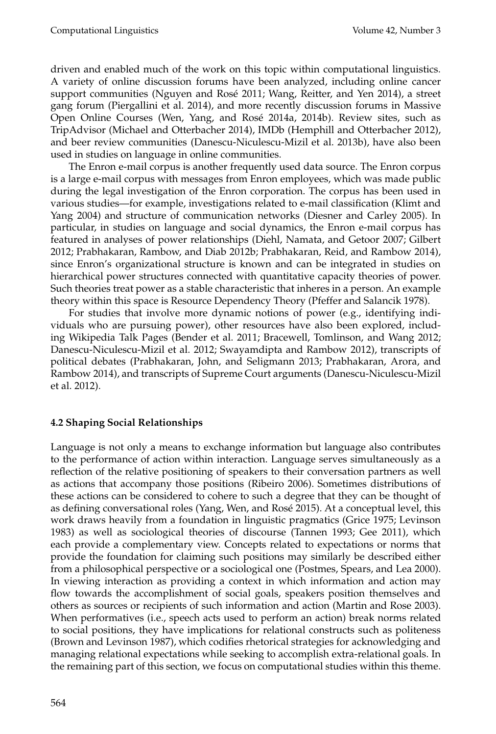driven and enabled much of the work on this topic within computational linguistics. A variety of online discussion forums have been analyzed, including online cancer support communities (Nguyen and Rosé 2011; Wang, Reitter, and Yen 2014), a street gang forum (Piergallini et al. 2014), and more recently discussion forums in Massive Open Online Courses (Wen, Yang, and Rosé 2014a, 2014b). Review sites, such as TripAdvisor (Michael and Otterbacher 2014), IMDb (Hemphill and Otterbacher 2012), and beer review communities (Danescu-Niculescu-Mizil et al. 2013b), have also been used in studies on language in online communities.

The Enron e-mail corpus is another frequently used data source. The Enron corpus is a large e-mail corpus with messages from Enron employees, which was made public during the legal investigation of the Enron corporation. The corpus has been used in various studies—for example, investigations related to e-mail classification (Klimt and Yang 2004) and structure of communication networks (Diesner and Carley 2005). In particular, in studies on language and social dynamics, the Enron e-mail corpus has featured in analyses of power relationships (Diehl, Namata, and Getoor 2007; Gilbert 2012; Prabhakaran, Rambow, and Diab 2012b; Prabhakaran, Reid, and Rambow 2014), since Enron's organizational structure is known and can be integrated in studies on hierarchical power structures connected with quantitative capacity theories of power. Such theories treat power as a stable characteristic that inheres in a person. An example theory within this space is Resource Dependency Theory (Pfeffer and Salancik 1978).

For studies that involve more dynamic notions of power (e.g., identifying individuals who are pursuing power), other resources have also been explored, including Wikipedia Talk Pages (Bender et al. 2011; Bracewell, Tomlinson, and Wang 2012; Danescu-Niculescu-Mizil et al. 2012; Swayamdipta and Rambow 2012), transcripts of political debates (Prabhakaran, John, and Seligmann 2013; Prabhakaran, Arora, and Rambow 2014), and transcripts of Supreme Court arguments (Danescu-Niculescu-Mizil et al. 2012).

#### **4.2 Shaping Social Relationships**

Language is not only a means to exchange information but language also contributes to the performance of action within interaction. Language serves simultaneously as a reflection of the relative positioning of speakers to their conversation partners as well as actions that accompany those positions (Ribeiro 2006). Sometimes distributions of these actions can be considered to cohere to such a degree that they can be thought of as defining conversational roles (Yang, Wen, and Rosé 2015). At a conceptual level, this work draws heavily from a foundation in linguistic pragmatics (Grice 1975; Levinson 1983) as well as sociological theories of discourse (Tannen 1993; Gee 2011), which each provide a complementary view. Concepts related to expectations or norms that provide the foundation for claiming such positions may similarly be described either from a philosophical perspective or a sociological one (Postmes, Spears, and Lea 2000). In viewing interaction as providing a context in which information and action may flow towards the accomplishment of social goals, speakers position themselves and others as sources or recipients of such information and action (Martin and Rose 2003). When performatives (i.e., speech acts used to perform an action) break norms related to social positions, they have implications for relational constructs such as politeness (Brown and Levinson 1987), which codifies rhetorical strategies for acknowledging and managing relational expectations while seeking to accomplish extra-relational goals. In the remaining part of this section, we focus on computational studies within this theme.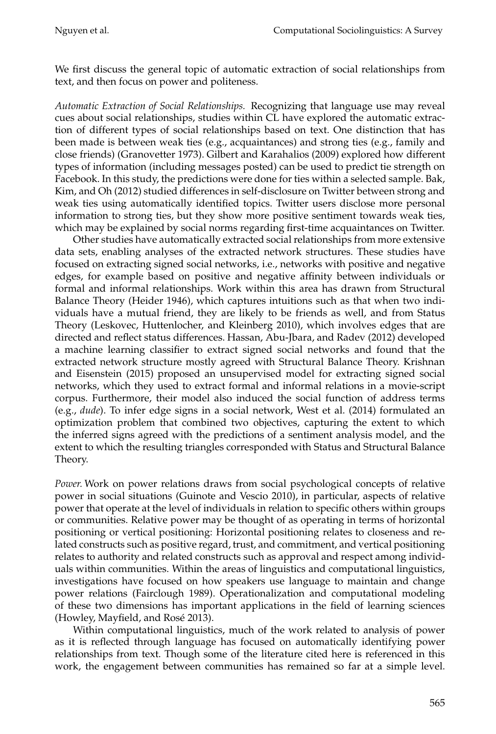We first discuss the general topic of automatic extraction of social relationships from text, and then focus on power and politeness.

*Automatic Extraction of Social Relationships.* Recognizing that language use may reveal cues about social relationships, studies within CL have explored the automatic extraction of different types of social relationships based on text. One distinction that has been made is between weak ties (e.g., acquaintances) and strong ties (e.g., family and close friends) (Granovetter 1973). Gilbert and Karahalios (2009) explored how different types of information (including messages posted) can be used to predict tie strength on Facebook. In this study, the predictions were done for ties within a selected sample. Bak, Kim, and Oh (2012) studied differences in self-disclosure on Twitter between strong and weak ties using automatically identified topics. Twitter users disclose more personal information to strong ties, but they show more positive sentiment towards weak ties, which may be explained by social norms regarding first-time acquaintances on Twitter.

Other studies have automatically extracted social relationships from more extensive data sets, enabling analyses of the extracted network structures. These studies have focused on extracting signed social networks, i.e., networks with positive and negative edges, for example based on positive and negative affinity between individuals or formal and informal relationships. Work within this area has drawn from Structural Balance Theory (Heider 1946), which captures intuitions such as that when two individuals have a mutual friend, they are likely to be friends as well, and from Status Theory (Leskovec, Huttenlocher, and Kleinberg 2010), which involves edges that are directed and reflect status differences. Hassan, Abu-Jbara, and Radev (2012) developed a machine learning classifier to extract signed social networks and found that the extracted network structure mostly agreed with Structural Balance Theory. Krishnan and Eisenstein (2015) proposed an unsupervised model for extracting signed social networks, which they used to extract formal and informal relations in a movie-script corpus. Furthermore, their model also induced the social function of address terms (e.g., *dude*). To infer edge signs in a social network, West et al. (2014) formulated an optimization problem that combined two objectives, capturing the extent to which the inferred signs agreed with the predictions of a sentiment analysis model, and the extent to which the resulting triangles corresponded with Status and Structural Balance Theory.

*Power.* Work on power relations draws from social psychological concepts of relative power in social situations (Guinote and Vescio 2010), in particular, aspects of relative power that operate at the level of individuals in relation to specific others within groups or communities. Relative power may be thought of as operating in terms of horizontal positioning or vertical positioning: Horizontal positioning relates to closeness and related constructs such as positive regard, trust, and commitment, and vertical positioning relates to authority and related constructs such as approval and respect among individuals within communities. Within the areas of linguistics and computational linguistics, investigations have focused on how speakers use language to maintain and change power relations (Fairclough 1989). Operationalization and computational modeling of these two dimensions has important applications in the field of learning sciences (Howley, Mayfield, and Rosé 2013).

Within computational linguistics, much of the work related to analysis of power as it is reflected through language has focused on automatically identifying power relationships from text. Though some of the literature cited here is referenced in this work, the engagement between communities has remained so far at a simple level.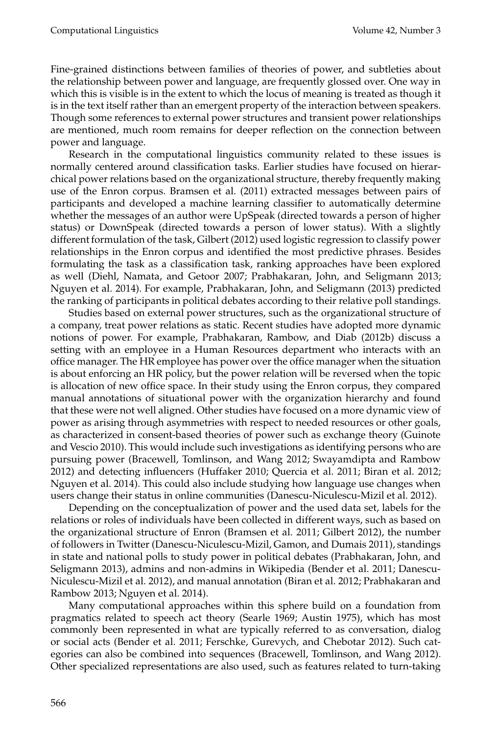Fine-grained distinctions between families of theories of power, and subtleties about the relationship between power and language, are frequently glossed over. One way in which this is visible is in the extent to which the locus of meaning is treated as though it is in the text itself rather than an emergent property of the interaction between speakers. Though some references to external power structures and transient power relationships are mentioned, much room remains for deeper reflection on the connection between power and language.

Research in the computational linguistics community related to these issues is normally centered around classification tasks. Earlier studies have focused on hierarchical power relations based on the organizational structure, thereby frequently making use of the Enron corpus. Bramsen et al. (2011) extracted messages between pairs of participants and developed a machine learning classifier to automatically determine whether the messages of an author were UpSpeak (directed towards a person of higher status) or DownSpeak (directed towards a person of lower status). With a slightly different formulation of the task, Gilbert (2012) used logistic regression to classify power relationships in the Enron corpus and identified the most predictive phrases. Besides formulating the task as a classification task, ranking approaches have been explored as well (Diehl, Namata, and Getoor 2007; Prabhakaran, John, and Seligmann 2013; Nguyen et al. 2014). For example, Prabhakaran, John, and Seligmann (2013) predicted the ranking of participants in political debates according to their relative poll standings.

Studies based on external power structures, such as the organizational structure of a company, treat power relations as static. Recent studies have adopted more dynamic notions of power. For example, Prabhakaran, Rambow, and Diab (2012b) discuss a setting with an employee in a Human Resources department who interacts with an office manager. The HR employee has power over the office manager when the situation is about enforcing an HR policy, but the power relation will be reversed when the topic is allocation of new office space. In their study using the Enron corpus, they compared manual annotations of situational power with the organization hierarchy and found that these were not well aligned. Other studies have focused on a more dynamic view of power as arising through asymmetries with respect to needed resources or other goals, as characterized in consent-based theories of power such as exchange theory (Guinote and Vescio 2010). This would include such investigations as identifying persons who are pursuing power (Bracewell, Tomlinson, and Wang 2012; Swayamdipta and Rambow 2012) and detecting influencers (Huffaker 2010; Quercia et al. 2011; Biran et al. 2012; Nguyen et al. 2014). This could also include studying how language use changes when users change their status in online communities (Danescu-Niculescu-Mizil et al. 2012).

Depending on the conceptualization of power and the used data set, labels for the relations or roles of individuals have been collected in different ways, such as based on the organizational structure of Enron (Bramsen et al. 2011; Gilbert 2012), the number of followers in Twitter (Danescu-Niculescu-Mizil, Gamon, and Dumais 2011), standings in state and national polls to study power in political debates (Prabhakaran, John, and Seligmann 2013), admins and non-admins in Wikipedia (Bender et al. 2011; Danescu-Niculescu-Mizil et al. 2012), and manual annotation (Biran et al. 2012; Prabhakaran and Rambow 2013; Nguyen et al. 2014).

Many computational approaches within this sphere build on a foundation from pragmatics related to speech act theory (Searle 1969; Austin 1975), which has most commonly been represented in what are typically referred to as conversation, dialog or social acts (Bender et al. 2011; Ferschke, Gurevych, and Chebotar 2012). Such categories can also be combined into sequences (Bracewell, Tomlinson, and Wang 2012). Other specialized representations are also used, such as features related to turn-taking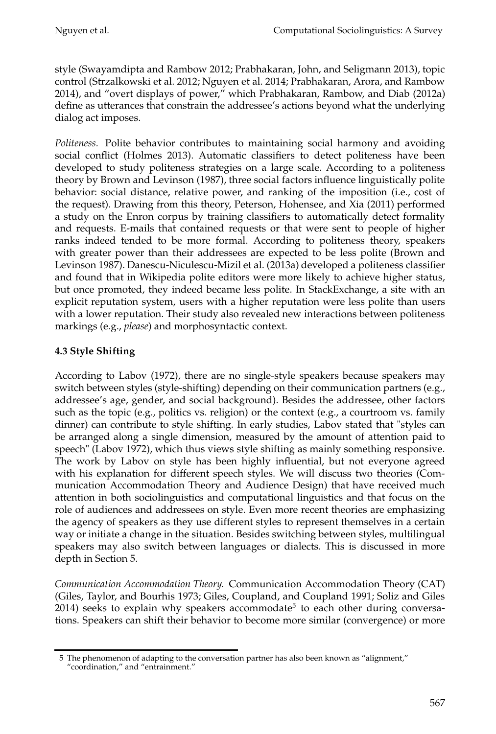style (Swayamdipta and Rambow 2012; Prabhakaran, John, and Seligmann 2013), topic control (Strzalkowski et al. 2012; Nguyen et al. 2014; Prabhakaran, Arora, and Rambow 2014), and "overt displays of power," which Prabhakaran, Rambow, and Diab (2012a) define as utterances that constrain the addressee's actions beyond what the underlying dialog act imposes.

*Politeness.* Polite behavior contributes to maintaining social harmony and avoiding social conflict (Holmes 2013). Automatic classifiers to detect politeness have been developed to study politeness strategies on a large scale. According to a politeness theory by Brown and Levinson (1987), three social factors influence linguistically polite behavior: social distance, relative power, and ranking of the imposition (i.e., cost of the request). Drawing from this theory, Peterson, Hohensee, and Xia (2011) performed a study on the Enron corpus by training classifiers to automatically detect formality and requests. E-mails that contained requests or that were sent to people of higher ranks indeed tended to be more formal. According to politeness theory, speakers with greater power than their addressees are expected to be less polite (Brown and Levinson 1987). Danescu-Niculescu-Mizil et al. (2013a) developed a politeness classifier and found that in Wikipedia polite editors were more likely to achieve higher status, but once promoted, they indeed became less polite. In StackExchange, a site with an explicit reputation system, users with a higher reputation were less polite than users with a lower reputation. Their study also revealed new interactions between politeness markings (e.g., *please*) and morphosyntactic context.

# **4.3 Style Shifting**

According to Labov (1972), there are no single-style speakers because speakers may switch between styles (style-shifting) depending on their communication partners (e.g., addressee's age, gender, and social background). Besides the addressee, other factors such as the topic (e.g., politics vs. religion) or the context (e.g., a courtroom vs. family dinner) can contribute to style shifting. In early studies, Labov stated that "styles can be arranged along a single dimension, measured by the amount of attention paid to speech" (Labov 1972), which thus views style shifting as mainly something responsive. The work by Labov on style has been highly influential, but not everyone agreed with his explanation for different speech styles. We will discuss two theories (Communication Accommodation Theory and Audience Design) that have received much attention in both sociolinguistics and computational linguistics and that focus on the role of audiences and addressees on style. Even more recent theories are emphasizing the agency of speakers as they use different styles to represent themselves in a certain way or initiate a change in the situation. Besides switching between styles, multilingual speakers may also switch between languages or dialects. This is discussed in more depth in Section 5.

*Communication Accommodation Theory.* Communication Accommodation Theory (CAT) (Giles, Taylor, and Bourhis 1973; Giles, Coupland, and Coupland 1991; Soliz and Giles 2014) seeks to explain why speakers accommodate<sup>5</sup> to each other during conversations. Speakers can shift their behavior to become more similar (convergence) or more

<sup>5</sup> The phenomenon of adapting to the conversation partner has also been known as "alignment," "coordination," and "entrainment."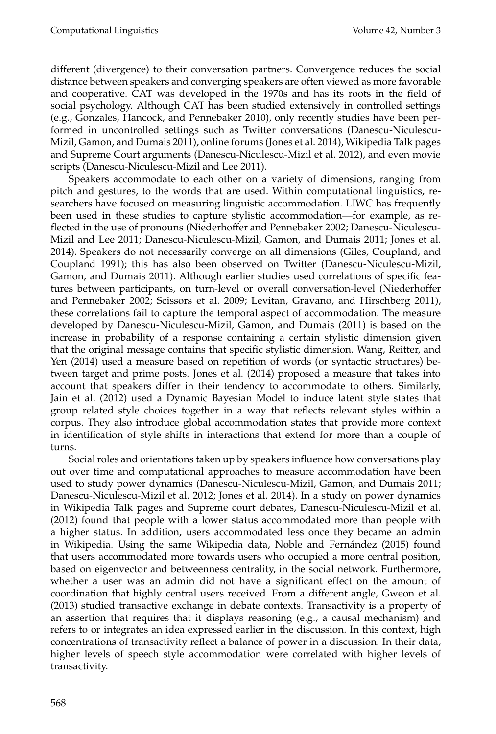different (divergence) to their conversation partners. Convergence reduces the social distance between speakers and converging speakers are often viewed as more favorable and cooperative. CAT was developed in the 1970s and has its roots in the field of social psychology. Although CAT has been studied extensively in controlled settings (e.g., Gonzales, Hancock, and Pennebaker 2010), only recently studies have been performed in uncontrolled settings such as Twitter conversations (Danescu-Niculescu-Mizil, Gamon, and Dumais 2011), online forums (Jones et al. 2014), Wikipedia Talk pages and Supreme Court arguments (Danescu-Niculescu-Mizil et al. 2012), and even movie scripts (Danescu-Niculescu-Mizil and Lee 2011).

Speakers accommodate to each other on a variety of dimensions, ranging from pitch and gestures, to the words that are used. Within computational linguistics, researchers have focused on measuring linguistic accommodation. LIWC has frequently been used in these studies to capture stylistic accommodation—for example, as reflected in the use of pronouns (Niederhoffer and Pennebaker 2002; Danescu-Niculescu-Mizil and Lee 2011; Danescu-Niculescu-Mizil, Gamon, and Dumais 2011; Jones et al. 2014). Speakers do not necessarily converge on all dimensions (Giles, Coupland, and Coupland 1991); this has also been observed on Twitter (Danescu-Niculescu-Mizil, Gamon, and Dumais 2011). Although earlier studies used correlations of specific features between participants, on turn-level or overall conversation-level (Niederhoffer and Pennebaker 2002; Scissors et al. 2009; Levitan, Gravano, and Hirschberg 2011), these correlations fail to capture the temporal aspect of accommodation. The measure developed by Danescu-Niculescu-Mizil, Gamon, and Dumais (2011) is based on the increase in probability of a response containing a certain stylistic dimension given that the original message contains that specific stylistic dimension. Wang, Reitter, and Yen (2014) used a measure based on repetition of words (or syntactic structures) between target and prime posts. Jones et al. (2014) proposed a measure that takes into account that speakers differ in their tendency to accommodate to others. Similarly, Jain et al. (2012) used a Dynamic Bayesian Model to induce latent style states that group related style choices together in a way that reflects relevant styles within a corpus. They also introduce global accommodation states that provide more context in identification of style shifts in interactions that extend for more than a couple of turns.

Social roles and orientations taken up by speakers influence how conversations play out over time and computational approaches to measure accommodation have been used to study power dynamics (Danescu-Niculescu-Mizil, Gamon, and Dumais 2011; Danescu-Niculescu-Mizil et al. 2012; Jones et al. 2014). In a study on power dynamics in Wikipedia Talk pages and Supreme court debates, Danescu-Niculescu-Mizil et al. (2012) found that people with a lower status accommodated more than people with a higher status. In addition, users accommodated less once they became an admin in Wikipedia. Using the same Wikipedia data, Noble and Fernández (2015) found that users accommodated more towards users who occupied a more central position, based on eigenvector and betweenness centrality, in the social network. Furthermore, whether a user was an admin did not have a significant effect on the amount of coordination that highly central users received. From a different angle, Gweon et al. (2013) studied transactive exchange in debate contexts. Transactivity is a property of an assertion that requires that it displays reasoning (e.g., a causal mechanism) and refers to or integrates an idea expressed earlier in the discussion. In this context, high concentrations of transactivity reflect a balance of power in a discussion. In their data, higher levels of speech style accommodation were correlated with higher levels of transactivity.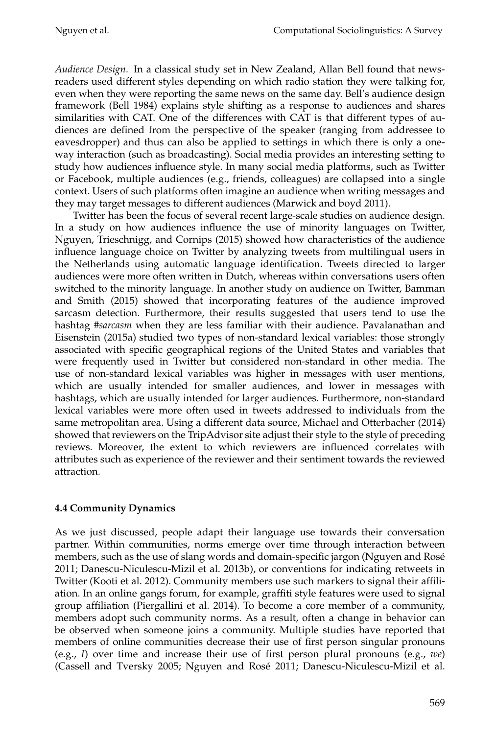*Audience Design.* In a classical study set in New Zealand, Allan Bell found that newsreaders used different styles depending on which radio station they were talking for, even when they were reporting the same news on the same day. Bell's audience design framework (Bell 1984) explains style shifting as a response to audiences and shares similarities with CAT. One of the differences with CAT is that different types of audiences are defined from the perspective of the speaker (ranging from addressee to eavesdropper) and thus can also be applied to settings in which there is only a oneway interaction (such as broadcasting). Social media provides an interesting setting to study how audiences influence style. In many social media platforms, such as Twitter or Facebook, multiple audiences (e.g., friends, colleagues) are collapsed into a single context. Users of such platforms often imagine an audience when writing messages and they may target messages to different audiences (Marwick and boyd 2011).

Twitter has been the focus of several recent large-scale studies on audience design. In a study on how audiences influence the use of minority languages on Twitter, Nguyen, Trieschnigg, and Cornips (2015) showed how characteristics of the audience influence language choice on Twitter by analyzing tweets from multilingual users in the Netherlands using automatic language identification. Tweets directed to larger audiences were more often written in Dutch, whereas within conversations users often switched to the minority language. In another study on audience on Twitter, Bamman and Smith (2015) showed that incorporating features of the audience improved sarcasm detection. Furthermore, their results suggested that users tend to use the hashtag *#sarcasm* when they are less familiar with their audience. Pavalanathan and Eisenstein (2015a) studied two types of non-standard lexical variables: those strongly associated with specific geographical regions of the United States and variables that were frequently used in Twitter but considered non-standard in other media. The use of non-standard lexical variables was higher in messages with user mentions, which are usually intended for smaller audiences, and lower in messages with hashtags, which are usually intended for larger audiences. Furthermore, non-standard lexical variables were more often used in tweets addressed to individuals from the same metropolitan area. Using a different data source, Michael and Otterbacher (2014) showed that reviewers on the TripAdvisor site adjust their style to the style of preceding reviews. Moreover, the extent to which reviewers are influenced correlates with attributes such as experience of the reviewer and their sentiment towards the reviewed attraction.

## **4.4 Community Dynamics**

As we just discussed, people adapt their language use towards their conversation partner. Within communities, norms emerge over time through interaction between members, such as the use of slang words and domain-specific jargon (Nguyen and Rosé 2011; Danescu-Niculescu-Mizil et al. 2013b), or conventions for indicating retweets in Twitter (Kooti et al. 2012). Community members use such markers to signal their affiliation. In an online gangs forum, for example, graffiti style features were used to signal group affiliation (Piergallini et al. 2014). To become a core member of a community, members adopt such community norms. As a result, often a change in behavior can be observed when someone joins a community. Multiple studies have reported that members of online communities decrease their use of first person singular pronouns (e.g., *I*) over time and increase their use of first person plural pronouns (e.g., *we*) (Cassell and Tversky 2005; Nguyen and Rosé 2011; Danescu-Niculescu-Mizil et al.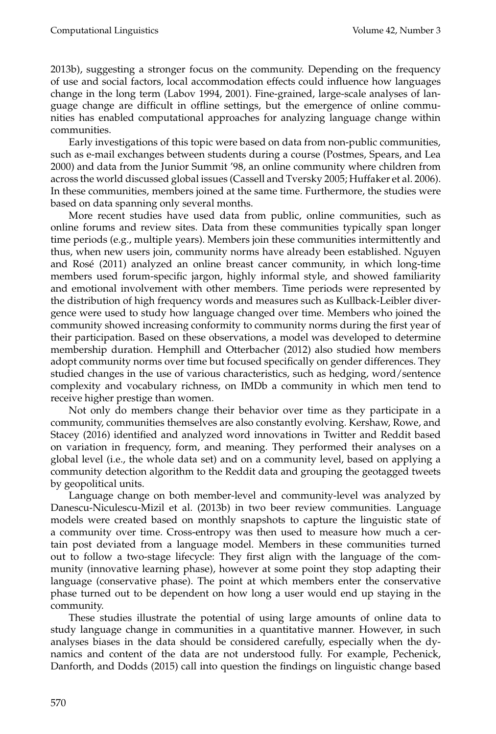2013b), suggesting a stronger focus on the community. Depending on the frequency of use and social factors, local accommodation effects could influence how languages change in the long term (Labov 1994, 2001). Fine-grained, large-scale analyses of language change are difficult in offline settings, but the emergence of online communities has enabled computational approaches for analyzing language change within communities.

Early investigations of this topic were based on data from non-public communities, such as e-mail exchanges between students during a course (Postmes, Spears, and Lea 2000) and data from the Junior Summit '98, an online community where children from across the world discussed global issues (Cassell and Tversky 2005; Huffaker et al. 2006). In these communities, members joined at the same time. Furthermore, the studies were based on data spanning only several months.

More recent studies have used data from public, online communities, such as online forums and review sites. Data from these communities typically span longer time periods (e.g., multiple years). Members join these communities intermittently and thus, when new users join, community norms have already been established. Nguyen and Rosé (2011) analyzed an online breast cancer community, in which long-time members used forum-specific jargon, highly informal style, and showed familiarity and emotional involvement with other members. Time periods were represented by the distribution of high frequency words and measures such as Kullback-Leibler divergence were used to study how language changed over time. Members who joined the community showed increasing conformity to community norms during the first year of their participation. Based on these observations, a model was developed to determine membership duration. Hemphill and Otterbacher (2012) also studied how members adopt community norms over time but focused specifically on gender differences. They studied changes in the use of various characteristics, such as hedging, word/sentence complexity and vocabulary richness, on IMDb a community in which men tend to receive higher prestige than women.

Not only do members change their behavior over time as they participate in a community, communities themselves are also constantly evolving. Kershaw, Rowe, and Stacey (2016) identified and analyzed word innovations in Twitter and Reddit based on variation in frequency, form, and meaning. They performed their analyses on a global level (i.e., the whole data set) and on a community level, based on applying a community detection algorithm to the Reddit data and grouping the geotagged tweets by geopolitical units.

Language change on both member-level and community-level was analyzed by Danescu-Niculescu-Mizil et al. (2013b) in two beer review communities. Language models were created based on monthly snapshots to capture the linguistic state of a community over time. Cross-entropy was then used to measure how much a certain post deviated from a language model. Members in these communities turned out to follow a two-stage lifecycle: They first align with the language of the community (innovative learning phase), however at some point they stop adapting their language (conservative phase). The point at which members enter the conservative phase turned out to be dependent on how long a user would end up staying in the community.

These studies illustrate the potential of using large amounts of online data to study language change in communities in a quantitative manner. However, in such analyses biases in the data should be considered carefully, especially when the dynamics and content of the data are not understood fully. For example, Pechenick, Danforth, and Dodds (2015) call into question the findings on linguistic change based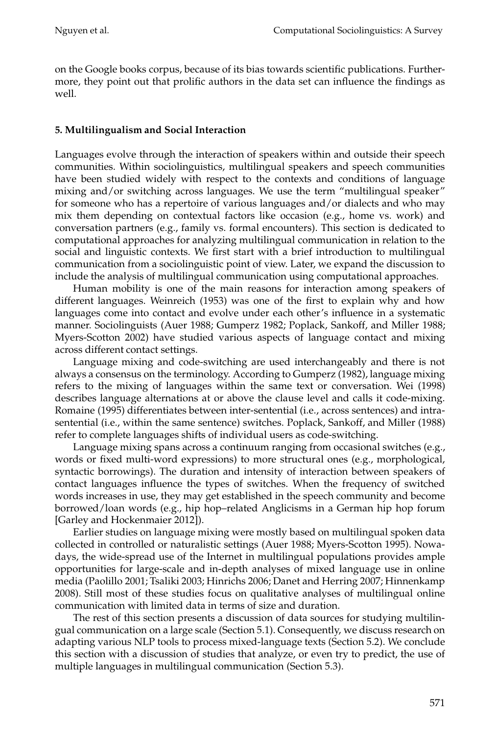on the Google books corpus, because of its bias towards scientific publications. Furthermore, they point out that prolific authors in the data set can influence the findings as well.

#### **5. Multilingualism and Social Interaction**

Languages evolve through the interaction of speakers within and outside their speech communities. Within sociolinguistics, multilingual speakers and speech communities have been studied widely with respect to the contexts and conditions of language mixing and/or switching across languages. We use the term "multilingual speaker" for someone who has a repertoire of various languages and/or dialects and who may mix them depending on contextual factors like occasion (e.g., home vs. work) and conversation partners (e.g., family vs. formal encounters). This section is dedicated to computational approaches for analyzing multilingual communication in relation to the social and linguistic contexts. We first start with a brief introduction to multilingual communication from a sociolinguistic point of view. Later, we expand the discussion to include the analysis of multilingual communication using computational approaches.

Human mobility is one of the main reasons for interaction among speakers of different languages. Weinreich (1953) was one of the first to explain why and how languages come into contact and evolve under each other's influence in a systematic manner. Sociolinguists (Auer 1988; Gumperz 1982; Poplack, Sankoff, and Miller 1988; Myers-Scotton 2002) have studied various aspects of language contact and mixing across different contact settings.

Language mixing and code-switching are used interchangeably and there is not always a consensus on the terminology. According to Gumperz (1982), language mixing refers to the mixing of languages within the same text or conversation. Wei (1998) describes language alternations at or above the clause level and calls it code-mixing. Romaine (1995) differentiates between inter-sentential (i.e., across sentences) and intrasentential (i.e., within the same sentence) switches. Poplack, Sankoff, and Miller (1988) refer to complete languages shifts of individual users as code-switching.

Language mixing spans across a continuum ranging from occasional switches (e.g., words or fixed multi-word expressions) to more structural ones (e.g., morphological, syntactic borrowings). The duration and intensity of interaction between speakers of contact languages influence the types of switches. When the frequency of switched words increases in use, they may get established in the speech community and become borrowed/loan words (e.g., hip hop–related Anglicisms in a German hip hop forum [Garley and Hockenmaier 2012]).

Earlier studies on language mixing were mostly based on multilingual spoken data collected in controlled or naturalistic settings (Auer 1988; Myers-Scotton 1995). Nowadays, the wide-spread use of the Internet in multilingual populations provides ample opportunities for large-scale and in-depth analyses of mixed language use in online media (Paolillo 2001; Tsaliki 2003; Hinrichs 2006; Danet and Herring 2007; Hinnenkamp 2008). Still most of these studies focus on qualitative analyses of multilingual online communication with limited data in terms of size and duration.

The rest of this section presents a discussion of data sources for studying multilingual communication on a large scale (Section 5.1). Consequently, we discuss research on adapting various NLP tools to process mixed-language texts (Section 5.2). We conclude this section with a discussion of studies that analyze, or even try to predict, the use of multiple languages in multilingual communication (Section 5.3).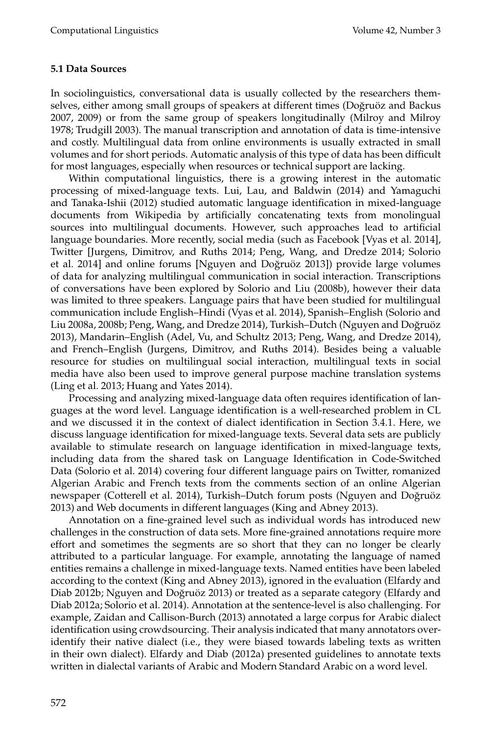#### **5.1 Data Sources**

In sociolinguistics, conversational data is usually collected by the researchers themselves, either among small groups of speakers at different times (Doğruöz and Backus 2007, 2009) or from the same group of speakers longitudinally (Milroy and Milroy 1978; Trudgill 2003). The manual transcription and annotation of data is time-intensive and costly. Multilingual data from online environments is usually extracted in small volumes and for short periods. Automatic analysis of this type of data has been difficult for most languages, especially when resources or technical support are lacking.

Within computational linguistics, there is a growing interest in the automatic processing of mixed-language texts. Lui, Lau, and Baldwin (2014) and Yamaguchi and Tanaka-Ishii (2012) studied automatic language identification in mixed-language documents from Wikipedia by artificially concatenating texts from monolingual sources into multilingual documents. However, such approaches lead to artificial language boundaries. More recently, social media (such as Facebook [Vyas et al. 2014], Twitter [Jurgens, Dimitrov, and Ruths 2014; Peng, Wang, and Dredze 2014; Solorio et al. 2014] and online forums [Nguyen and Doğruöz 2013]) provide large volumes of data for analyzing multilingual communication in social interaction. Transcriptions of conversations have been explored by Solorio and Liu (2008b), however their data was limited to three speakers. Language pairs that have been studied for multilingual communication include English–Hindi (Vyas et al. 2014), Spanish–English (Solorio and Liu 2008a, 2008b; Peng, Wang, and Dredze 2014), Turkish–Dutch (Nguyen and Doğruöz 2013), Mandarin–English (Adel, Vu, and Schultz 2013; Peng, Wang, and Dredze 2014), and French–English (Jurgens, Dimitrov, and Ruths 2014). Besides being a valuable resource for studies on multilingual social interaction, multilingual texts in social media have also been used to improve general purpose machine translation systems (Ling et al. 2013; Huang and Yates 2014).

Processing and analyzing mixed-language data often requires identification of languages at the word level. Language identification is a well-researched problem in CL and we discussed it in the context of dialect identification in Section 3.4.1. Here, we discuss language identification for mixed-language texts. Several data sets are publicly available to stimulate research on language identification in mixed-language texts, including data from the shared task on Language Identification in Code-Switched Data (Solorio et al. 2014) covering four different language pairs on Twitter, romanized Algerian Arabic and French texts from the comments section of an online Algerian newspaper (Cotterell et al. 2014), Turkish–Dutch forum posts (Nguyen and Doğruöz 2013) and Web documents in different languages (King and Abney 2013).

Annotation on a fine-grained level such as individual words has introduced new challenges in the construction of data sets. More fine-grained annotations require more effort and sometimes the segments are so short that they can no longer be clearly attributed to a particular language. For example, annotating the language of named entities remains a challenge in mixed-language texts. Named entities have been labeled according to the context (King and Abney 2013), ignored in the evaluation (Elfardy and Diab 2012b; Nguyen and Doğruöz 2013) or treated as a separate category (Elfardy and Diab 2012a; Solorio et al. 2014). Annotation at the sentence-level is also challenging. For example, Zaidan and Callison-Burch (2013) annotated a large corpus for Arabic dialect identification using crowdsourcing. Their analysis indicated that many annotators overidentify their native dialect (i.e., they were biased towards labeling texts as written in their own dialect). Elfardy and Diab (2012a) presented guidelines to annotate texts written in dialectal variants of Arabic and Modern Standard Arabic on a word level.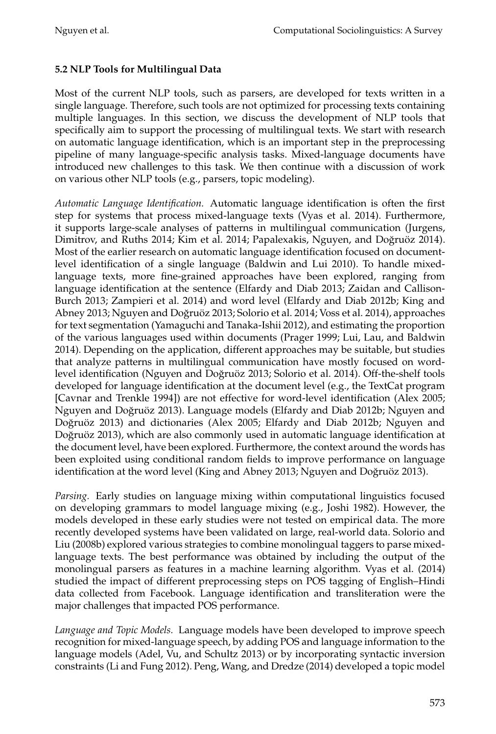## **5.2 NLP Tools for Multilingual Data**

Most of the current NLP tools, such as parsers, are developed for texts written in a single language. Therefore, such tools are not optimized for processing texts containing multiple languages. In this section, we discuss the development of NLP tools that specifically aim to support the processing of multilingual texts. We start with research on automatic language identification, which is an important step in the preprocessing pipeline of many language-specific analysis tasks. Mixed-language documents have introduced new challenges to this task. We then continue with a discussion of work on various other NLP tools (e.g., parsers, topic modeling).

*Automatic Language Identification.* Automatic language identification is often the first step for systems that process mixed-language texts (Vyas et al. 2014). Furthermore, it supports large-scale analyses of patterns in multilingual communication (Jurgens, Dimitrov, and Ruths 2014; Kim et al. 2014; Papalexakis, Nguyen, and Doğruöz 2014). Most of the earlier research on automatic language identification focused on documentlevel identification of a single language (Baldwin and Lui 2010). To handle mixedlanguage texts, more fine-grained approaches have been explored, ranging from language identification at the sentence (Elfardy and Diab 2013; Zaidan and Callison-Burch 2013; Zampieri et al. 2014) and word level (Elfardy and Diab 2012b; King and Abney 2013; Nguyen and Doğruöz 2013; Solorio et al. 2014; Voss et al. 2014), approaches for text segmentation (Yamaguchi and Tanaka-Ishii 2012), and estimating the proportion of the various languages used within documents (Prager 1999; Lui, Lau, and Baldwin 2014). Depending on the application, different approaches may be suitable, but studies that analyze patterns in multilingual communication have mostly focused on wordlevel identification (Nguyen and Doğruöz 2013; Solorio et al. 2014). Off-the-shelf tools developed for language identification at the document level (e.g., the TextCat program [Cavnar and Trenkle 1994]) are not effective for word-level identification (Alex 2005; Nguyen and Doğruöz 2013). Language models (Elfardy and Diab 2012b; Nguyen and Doğruöz 2013) and dictionaries (Alex 2005; Elfardy and Diab 2012b; Nguyen and Doğruöz 2013), which are also commonly used in automatic language identification at the document level, have been explored. Furthermore, the context around the words has been exploited using conditional random fields to improve performance on language identification at the word level (King and Abney 2013; Nguyen and Doğruöz 2013).

*Parsing.* Early studies on language mixing within computational linguistics focused on developing grammars to model language mixing (e.g., Joshi 1982). However, the models developed in these early studies were not tested on empirical data. The more recently developed systems have been validated on large, real-world data. Solorio and Liu (2008b) explored various strategies to combine monolingual taggers to parse mixedlanguage texts. The best performance was obtained by including the output of the monolingual parsers as features in a machine learning algorithm. Vyas et al. (2014) studied the impact of different preprocessing steps on POS tagging of English–Hindi data collected from Facebook. Language identification and transliteration were the major challenges that impacted POS performance.

*Language and Topic Models.* Language models have been developed to improve speech recognition for mixed-language speech, by adding POS and language information to the language models (Adel, Vu, and Schultz 2013) or by incorporating syntactic inversion constraints (Li and Fung 2012). Peng, Wang, and Dredze (2014) developed a topic model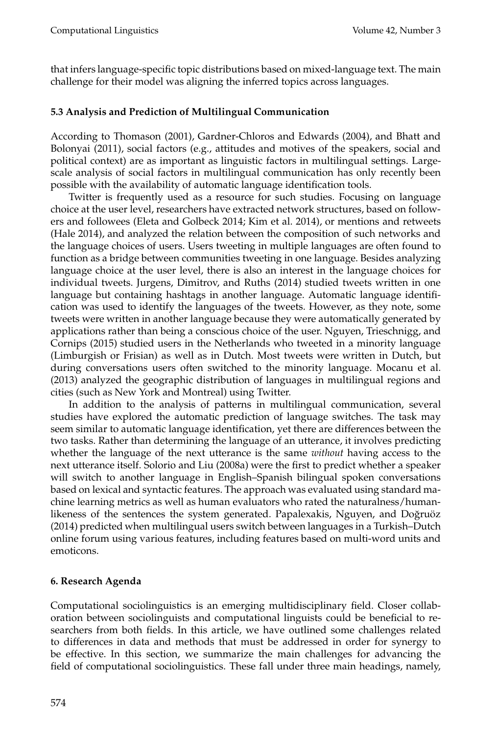that infers language-specific topic distributions based on mixed-language text. The main challenge for their model was aligning the inferred topics across languages.

## **5.3 Analysis and Prediction of Multilingual Communication**

According to Thomason (2001), Gardner-Chloros and Edwards (2004), and Bhatt and Bolonyai (2011), social factors (e.g., attitudes and motives of the speakers, social and political context) are as important as linguistic factors in multilingual settings. Largescale analysis of social factors in multilingual communication has only recently been possible with the availability of automatic language identification tools.

Twitter is frequently used as a resource for such studies. Focusing on language choice at the user level, researchers have extracted network structures, based on followers and followees (Eleta and Golbeck 2014; Kim et al. 2014), or mentions and retweets (Hale 2014), and analyzed the relation between the composition of such networks and the language choices of users. Users tweeting in multiple languages are often found to function as a bridge between communities tweeting in one language. Besides analyzing language choice at the user level, there is also an interest in the language choices for individual tweets. Jurgens, Dimitrov, and Ruths (2014) studied tweets written in one language but containing hashtags in another language. Automatic language identification was used to identify the languages of the tweets. However, as they note, some tweets were written in another language because they were automatically generated by applications rather than being a conscious choice of the user. Nguyen, Trieschnigg, and Cornips (2015) studied users in the Netherlands who tweeted in a minority language (Limburgish or Frisian) as well as in Dutch. Most tweets were written in Dutch, but during conversations users often switched to the minority language. Mocanu et al. (2013) analyzed the geographic distribution of languages in multilingual regions and cities (such as New York and Montreal) using Twitter.

In addition to the analysis of patterns in multilingual communication, several studies have explored the automatic prediction of language switches. The task may seem similar to automatic language identification, yet there are differences between the two tasks. Rather than determining the language of an utterance, it involves predicting whether the language of the next utterance is the same *without* having access to the next utterance itself. Solorio and Liu (2008a) were the first to predict whether a speaker will switch to another language in English–Spanish bilingual spoken conversations based on lexical and syntactic features. The approach was evaluated using standard machine learning metrics as well as human evaluators who rated the naturalness/humanlikeness of the sentences the system generated. Papalexakis, Nguyen, and Doğruöz (2014) predicted when multilingual users switch between languages in a Turkish–Dutch online forum using various features, including features based on multi-word units and emoticons.

## **6. Research Agenda**

Computational sociolinguistics is an emerging multidisciplinary field. Closer collaboration between sociolinguists and computational linguists could be beneficial to researchers from both fields. In this article, we have outlined some challenges related to differences in data and methods that must be addressed in order for synergy to be effective. In this section, we summarize the main challenges for advancing the field of computational sociolinguistics. These fall under three main headings, namely,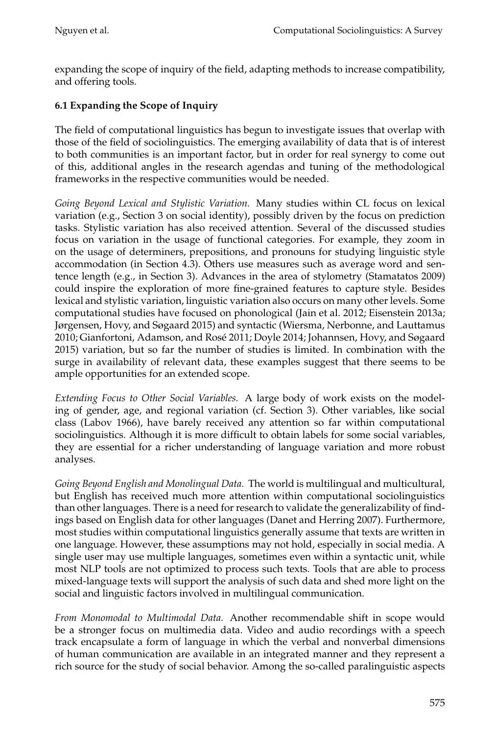expanding the scope of inquiry of the field, adapting methods to increase compatibility, and offering tools.

## **6.1 Expanding the Scope of Inquiry**

The field of computational linguistics has begun to investigate issues that overlap with those of the field of sociolinguistics. The emerging availability of data that is of interest to both communities is an important factor, but in order for real synergy to come out of this, additional angles in the research agendas and tuning of the methodological frameworks in the respective communities would be needed.

*Going Beyond Lexical and Stylistic Variation.* Many studies within CL focus on lexical variation (e.g., Section 3 on social identity), possibly driven by the focus on prediction tasks. Stylistic variation has also received attention. Several of the discussed studies focus on variation in the usage of functional categories. For example, they zoom in on the usage of determiners, prepositions, and pronouns for studying linguistic style accommodation (in Section 4.3). Others use measures such as average word and sentence length (e.g., in Section 3). Advances in the area of stylometry (Stamatatos 2009) could inspire the exploration of more fine-grained features to capture style. Besides lexical and stylistic variation, linguistic variation also occurs on many other levels. Some computational studies have focused on phonological (Jain et al. 2012; Eisenstein 2013a; Jørgensen, Hovy, and Søgaard 2015) and syntactic (Wiersma, Nerbonne, and Lauttamus 2010; Gianfortoni, Adamson, and Rosé 2011; Doyle 2014; Johannsen, Hovy, and Søgaard 2015) variation, but so far the number of studies is limited. In combination with the surge in availability of relevant data, these examples suggest that there seems to be ample opportunities for an extended scope.

*Extending Focus to Other Social Variables.* A large body of work exists on the modeling of gender, age, and regional variation (cf. Section 3). Other variables, like social class (Labov 1966), have barely received any attention so far within computational sociolinguistics. Although it is more difficult to obtain labels for some social variables, they are essential for a richer understanding of language variation and more robust analyses.

*Going Beyond English and Monolingual Data.* The world is multilingual and multicultural, but English has received much more attention within computational sociolinguistics than other languages. There is a need for research to validate the generalizability of findings based on English data for other languages (Danet and Herring 2007). Furthermore, most studies within computational linguistics generally assume that texts are written in one language. However, these assumptions may not hold, especially in social media. A single user may use multiple languages, sometimes even within a syntactic unit, while most NLP tools are not optimized to process such texts. Tools that are able to process mixed-language texts will support the analysis of such data and shed more light on the social and linguistic factors involved in multilingual communication.

*From Monomodal to Multimodal Data.* Another recommendable shift in scope would be a stronger focus on multimedia data. Video and audio recordings with a speech track encapsulate a form of language in which the verbal and nonverbal dimensions of human communication are available in an integrated manner and they represent a rich source for the study of social behavior. Among the so-called paralinguistic aspects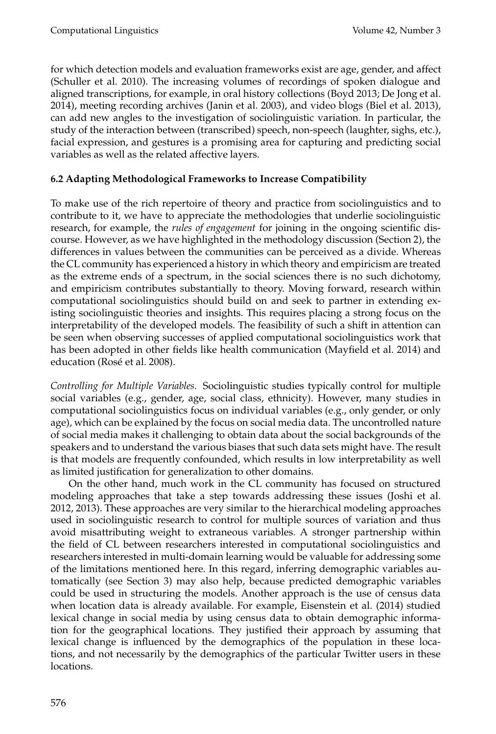for which detection models and evaluation frameworks exist are age, gender, and affect (Schuller et al. 2010). The increasing volumes of recordings of spoken dialogue and aligned transcriptions, for example, in oral history collections (Boyd 2013; De Jong et al. 2014), meeting recording archives (Janin et al. 2003), and video blogs (Biel et al. 2013), can add new angles to the investigation of sociolinguistic variation. In particular, the study of the interaction between (transcribed) speech, non-speech (laughter, sighs, etc.), facial expression, and gestures is a promising area for capturing and predicting social variables as well as the related affective layers.

## **6.2 Adapting Methodological Frameworks to Increase Compatibility**

To make use of the rich repertoire of theory and practice from sociolinguistics and to contribute to it, we have to appreciate the methodologies that underlie sociolinguistic research, for example, the *rules of engagement* for joining in the ongoing scientific discourse. However, as we have highlighted in the methodology discussion (Section 2), the differences in values between the communities can be perceived as a divide. Whereas the CL community has experienced a history in which theory and empiricism are treated as the extreme ends of a spectrum, in the social sciences there is no such dichotomy, and empiricism contributes substantially to theory. Moving forward, research within computational sociolinguistics should build on and seek to partner in extending existing sociolinguistic theories and insights. This requires placing a strong focus on the interpretability of the developed models. The feasibility of such a shift in attention can be seen when observing successes of applied computational sociolinguistics work that has been adopted in other fields like health communication (Mayfield et al. 2014) and education (Rosé et al. 2008).

*Controlling for Multiple Variables.* Sociolinguistic studies typically control for multiple social variables (e.g., gender, age, social class, ethnicity). However, many studies in computational sociolinguistics focus on individual variables (e.g., only gender, or only age), which can be explained by the focus on social media data. The uncontrolled nature of social media makes it challenging to obtain data about the social backgrounds of the speakers and to understand the various biases that such data sets might have. The result is that models are frequently confounded, which results in low interpretability as well as limited justification for generalization to other domains.

On the other hand, much work in the CL community has focused on structured modeling approaches that take a step towards addressing these issues (Joshi et al. 2012, 2013). These approaches are very similar to the hierarchical modeling approaches used in sociolinguistic research to control for multiple sources of variation and thus avoid misattributing weight to extraneous variables. A stronger partnership within the field of CL between researchers interested in computational sociolinguistics and researchers interested in multi-domain learning would be valuable for addressing some of the limitations mentioned here. In this regard, inferring demographic variables automatically (see Section 3) may also help, because predicted demographic variables could be used in structuring the models. Another approach is the use of census data when location data is already available. For example, Eisenstein et al. (2014) studied lexical change in social media by using census data to obtain demographic information for the geographical locations. They justified their approach by assuming that lexical change is influenced by the demographics of the population in these locations, and not necessarily by the demographics of the particular Twitter users in these locations.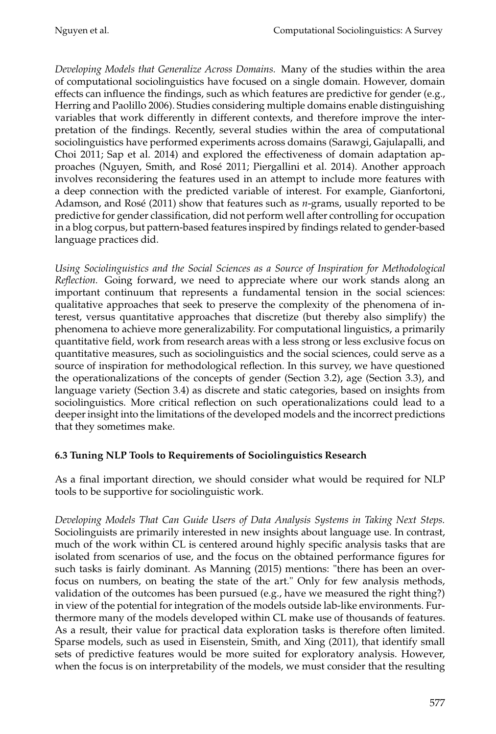*Developing Models that Generalize Across Domains.* Many of the studies within the area of computational sociolinguistics have focused on a single domain. However, domain effects can influence the findings, such as which features are predictive for gender (e.g., Herring and Paolillo 2006). Studies considering multiple domains enable distinguishing variables that work differently in different contexts, and therefore improve the interpretation of the findings. Recently, several studies within the area of computational sociolinguistics have performed experiments across domains (Sarawgi, Gajulapalli, and Choi 2011; Sap et al. 2014) and explored the effectiveness of domain adaptation approaches (Nguyen, Smith, and Rosé 2011; Piergallini et al. 2014). Another approach involves reconsidering the features used in an attempt to include more features with a deep connection with the predicted variable of interest. For example, Gianfortoni, Adamson, and Rosé (2011) show that features such as *n*-grams, usually reported to be predictive for gender classification, did not perform well after controlling for occupation in a blog corpus, but pattern-based features inspired by findings related to gender-based language practices did.

*Using Sociolinguistics and the Social Sciences as a Source of Inspiration for Methodological Reflection.* Going forward, we need to appreciate where our work stands along an important continuum that represents a fundamental tension in the social sciences: qualitative approaches that seek to preserve the complexity of the phenomena of interest, versus quantitative approaches that discretize (but thereby also simplify) the phenomena to achieve more generalizability. For computational linguistics, a primarily quantitative field, work from research areas with a less strong or less exclusive focus on quantitative measures, such as sociolinguistics and the social sciences, could serve as a source of inspiration for methodological reflection. In this survey, we have questioned the operationalizations of the concepts of gender (Section 3.2), age (Section 3.3), and language variety (Section 3.4) as discrete and static categories, based on insights from sociolinguistics. More critical reflection on such operationalizations could lead to a deeper insight into the limitations of the developed models and the incorrect predictions that they sometimes make.

## **6.3 Tuning NLP Tools to Requirements of Sociolinguistics Research**

As a final important direction, we should consider what would be required for NLP tools to be supportive for sociolinguistic work.

*Developing Models That Can Guide Users of Data Analysis Systems in Taking Next Steps.* Sociolinguists are primarily interested in new insights about language use. In contrast, much of the work within CL is centered around highly specific analysis tasks that are isolated from scenarios of use, and the focus on the obtained performance figures for such tasks is fairly dominant. As Manning (2015) mentions: "there has been an overfocus on numbers, on beating the state of the art." Only for few analysis methods, validation of the outcomes has been pursued (e.g., have we measured the right thing?) in view of the potential for integration of the models outside lab-like environments. Furthermore many of the models developed within CL make use of thousands of features. As a result, their value for practical data exploration tasks is therefore often limited. Sparse models, such as used in Eisenstein, Smith, and Xing (2011), that identify small sets of predictive features would be more suited for exploratory analysis. However, when the focus is on interpretability of the models, we must consider that the resulting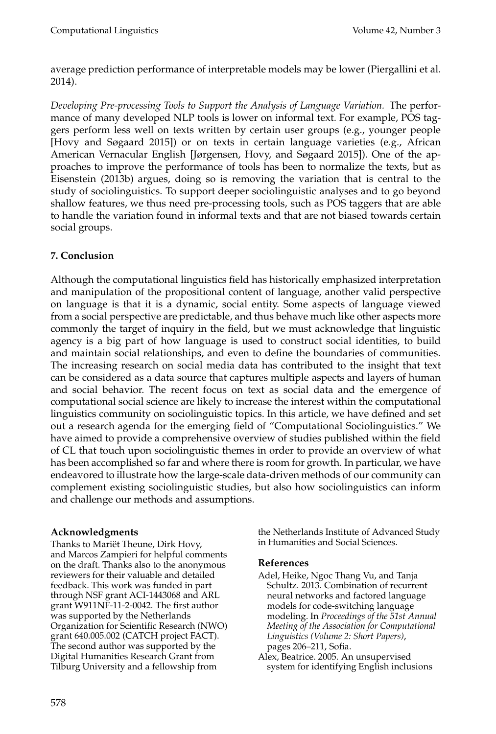average prediction performance of interpretable models may be lower (Piergallini et al. 2014).

*Developing Pre-processing Tools to Support the Analysis of Language Variation.* The performance of many developed NLP tools is lower on informal text. For example, POS taggers perform less well on texts written by certain user groups (e.g., younger people [Hovy and Søgaard 2015]) or on texts in certain language varieties (e.g., African American Vernacular English [Jørgensen, Hovy, and Søgaard 2015]). One of the approaches to improve the performance of tools has been to normalize the texts, but as Eisenstein (2013b) argues, doing so is removing the variation that is central to the study of sociolinguistics. To support deeper sociolinguistic analyses and to go beyond shallow features, we thus need pre-processing tools, such as POS taggers that are able to handle the variation found in informal texts and that are not biased towards certain social groups.

## **7. Conclusion**

Although the computational linguistics field has historically emphasized interpretation and manipulation of the propositional content of language, another valid perspective on language is that it is a dynamic, social entity. Some aspects of language viewed from a social perspective are predictable, and thus behave much like other aspects more commonly the target of inquiry in the field, but we must acknowledge that linguistic agency is a big part of how language is used to construct social identities, to build and maintain social relationships, and even to define the boundaries of communities. The increasing research on social media data has contributed to the insight that text can be considered as a data source that captures multiple aspects and layers of human and social behavior. The recent focus on text as social data and the emergence of computational social science are likely to increase the interest within the computational linguistics community on sociolinguistic topics. In this article, we have defined and set out a research agenda for the emerging field of "Computational Sociolinguistics." We have aimed to provide a comprehensive overview of studies published within the field of CL that touch upon sociolinguistic themes in order to provide an overview of what has been accomplished so far and where there is room for growth. In particular, we have endeavored to illustrate how the large-scale data-driven methods of our community can complement existing sociolinguistic studies, but also how sociolinguistics can inform and challenge our methods and assumptions.

## **Acknowledgments**

Thanks to Mariët Theune, Dirk Hovy, and Marcos Zampieri for helpful comments on the draft. Thanks also to the anonymous reviewers for their valuable and detailed feedback. This work was funded in part through NSF grant ACI-1443068 and ARL grant W911NF-11-2-0042. The first author was supported by the Netherlands Organization for Scientific Research (NWO) grant 640.005.002 (CATCH project FACT). The second author was supported by the Digital Humanities Research Grant from Tilburg University and a fellowship from

the Netherlands Institute of Advanced Study in Humanities and Social Sciences.

#### **References**

- Adel, Heike, Ngoc Thang Vu, and Tanja Schultz. 2013. Combination of recurrent neural networks and factored language models for code-switching language modeling. In *Proceedings of the 51st Annual Meeting of the Association for Computational Linguistics (Volume 2: Short Papers)*, pages 206–211, Sofia.
- Alex, Beatrice. 2005. An unsupervised system for identifying English inclusions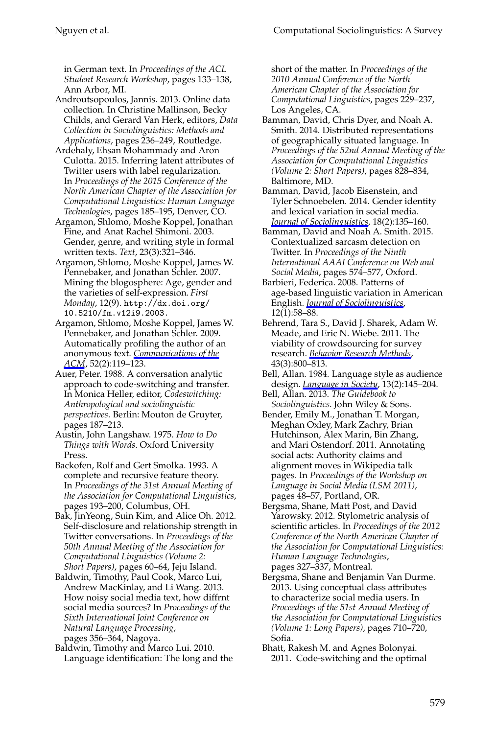in German text. In *Proceedings of the ACL Student Research Workshop*, pages 133–138, Ann Arbor, MI.

Androutsopoulos, Jannis. 2013. Online data collection. In Christine Mallinson, Becky Childs, and Gerard Van Herk, editors, *Data Collection in Sociolinguistics: Methods and Applications*, pages 236–249, Routledge.

Ardehaly, Ehsan Mohammady and Aron Culotta. 2015. Inferring latent attributes of Twitter users with label regularization. In *Proceedings of the 2015 Conference of the North American Chapter of the Association for Computational Linguistics: Human Language Technologies*, pages 185–195, Denver, CO.

Argamon, Shlomo, Moshe Koppel, Jonathan Fine, and Anat Rachel Shimoni. 2003. Gender, genre, and writing style in formal written texts. *Text*, 23(3):321–346.

Argamon, Shlomo, Moshe Koppel, James W. Pennebaker, and Jonathan Schler. 2007. Mining the blogosphere: Age, gender and the varieties of self-expression. *First Monday*, 12(9). http://dx.doi.org/ 10.5210/fm.v12i9.2003.

Argamon, Shlomo, Moshe Koppel, James W. Pennebaker, and Jonathan Schler. 2009. Automatically profiling the author of an anonymous text. *[Communications of the](http://www.mitpressjournals.org/action/showLinks?crossref=10.1145%2F1461928.1461959) [ACM](http://www.mitpressjournals.org/action/showLinks?crossref=10.1145%2F1461928.1461959)*, 52(2):119–123.

Auer, Peter. 1988. A conversation analytic approach to code-switching and transfer. In Monica Heller, editor, *Codeswitching: Anthropological and sociolinguistic perspectives*. Berlin: Mouton de Gruyter, pages 187–213.

Austin, John Langshaw. 1975. *How to Do Things with Words*. Oxford University Press.

Backofen, Rolf and Gert Smolka. 1993. A complete and recursive feature theory. In *Proceedings of the 31st Annual Meeting of the Association for Computational Linguistics*, pages 193–200, Columbus, OH.

Bak, JinYeong, Suin Kim, and Alice Oh. 2012. Self-disclosure and relationship strength in Twitter conversations. In *Proceedings of the 50th Annual Meeting of the Association for Computational Linguistics (Volume 2: Short Papers)*, pages 60–64, Jeju Island.

Baldwin, Timothy, Paul Cook, Marco Lui, Andrew MacKinlay, and Li Wang. 2013. How noisy social media text, how diffrnt social media sources? In *Proceedings of the Sixth International Joint Conference on Natural Language Processing*, pages 356–364, Nagoya.

Baldwin, Timothy and Marco Lui. 2010. Language identification: The long and the short of the matter. In *Proceedings of the 2010 Annual Conference of the North American Chapter of the Association for Computational Linguistics*, pages 229–237, Los Angeles, CA.

Bamman, David, Chris Dyer, and Noah A. Smith. 2014. Distributed representations of geographically situated language. In *Proceedings of the 52nd Annual Meeting of the Association for Computational Linguistics (Volume 2: Short Papers)*, pages 828–834, Baltimore, MD.

Bamman, David, Jacob Eisenstein, and Tyler Schnoebelen. 2014. Gender identity and lexical variation in social media. *[Journal of Sociolinguistics](http://www.mitpressjournals.org/action/showLinks?crossref=10.1111%2Fjosl.12080)*, 18(2):135–160.

Bamman, David and Noah A. Smith. 2015. Contextualized sarcasm detection on Twitter. In *Proceedings of the Ninth International AAAI Conference on Web and Social Media*, pages 574–577, Oxford.

Barbieri, Federica. 2008. Patterns of age-based linguistic variation in American English. *[Journal of Sociolinguistics](http://www.mitpressjournals.org/action/showLinks?crossref=10.1111%2Fj.1467-9841.2008.00353.x)*,  $12(1):58-88.$ 

Behrend, Tara S., David J. Sharek, Adam W. Meade, and Eric N. Wiebe. 2011. The viability of crowdsourcing for survey research. *[Behavior Research Methods](http://www.mitpressjournals.org/action/showLinks?crossref=10.3758%2Fs13428-011-0081-0)*, 43(3):800–813.

- Bell, Allan. 1984. Language style as audience design. *[Language in Society](http://www.mitpressjournals.org/action/showLinks?crossref=10.1017%2FS004740450001037X)*, 13(2):145–204.
- Bell, Allan. 2013. *The Guidebook to Sociolinguistics*. John Wiley & Sons.
- Bender, Emily M., Jonathan T. Morgan, Meghan Oxley, Mark Zachry, Brian Hutchinson, Alex Marin, Bin Zhang, and Mari Ostendorf. 2011. Annotating social acts: Authority claims and alignment moves in Wikipedia talk pages. In *Proceedings of the Workshop on Language in Social Media (LSM 2011)*, pages 48–57, Portland, OR.

Bergsma, Shane, Matt Post, and David Yarowsky. 2012. Stylometric analysis of scientific articles. In *Proceedings of the 2012 Conference of the North American Chapter of the Association for Computational Linguistics: Human Language Technologies*, pages 327–337, Montreal.

Bergsma, Shane and Benjamin Van Durme. 2013. Using conceptual class attributes to characterize social media users. In *Proceedings of the 51st Annual Meeting of the Association for Computational Linguistics (Volume 1: Long Papers)*, pages 710–720, Sofia.

Bhatt, Rakesh M. and Agnes Bolonyai. 2011. Code-switching and the optimal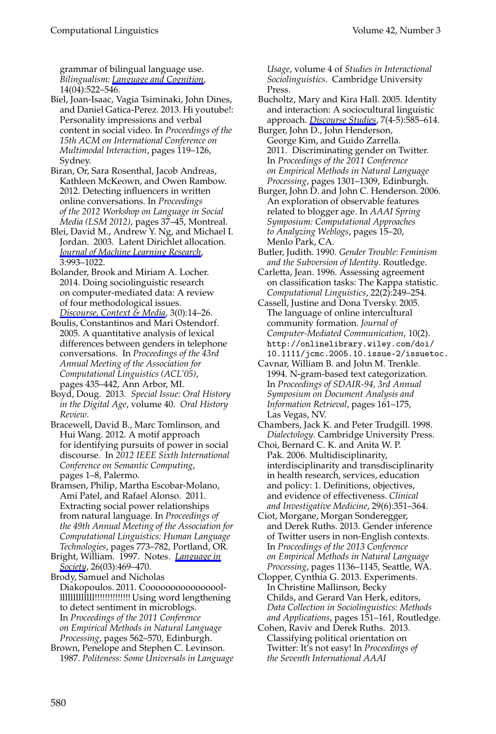grammar of bilingual language use. *Bilingualism: [Language and Cognition](http://www.mitpressjournals.org/action/showLinks?crossref=10.1017%2FS1366728910000295)*, 14(04):522–546.

Biel, Joan-Isaac, Vagia Tsiminaki, John Dines, and Daniel Gatica-Perez. 2013. Hi youtube!: Personality impressions and verbal content in social video. In *Proceedings of the 15th ACM on International Conference on Multimodal Interaction*, pages 119–126, Sydney.

Biran, Or, Sara Rosenthal, Jacob Andreas, Kathleen McKeown, and Owen Rambow. 2012. Detecting influencers in written online conversations. In *Proceedings of the 2012 Workshop on Language in Social Media (LSM 2012)*, pages 37–45, Montreal.

Blei, David M., Andrew Y. Ng, and Michael I. Jordan. 2003. Latent Dirichlet allocation. *[Journal of Machine Learning Research](http://www.mitpressjournals.org/action/showLinks?crossref=10.1162%2Fjmlr.2003.3.4-5.993)*, 3:993–1022.

Bolander, Brook and Miriam A. Locher. 2014. Doing sociolinguistic research on computer-mediated data: A review of four methodological issues. *[Discourse, Context & Media](http://www.mitpressjournals.org/action/showLinks?crossref=10.1016%2Fj.dcm.2013.10.004)*, 3(0):14–26.

Boulis, Constantinos and Mari Ostendorf. 2005. A quantitative analysis of lexical differences between genders in telephone conversations. In *Proceedings of the 43rd Annual Meeting of the Association for Computational Linguistics (ACL'05)*, pages 435–442, Ann Arbor, MI.

Boyd, Doug. 2013. *Special Issue: Oral History in the Digital Age*, volume 40. *Oral History Review*.

Bracewell, David B., Marc Tomlinson, and Hui Wang. 2012. A motif approach for identifying pursuits of power in social discourse. In *2012 IEEE Sixth International Conference on Semantic Computing*, pages 1–8, Palermo.

Bramsen, Philip, Martha Escobar-Molano, Ami Patel, and Rafael Alonso. 2011. Extracting social power relationships from natural language. In *Proceedings of the 49th Annual Meeting of the Association for Computational Linguistics: Human Language Technologies*, pages 773–782, Portland, OR.

Bright, William. 1997. Notes. *[Language in](http://www.mitpressjournals.org/action/showLinks?crossref=10.1017%2FS0047404500019679) [Society](http://www.mitpressjournals.org/action/showLinks?crossref=10.1017%2FS0047404500019679)*, 26(03):469–470.

Brody, Samuel and Nicholas Diakopoulos. 2011. Cooooooooooooooollllllllllllll!!!!!!!!!!!!!! Using word lengthening to detect sentiment in microblogs. In *Proceedings of the 2011 Conference on Empirical Methods in Natural Language Processing*, pages 562–570, Edinburgh.

Brown, Penelope and Stephen C. Levinson. 1987. *Politeness: Some Universals in Language* *Usage*, volume 4 of *Studies in Interactional Sociolinguistics*. Cambridge University Press.

Bucholtz, Mary and Kira Hall. 2005. Identity and interaction: A sociocultural linguistic approach. *[Discourse Studies](http://www.mitpressjournals.org/action/showLinks?crossref=10.1177%2F1461445605054407)*, 7(4-5):585–614.

Burger, John D., John Henderson, George Kim, and Guido Zarrella. 2011. Discriminating gender on Twitter. In *Proceedings of the 2011 Conference on Empirical Methods in Natural Language Processing*, pages 1301–1309, Edinburgh.

Burger, John D. and John C. Henderson. 2006. An exploration of observable features related to blogger age. In *AAAI Spring Symposium: Computational Approaches to Analyzing Weblogs*, pages 15–20, Menlo Park, CA.

Butler, Judith. 1990. *Gender Trouble: Feminism and the Subversion of Identity*. Routledge.

Carletta, Jean. 1996. Assessing agreement on classification tasks: The Kappa statistic. *Computational Linguistics*, 22(2):249–254.

Cassell, Justine and Dona Tversky. 2005. The language of online intercultural community formation. *Journal of Computer-Mediated Communication*, 10(2). http://onlinelibrary.wiley.com/doi/ 10.1111/jcmc.2005.10.issue-2/issuetoc.

Cavnar, William B. and John M. Trenkle. 1994. N-gram-based text categorization. In *Proceedings of SDAIR-94, 3rd Annual Symposium on Document Analysis and Information Retrieval*, pages 161–175, Las Vegas, NV.

Chambers, Jack K. and Peter Trudgill. 1998. *Dialectology*. Cambridge University Press.

Choi, Bernard C. K. and Anita W. P. Pak. 2006. Multidisciplinarity, interdisciplinarity and transdisciplinarity in health research, services, education and policy: 1. Definitions, objectives, and evidence of effectiveness. *Clinical and Investigative Medicine*, 29(6):351–364.

Ciot, Morgane, Morgan Sonderegger, and Derek Ruths. 2013. Gender inference of Twitter users in non-English contexts. In *Proceedings of the 2013 Conference on Empirical Methods in Natural Language Processing*, pages 1136–1145, Seattle, WA.

Clopper, Cynthia G. 2013. Experiments. In Christine Mallinson, Becky Childs, and Gerard Van Herk, editors, *Data Collection in Sociolinguistics: Methods and Applications*, pages 151–161, Routledge.

Cohen, Raviv and Derek Ruths. 2013. Classifying political orientation on Twitter: It's not easy! In *Proceedings of the Seventh International AAAI*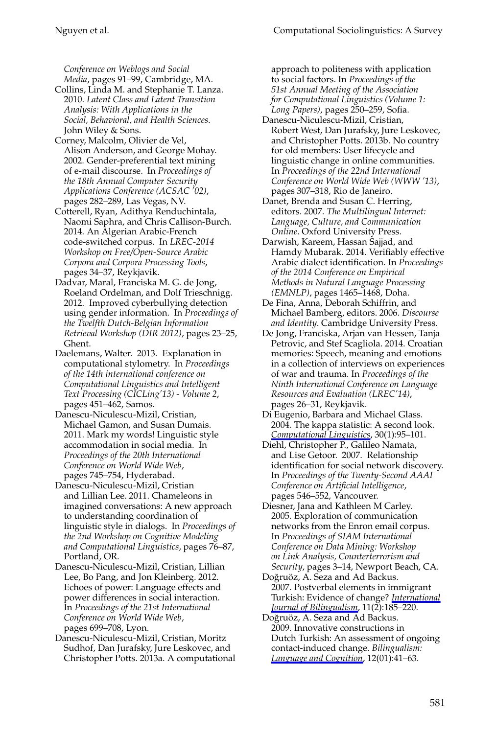*Conference on Weblogs and Social Media*, pages 91–99, Cambridge, MA.

Collins, Linda M. and Stephanie T. Lanza. 2010. *Latent Class and Latent Transition Analysis: With Applications in the Social, Behavioral, and Health Sciences*. John Wiley & Sons.

Corney, Malcolm, Olivier de Vel, Alison Anderson, and George Mohay. 2002. Gender-preferential text mining of e-mail discourse. In *Proceedings of the 18th Annual Computer Security Applications Conference (ACSAC '02)*, pages 282–289, Las Vegas, NV.

Cotterell, Ryan, Adithya Renduchintala, Naomi Saphra, and Chris Callison-Burch. 2014. An Algerian Arabic-French code-switched corpus. In *LREC-2014 Workshop on Free/Open-Source Arabic Corpora and Corpora Processing Tools*, pages 34–37, Reykjavik.

Dadvar, Maral, Franciska M. G. de Jong, Roeland Ordelman, and Dolf Trieschnigg. 2012. Improved cyberbullying detection using gender information. In *Proceedings of the Twelfth Dutch-Belgian Information Retrieval Workshop (DIR 2012)*, pages 23–25, Ghent.

Daelemans, Walter. 2013. Explanation in computational stylometry. In *Proceedings of the 14th international conference on Computational Linguistics and Intelligent Text Processing (CICLing'13) - Volume 2*, pages 451–462, Samos.

Danescu-Niculescu-Mizil, Cristian, Michael Gamon, and Susan Dumais. 2011. Mark my words! Linguistic style accommodation in social media. In *Proceedings of the 20th International Conference on World Wide Web*, pages 745–754, Hyderabad.

Danescu-Niculescu-Mizil, Cristian and Lillian Lee. 2011. Chameleons in imagined conversations: A new approach to understanding coordination of linguistic style in dialogs. In *Proceedings of the 2nd Workshop on Cognitive Modeling and Computational Linguistics*, pages 76–87, Portland, OR.

Danescu-Niculescu-Mizil, Cristian, Lillian Lee, Bo Pang, and Jon Kleinberg. 2012. Echoes of power: Language effects and power differences in social interaction. In *Proceedings of the 21st International Conference on World Wide Web*, pages 699–708, Lyon.

Danescu-Niculescu-Mizil, Cristian, Moritz Sudhof, Dan Jurafsky, Jure Leskovec, and Christopher Potts. 2013a. A computational

approach to politeness with application to social factors. In *Proceedings of the 51st Annual Meeting of the Association for Computational Linguistics (Volume 1: Long Papers)*, pages 250–259, Sofia.

Danescu-Niculescu-Mizil, Cristian, Robert West, Dan Jurafsky, Jure Leskovec, and Christopher Potts. 2013b. No country for old members: User lifecycle and linguistic change in online communities. In *Proceedings of the 22nd International Conference on World Wide Web (WWW '13)*, pages 307–318, Rio de Janeiro.

Danet, Brenda and Susan C. Herring, editors. 2007. *The Multilingual Internet: Language, Culture, and Communication Online*. Oxford University Press.

Darwish, Kareem, Hassan Sajjad, and Hamdy Mubarak. 2014. Verifiably effective Arabic dialect identification. In *Proceedings of the 2014 Conference on Empirical Methods in Natural Language Processing (EMNLP)*, pages 1465–1468, Doha.

De Fina, Anna, Deborah Schiffrin, and Michael Bamberg, editors. 2006. *Discourse and Identity*. Cambridge University Press.

De Jong, Franciska, Arjan van Hessen, Tanja Petrovic, and Stef Scagliola. 2014. Croatian memories: Speech, meaning and emotions in a collection of interviews on experiences of war and trauma. In *Proceedings of the Ninth International Conference on Language Resources and Evaluation (LREC'14)*, pages 26–31, Reykjavik.

Di Eugenio, Barbara and Michael Glass. 2004. The kappa statistic: A second look. *[Computational Linguistics](http://www.mitpressjournals.org/action/showLinks?system=10.1162%2F089120104773633402)*, 30(1):95–101.

Diehl, Christopher P., Galileo Namata, and Lise Getoor. 2007. Relationship identification for social network discovery. In *Proceedings of the Twenty-Second AAAI Conference on Artificial Intelligence*, pages 546–552, Vancouver.

Diesner, Jana and Kathleen M Carley. 2005. Exploration of communication networks from the Enron email corpus. In *Proceedings of SIAM International Conference on Data Mining: Workshop on Link Analysis, Counterterrorism and Security*, pages 3–14, Newport Beach, CA.

Doğruöz, A. Seza and Ad Backus. 2007. Postverbal elements in immigrant Turkish: Evidence of change? *[International](http://www.mitpressjournals.org/action/showLinks?crossref=10.1177%2F13670069070110020301) [Journal of Bilingualism](http://www.mitpressjournals.org/action/showLinks?crossref=10.1177%2F13670069070110020301)*, 11(2):185–220.

Doğruöz, A. Seza and Ad Backus. 2009. Innovative constructions in Dutch Turkish: An assessment of ongoing contact-induced change. *Bilingualism: [Language and Cognition](http://www.mitpressjournals.org/action/showLinks?crossref=10.1017%2FS1366728908003441)*, 12(01):41–63.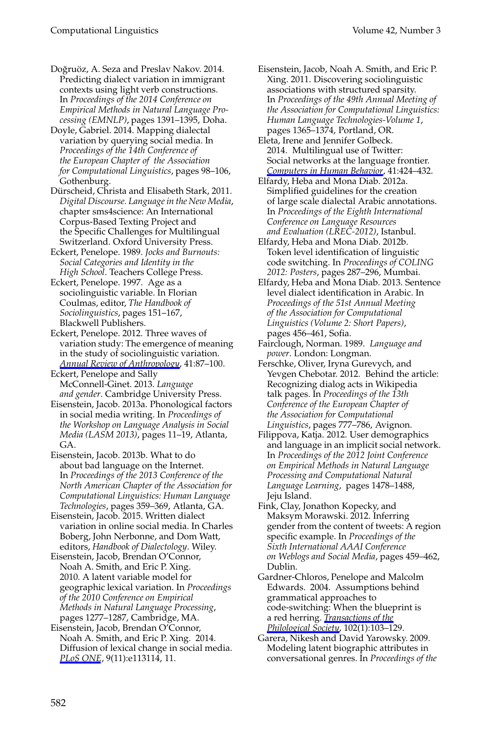- Doğruöz, A. Seza and Preslav Nakov. 2014. Predicting dialect variation in immigrant contexts using light verb constructions. In *Proceedings of the 2014 Conference on Empirical Methods in Natural Language Processing (EMNLP)*, pages 1391–1395, Doha.
- Doyle, Gabriel. 2014. Mapping dialectal variation by querying social media. In *Proceedings of the 14th Conference of the European Chapter of the Association for Computational Linguistics*, pages 98–106, Gothenburg.
- Dürscheid, Christa and Elisabeth Stark, 2011. *Digital Discourse. Language in the New Media*, chapter sms4science: An International Corpus-Based Texting Project and the Specific Challenges for Multilingual Switzerland. Oxford University Press.
- Eckert, Penelope. 1989. *Jocks and Burnouts: Social Categories and Identity in the High School*. Teachers College Press.
- Eckert, Penelope. 1997. Age as a sociolinguistic variable. In Florian Coulmas, editor, *The Handbook of Sociolinguistics*, pages 151–167, Blackwell Publishers.
- Eckert, Penelope. 2012. Three waves of variation study: The emergence of meaning in the study of sociolinguistic variation. *[Annual Review of Anthropology](http://www.mitpressjournals.org/action/showLinks?crossref=10.1146%2Fannurev-anthro-092611-145828)*, 41:87–100.
- Eckert, Penelope and Sally McConnell-Ginet. 2013. *Language and gender*. Cambridge University Press.
- Eisenstein, Jacob. 2013a. Phonological factors in social media writing. In *Proceedings of the Workshop on Language Analysis in Social Media (LASM 2013)*, pages 11–19, Atlanta, GA.
- Eisenstein, Jacob. 2013b. What to do about bad language on the Internet. In *Proceedings of the 2013 Conference of the North American Chapter of the Association for Computational Linguistics: Human Language Technologies*, pages 359–369, Atlanta, GA.
- Eisenstein, Jacob. 2015. Written dialect variation in online social media. In Charles Boberg, John Nerbonne, and Dom Watt, editors, *Handbook of Dialectology*. Wiley.
- Eisenstein, Jacob, Brendan O'Connor, Noah A. Smith, and Eric P. Xing. 2010. A latent variable model for geographic lexical variation. In *Proceedings of the 2010 Conference on Empirical Methods in Natural Language Processing*, pages 1277–1287, Cambridge, MA.
- Eisenstein, Jacob, Brendan O'Connor, Noah A. Smith, and Eric P. Xing. 2014. Diffusion of lexical change in social media. *[PLoS ONE](http://www.mitpressjournals.org/action/showLinks?crossref=10.1371%2Fjournal.pone.0113114)*, 9(11):e113114, 11.

Eisenstein, Jacob, Noah A. Smith, and Eric P. Xing. 2011. Discovering sociolinguistic associations with structured sparsity. In *Proceedings of the 49th Annual Meeting of the Association for Computational Linguistics: Human Language Technologies-Volume 1*, pages 1365–1374, Portland, OR.

Eleta, Irene and Jennifer Golbeck. 2014. Multilingual use of Twitter: Social networks at the language frontier. *[Computers in Human Behavior](http://www.mitpressjournals.org/action/showLinks?crossref=10.1016%2Fj.chb.2014.05.005)*, 41:424–432.

- Elfardy, Heba and Mona Diab. 2012a. Simplified guidelines for the creation of large scale dialectal Arabic annotations. In *Proceedings of the Eighth International Conference on Language Resources and Evaluation (LREC-2012)*, Istanbul.
- Elfardy, Heba and Mona Diab. 2012b. Token level identification of linguistic code switching. In *Proceedings of COLING 2012: Posters*, pages 287–296, Mumbai.
- Elfardy, Heba and Mona Diab. 2013. Sentence level dialect identification in Arabic. In *Proceedings of the 51st Annual Meeting of the Association for Computational Linguistics (Volume 2: Short Papers)*, pages 456–461, Sofia.
- Fairclough, Norman. 1989. *Language and power*. London: Longman.
- Ferschke, Oliver, Iryna Gurevych, and Yevgen Chebotar. 2012. Behind the article: Recognizing dialog acts in Wikipedia talk pages. In *Proceedings of the 13th Conference of the European Chapter of the Association for Computational Linguistics*, pages 777–786, Avignon.
- Filippova, Katja. 2012. User demographics and language in an implicit social network. In *Proceedings of the 2012 Joint Conference on Empirical Methods in Natural Language Processing and Computational Natural Language Learning*, pages 1478–1488, Jeju Island.
- Fink, Clay, Jonathon Kopecky, and Maksym Morawski. 2012. Inferring gender from the content of tweets: A region specific example. In *Proceedings of the Sixth International AAAI Conference on Weblogs and Social Media*, pages 459–462, Dublin.
- Gardner-Chloros, Penelope and Malcolm Edwards. 2004. Assumptions behind grammatical approaches to code-switching: When the blueprint is a red herring. *[Transactions of the](http://www.mitpressjournals.org/action/showLinks?crossref=10.1111%2Fj.0079-1636.2004.00131.x) [Philological Society](http://www.mitpressjournals.org/action/showLinks?crossref=10.1111%2Fj.0079-1636.2004.00131.x)*, 102(1):103–129.
- Garera, Nikesh and David Yarowsky. 2009. Modeling latent biographic attributes in conversational genres. In *Proceedings of the*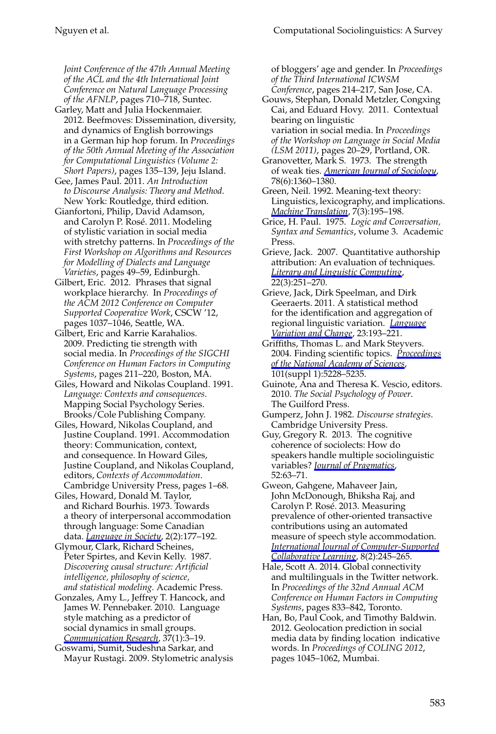*Joint Conference of the 47th Annual Meeting of the ACL and the 4th International Joint Conference on Natural Language Processing of the AFNLP*, pages 710–718, Suntec.

- Garley, Matt and Julia Hockenmaier. 2012. Beefmoves: Dissemination, diversity, and dynamics of English borrowings in a German hip hop forum. In *Proceedings of the 50th Annual Meeting of the Association for Computational Linguistics (Volume 2: Short Papers)*, pages 135–139, Jeju Island.
- Gee, James Paul. 2011. *An Introduction to Discourse Analysis: Theory and Method*. New York: Routledge, third edition.

Gianfortoni, Philip, David Adamson, and Carolyn P. Rosé. 2011. Modeling of stylistic variation in social media with stretchy patterns. In *Proceedings of the First Workshop on Algorithms and Resources for Modelling of Dialects and Language Varieties*, pages 49–59, Edinburgh.

Gilbert, Eric. 2012. Phrases that signal workplace hierarchy. In *Proceedings of the ACM 2012 Conference on Computer Supported Cooperative Work*, CSCW '12, pages 1037–1046, Seattle, WA.

Gilbert, Eric and Karrie Karahalios. 2009. Predicting tie strength with social media. In *Proceedings of the SIGCHI Conference on Human Factors in Computing Systems*, pages 211–220, Boston, MA.

Giles, Howard and Nikolas Coupland. 1991. *Language: Contexts and consequences*. Mapping Social Psychology Series. Brooks/Cole Publishing Company.

- Giles, Howard, Nikolas Coupland, and Justine Coupland. 1991. Accommodation theory: Communication, context, and consequence. In Howard Giles, Justine Coupland, and Nikolas Coupland, editors, *Contexts of Accommodation*. Cambridge University Press, pages 1–68.
- Giles, Howard, Donald M. Taylor, and Richard Bourhis. 1973. Towards a theory of interpersonal accommodation through language: Some Canadian data. *[Language in Society](http://www.mitpressjournals.org/action/showLinks?crossref=10.1017%2FS0047404500000701)*, 2(2):177–192.

Glymour, Clark, Richard Scheines, Peter Spirtes, and Kevin Kelly. 1987. *Discovering causal structure: Artificial intelligence, philosophy of science, and statistical modeling.* Academic Press.

- Gonzales, Amy L., Jeffrey T. Hancock, and James W. Pennebaker. 2010. Language style matching as a predictor of social dynamics in small groups. *[Communication Research](http://www.mitpressjournals.org/action/showLinks?crossref=10.1177%2F0093650209351468)*, 37(1):3–19.
- Goswami, Sumit, Sudeshna Sarkar, and Mayur Rustagi. 2009. Stylometric analysis

of bloggers' age and gender. In *Proceedings of the Third International ICWSM Conference*, pages 214–217, San Jose, CA.

- Gouws, Stephan, Donald Metzler, Congxing Cai, and Eduard Hovy. 2011. Contextual bearing on linguistic variation in social media. In *Proceedings of the Workshop on Language in Social Media (LSM 2011)*, pages 20–29, Portland, OR.
- Granovetter, Mark S. 1973. The strength of weak ties. *[American Journal of Sociology](http://www.mitpressjournals.org/action/showLinks?crossref=10.1086%2F225469)*, 78(6):1360–1380.
- Green, Neil. 1992. Meaning-text theory: Linguistics, lexicography, and implications. *[Machine Translation](http://www.mitpressjournals.org/action/showLinks?crossref=10.1007%2FBF00402511)*, 7(3):195–198.
- Grice, H. Paul. 1975. *Logic and Conversation, Syntax and Semantics*, volume 3. Academic Press.
- Grieve, Jack. 2007. Quantitative authorship attribution: An evaluation of techniques. *[Literary and Linguistic Computing](http://www.mitpressjournals.org/action/showLinks?crossref=10.1093%2Fllc%2Ffqm020)*, 22(3):251–270.
- Grieve, Jack, Dirk Speelman, and Dirk Geeraerts. 2011. A statistical method for the identification and aggregation of regional linguistic variation. *[Language](http://www.mitpressjournals.org/action/showLinks?crossref=10.1017%2FS095439451100007X) [Variation and Change](http://www.mitpressjournals.org/action/showLinks?crossref=10.1017%2FS095439451100007X)*, 23:193–221.
- Griffiths, Thomas L. and Mark Steyvers. 2004. Finding scientific topics. *[Proceedings](http://www.mitpressjournals.org/action/showLinks?crossref=10.1073%2Fpnas.0307752101) [of the National Academy of Sciences](http://www.mitpressjournals.org/action/showLinks?crossref=10.1073%2Fpnas.0307752101)*, 101(suppl 1):5228–5235.
- Guinote, Ana and Theresa K. Vescio, editors. 2010. *The Social Psychology of Power*. The Guilford Press.
- Gumperz, John J. 1982. *Discourse strategies*. Cambridge University Press.
- Guy, Gregory R. 2013. The cognitive coherence of sociolects: How do speakers handle multiple sociolinguistic variables? *[Journal of Pragmatics](http://www.mitpressjournals.org/action/showLinks?crossref=10.1016%2Fj.pragma.2012.12.019)*, 52:63–71.
- Gweon, Gahgene, Mahaveer Jain, John McDonough, Bhiksha Raj, and Carolyn P. Rosé. 2013. Measuring prevalence of other-oriented transactive contributions using an automated measure of speech style accommodation. *[International Journal of Computer-Supported](http://www.mitpressjournals.org/action/showLinks?crossref=10.1007%2Fs11412-013-9172-5) [Collaborative Learning](http://www.mitpressjournals.org/action/showLinks?crossref=10.1007%2Fs11412-013-9172-5)*, 8(2):245–265.
- Hale, Scott A. 2014. Global connectivity and multilinguals in the Twitter network. In *Proceedings of the 32nd Annual ACM Conference on Human Factors in Computing Systems*, pages 833–842, Toronto.
- Han, Bo, Paul Cook, and Timothy Baldwin. 2012. Geolocation prediction in social media data by finding location indicative words. In *Proceedings of COLING 2012*, pages 1045–1062, Mumbai.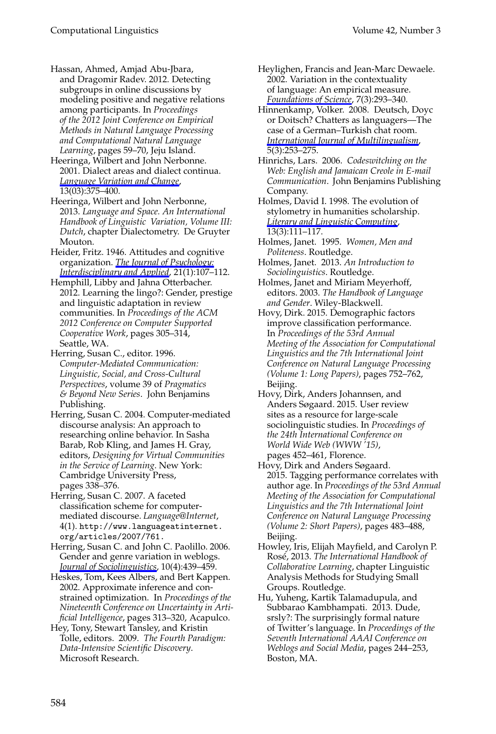- Hassan, Ahmed, Amjad Abu-Jbara, and Dragomir Radev. 2012. Detecting subgroups in online discussions by modeling positive and negative relations among participants. In *Proceedings of the 2012 Joint Conference on Empirical Methods in Natural Language Processing and Computational Natural Language Learning*, pages 59–70, Jeju Island.
- Heeringa, Wilbert and John Nerbonne. 2001. Dialect areas and dialect continua. *[Language Variation and Change](http://www.mitpressjournals.org/action/showLinks?crossref=10.1017%2FS0954394501133041)*, 13(03):375–400.
- Heeringa, Wilbert and John Nerbonne, 2013. *Language and Space. An International Handbook of Linguistic Variation, Volume III: Dutch*, chapter Dialectometry. De Gruyter Mouton.
- Heider, Fritz. 1946. Attitudes and cognitive organization. *[The Journal of Psychology:](http://www.mitpressjournals.org/action/showLinks?crossref=10.1080%2F00223980.1946.9917275) [Interdisciplinary and Applied](http://www.mitpressjournals.org/action/showLinks?crossref=10.1080%2F00223980.1946.9917275)*, 21(1):107–112.
- Hemphill, Libby and Jahna Otterbacher. 2012. Learning the lingo?: Gender, prestige and linguistic adaptation in review communities. In *Proceedings of the ACM 2012 Conference on Computer Supported Cooperative Work*, pages 305–314, Seattle, WA.
- Herring, Susan C., editor. 1996. *Computer-Mediated Communication: Linguistic, Social, and Cross-Cultural Perspectives*, volume 39 of *Pragmatics & Beyond New Series*. John Benjamins Publishing.
- Herring, Susan C. 2004. Computer-mediated discourse analysis: An approach to researching online behavior. In Sasha Barab, Rob Kling, and James H. Gray, editors, *Designing for Virtual Communities in the Service of Learning*. New York: Cambridge University Press, pages 338–376.
- Herring, Susan C. 2007. A faceted classification scheme for computermediated discourse. *Language@Internet*, 4(1). http://www.languageatinternet. org/articles/2007/761.
- Herring, Susan C. and John C. Paolillo. 2006. Gender and genre variation in weblogs. *[Journal of Sociolinguistics](http://www.mitpressjournals.org/action/showLinks?crossref=10.1111%2Fj.1467-9841.2006.00287.x)*, 10(4):439–459.
- Heskes, Tom, Kees Albers, and Bert Kappen. 2002. Approximate inference and constrained optimization. In *Proceedings of the Nineteenth Conference on Uncertainty in Artificial Intelligence*, pages 313–320, Acapulco.
- Hey, Tony, Stewart Tansley, and Kristin Tolle, editors. 2009. *The Fourth Paradigm: Data-Intensive Scientific Discovery*. Microsoft Research.
- Heylighen, Francis and Jean-Marc Dewaele. 2002. Variation in the contextuality of language: An empirical measure. *[Foundations of Science](http://www.mitpressjournals.org/action/showLinks?crossref=10.1023%2FA%3A1019661126744)*, 7(3):293–340.
- Hinnenkamp, Volker. 2008. Deutsch, Doyc or Doitsch? Chatters as languagers—The case of a German–Turkish chat room. *[International Journal of Multilingualism](http://www.mitpressjournals.org/action/showLinks?crossref=10.1080%2F14790710802390228)*, 5(3):253–275.
- Hinrichs, Lars. 2006. *Codeswitching on the Web: English and Jamaican Creole in E-mail Communication*. John Benjamins Publishing Company.
- Holmes, David I. 1998. The evolution of stylometry in humanities scholarship. *[Literary and Linguistic Computing](http://www.mitpressjournals.org/action/showLinks?crossref=10.1093%2Fllc%2F13.3.111)*, 13(3):111–117.
- Holmes, Janet. 1995. *Women, Men and Politeness*. Routledge.
- Holmes, Janet. 2013. *An Introduction to Sociolinguistics*. Routledge.
- Holmes, Janet and Miriam Meyerhoff, editors. 2003. *The Handbook of Language and Gender*. Wiley-Blackwell.
- Hovy, Dirk. 2015. Demographic factors improve classification performance. In *Proceedings of the 53rd Annual Meeting of the Association for Computational Linguistics and the 7th International Joint Conference on Natural Language Processing (Volume 1: Long Papers)*, pages 752–762, Beijing.
- Hovy, Dirk, Anders Johannsen, and Anders Søgaard. 2015. User review sites as a resource for large-scale sociolinguistic studies. In *Proceedings of the 24th International Conference on World Wide Web (WWW '15)*, pages 452–461, Florence.
- Hovy, Dirk and Anders Søgaard. 2015. Tagging performance correlates with author age. In *Proceedings of the 53rd Annual Meeting of the Association for Computational Linguistics and the 7th International Joint Conference on Natural Language Processing (Volume 2: Short Papers)*, pages 483–488, Beijing.
- Howley, Iris, Elijah Mayfield, and Carolyn P. Rosé, 2013. *The International Handbook of Collaborative Learning*, chapter Linguistic Analysis Methods for Studying Small Groups. Routledge.
- Hu, Yuheng, Kartik Talamadupula, and Subbarao Kambhampati. 2013. Dude, srsly?: The surprisingly formal nature of Twitter's language. In *Proceedings of the Seventh International AAAI Conference on Weblogs and Social Media*, pages 244–253, Boston, MA.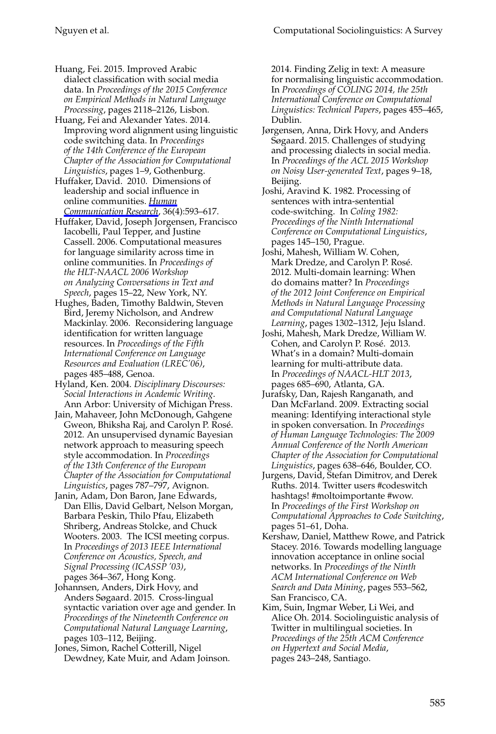Huang, Fei. 2015. Improved Arabic dialect classification with social media data. In *Proceedings of the 2015 Conference on Empirical Methods in Natural Language Processing*, pages 2118–2126, Lisbon.

Huang, Fei and Alexander Yates. 2014. Improving word alignment using linguistic code switching data. In *Proceedings of the 14th Conference of the European Chapter of the Association for Computational Linguistics*, pages 1–9, Gothenburg.

Huffaker, David. 2010. Dimensions of leadership and social influence in online communities. *[Human](http://www.mitpressjournals.org/action/showLinks?crossref=10.1111%2Fj.1468-2958.2010.01390.x) [Communication Research](http://www.mitpressjournals.org/action/showLinks?crossref=10.1111%2Fj.1468-2958.2010.01390.x)*, 36(4):593–617.

Huffaker, David, Joseph Jorgensen, Francisco Iacobelli, Paul Tepper, and Justine Cassell. 2006. Computational measures for language similarity across time in online communities. In *Proceedings of the HLT-NAACL 2006 Workshop on Analyzing Conversations in Text and Speech*, pages 15–22, New York, NY.

Hughes, Baden, Timothy Baldwin, Steven Bird, Jeremy Nicholson, and Andrew Mackinlay. 2006. Reconsidering language identification for written language resources. In *Proceedings of the Fifth International Conference on Language Resources and Evaluation (LREC'06)*, pages 485–488, Genoa.

Hyland, Ken. 2004. *Disciplinary Discourses: Social Interactions in Academic Writing*. Ann Arbor: University of Michigan Press.

Jain, Mahaveer, John McDonough, Gahgene Gweon, Bhiksha Raj, and Carolyn P. Rosé. 2012. An unsupervised dynamic Bayesian network approach to measuring speech style accommodation. In *Proceedings of the 13th Conference of the European Chapter of the Association for Computational Linguistics*, pages 787–797, Avignon.

Janin, Adam, Don Baron, Jane Edwards, Dan Ellis, David Gelbart, Nelson Morgan, Barbara Peskin, Thilo Pfau, Elizabeth Shriberg, Andreas Stolcke, and Chuck Wooters. 2003. The ICSI meeting corpus. In *Proceedings of 2013 IEEE International Conference on Acoustics, Speech, and Signal Processing (ICASSP '03)*, pages 364–367, Hong Kong.

Johannsen, Anders, Dirk Hovy, and Anders Søgaard. 2015. Cross-lingual syntactic variation over age and gender. In *Proceedings of the Nineteenth Conference on Computational Natural Language Learning*, pages 103–112, Beijing.

Jones, Simon, Rachel Cotterill, Nigel Dewdney, Kate Muir, and Adam Joinson. 2014. Finding Zelig in text: A measure for normalising linguistic accommodation. In *Proceedings of COLING 2014, the 25th International Conference on Computational Linguistics: Technical Papers*, pages 455–465, Dublin.

Jørgensen, Anna, Dirk Hovy, and Anders Søgaard. 2015. Challenges of studying and processing dialects in social media. In *Proceedings of the ACL 2015 Workshop on Noisy User-generated Text*, pages 9–18, Beijing.

Joshi, Aravind K. 1982. Processing of sentences with intra-sentential code-switching. In *Coling 1982: Proceedings of the Ninth International Conference on Computational Linguistics*, pages 145–150, Prague.

Joshi, Mahesh, William W. Cohen, Mark Dredze, and Carolyn P. Rosé. 2012. Multi-domain learning: When do domains matter? In *Proceedings of the 2012 Joint Conference on Empirical Methods in Natural Language Processing and Computational Natural Language Learning*, pages 1302–1312, Jeju Island.

Joshi, Mahesh, Mark Dredze, William W. Cohen, and Carolyn P. Rosé. 2013. What's in a domain? Multi-domain learning for multi-attribute data. In *Proceedings of NAACL-HLT 2013*, pages 685–690, Atlanta, GA.

Jurafsky, Dan, Rajesh Ranganath, and Dan McFarland. 2009. Extracting social meaning: Identifying interactional style in spoken conversation. In *Proceedings of Human Language Technologies: The 2009 Annual Conference of the North American Chapter of the Association for Computational Linguistics*, pages 638–646, Boulder, CO.

Jurgens, David, Stefan Dimitrov, and Derek Ruths. 2014. Twitter users #codeswitch hashtags! #moltoimportante #wow. In *Proceedings of the First Workshop on Computational Approaches to Code Switching*, pages 51–61, Doha.

Kershaw, Daniel, Matthew Rowe, and Patrick Stacey. 2016. Towards modelling language innovation acceptance in online social networks. In *Proceedings of the Ninth ACM International Conference on Web Search and Data Mining*, pages 553–562, San Francisco, CA.

Kim, Suin, Ingmar Weber, Li Wei, and Alice Oh. 2014. Sociolinguistic analysis of Twitter in multilingual societies. In *Proceedings of the 25th ACM Conference on Hypertext and Social Media*, pages 243–248, Santiago.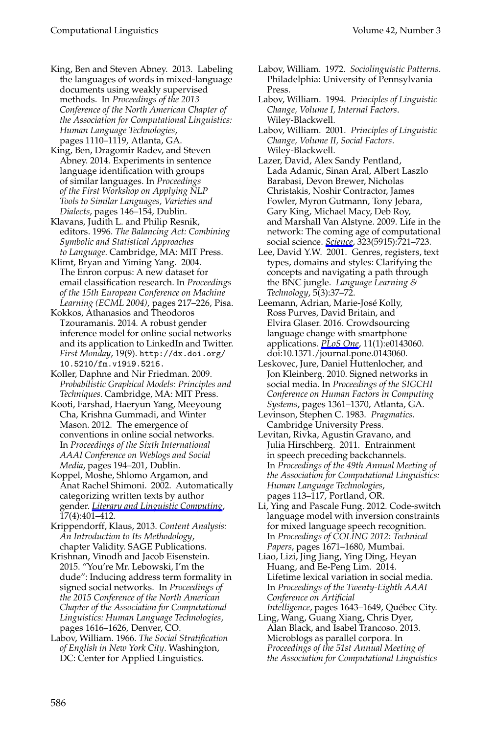- King, Ben and Steven Abney. 2013. Labeling the languages of words in mixed-language documents using weakly supervised methods. In *Proceedings of the 2013 Conference of the North American Chapter of the Association for Computational Linguistics: Human Language Technologies*, pages 1110–1119, Atlanta, GA.
- King, Ben, Dragomir Radev, and Steven Abney. 2014. Experiments in sentence language identification with groups of similar languages. In *Proceedings of the First Workshop on Applying NLP Tools to Similar Languages, Varieties and Dialects*, pages 146–154, Dublin.
- Klavans, Judith L. and Philip Resnik, editors. 1996. *The Balancing Act: Combining Symbolic and Statistical Approaches to Language*. Cambridge, MA: MIT Press.
- Klimt, Bryan and Yiming Yang. 2004. The Enron corpus: A new dataset for email classification research. In *Proceedings of the 15th European Conference on Machine Learning (ECML 2004)*, pages 217–226, Pisa.
- Kokkos, Athanasios and Theodoros Tzouramanis. 2014. A robust gender inference model for online social networks and its application to LinkedIn and Twitter. *First Monday*, 19(9). http://dx.doi.org/ 10.5210/fm.v19i9.5216.
- Koller, Daphne and Nir Friedman. 2009. *Probabilistic Graphical Models: Principles and Techniques*. Cambridge, MA: MIT Press.
- Kooti, Farshad, Haeryun Yang, Meeyoung Cha, Krishna Gummadi, and Winter Mason. 2012. The emergence of conventions in online social networks. In *Proceedings of the Sixth International AAAI Conference on Weblogs and Social Media*, pages 194–201, Dublin.
- Koppel, Moshe, Shlomo Argamon, and Anat Rachel Shimoni. 2002. Automatically categorizing written texts by author gender. *[Literary and Linguistic Computing](http://www.mitpressjournals.org/action/showLinks?crossref=10.1093%2Fllc%2F17.4.401)*, 17(4):401–412.
- Krippendorff, Klaus, 2013. *Content Analysis: An Introduction to Its Methodology*, chapter Validity. SAGE Publications.
- Krishnan, Vinodh and Jacob Eisenstein. 2015. "You're Mr. Lebowski, I'm the dude": Inducing address term formality in signed social networks. In *Proceedings of the 2015 Conference of the North American Chapter of the Association for Computational Linguistics: Human Language Technologies*, pages 1616–1626, Denver, CO.
- Labov, William. 1966. *The Social Stratification of English in New York City*. Washington, DC: Center for Applied Linguistics.
- Labov, William. 1972. *Sociolinguistic Patterns*. Philadelphia: University of Pennsylvania Press.
- Labov, William. 1994. *Principles of Linguistic Change, Volume I, Internal Factors*. Wiley-Blackwell.
- Labov, William. 2001. *Principles of Linguistic Change, Volume II, Social Factors*. Wiley-Blackwell.
- Lazer, David, Alex Sandy Pentland, Lada Adamic, Sinan Aral, Albert Laszlo Barabasi, Devon Brewer, Nicholas Christakis, Noshir Contractor, James Fowler, Myron Gutmann, Tony Jebara, Gary King, Michael Macy, Deb Roy, and Marshall Van Alstyne. 2009. Life in the network: The coming age of computational social science. *[Science](http://www.mitpressjournals.org/action/showLinks?crossref=10.1126%2Fscience.1167742)*, 323(5915):721–723.
- Lee, David Y.W. 2001. Genres, registers, text types, domains and styles: Clarifying the concepts and navigating a path through the BNC jungle. *Language Learning & Technology*, 5(3):37–72.
- Leemann, Adrian, Marie-José Kolly, Ross Purves, David Britain, and Elvira Glaser. 2016. Crowdsourcing language change with smartphone applications. *[PLoS One](http://www.mitpressjournals.org/action/showLinks?crossref=10.1371%2Fjournal.pone.0143060)*, 11(1):e0143060. doi:10.1371./journal.pone.0143060.
- Leskovec, Jure, Daniel Huttenlocher, and Jon Kleinberg. 2010. Signed networks in social media. In *Proceedings of the SIGCHI Conference on Human Factors in Computing Systems*, pages 1361–1370, Atlanta, GA.
- Levinson, Stephen C. 1983. *Pragmatics*. Cambridge University Press.
- Levitan, Rivka, Agustin Gravano, and Julia Hirschberg. 2011. Entrainment in speech preceding backchannels. In *Proceedings of the 49th Annual Meeting of the Association for Computational Linguistics: Human Language Technologies*, pages 113–117, Portland, OR.
- Li, Ying and Pascale Fung. 2012. Code-switch language model with inversion constraints for mixed language speech recognition. In *Proceedings of COLING 2012: Technical Papers*, pages 1671–1680, Mumbai.
- Liao, Lizi, Jing Jiang, Ying Ding, Heyan Huang, and Ee-Peng Lim. 2014. Lifetime lexical variation in social media. In *Proceedings of the Twenty-Eighth AAAI Conference on Artificial Intelligence*, pages 1643–1649, Québec City.
- Ling, Wang, Guang Xiang, Chris Dyer, Alan Black, and Isabel Trancoso. 2013. Microblogs as parallel corpora. In *Proceedings of the 51st Annual Meeting of the Association for Computational Linguistics*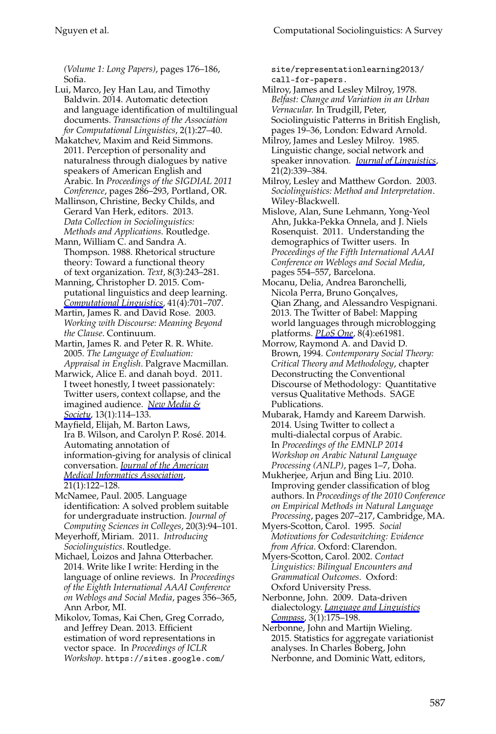*(Volume 1: Long Papers)*, pages 176–186, Sofia.

Lui, Marco, Jey Han Lau, and Timothy Baldwin. 2014. Automatic detection and language identification of multilingual documents. *Transactions of the Association for Computational Linguistics*, 2(1):27–40.

Makatchev, Maxim and Reid Simmons. 2011. Perception of personality and naturalness through dialogues by native speakers of American English and Arabic. In *Proceedings of the SIGDIAL 2011 Conference*, pages 286–293, Portland, OR.

Mallinson, Christine, Becky Childs, and Gerard Van Herk, editors. 2013. *Data Collection in Sociolinguistics: Methods and Applications*. Routledge.

Mann, William C. and Sandra A. Thompson. 1988. Rhetorical structure theory: Toward a functional theory of text organization. *Text*, 8(3):243–281.

Manning, Christopher D. 2015. Computational linguistics and deep learning. *[Computational Linguistics](http://www.mitpressjournals.org/action/showLinks?system=10.1162%2FCOLI_a_00239)*, 41(4):701–707.

Martin, James R. and David Rose. 2003. *Working with Discourse: Meaning Beyond the Clause*. Continuum.

Martin, James R. and Peter R. R. White. 2005. *The Language of Evaluation: Appraisal in English*. Palgrave Macmillan.

Marwick, Alice E. and danah boyd. 2011. I tweet honestly, I tweet passionately: Twitter users, context collapse, and the imagined audience. *[New Media &](http://www.mitpressjournals.org/action/showLinks?crossref=10.1177%2F1461444810365313) [Society](http://www.mitpressjournals.org/action/showLinks?crossref=10.1177%2F1461444810365313)*, 13(1):114–133.

Mayfield, Elijah, M. Barton Laws, Ira B. Wilson, and Carolyn P. Rosé. 2014. Automating annotation of information-giving for analysis of clinical conversation. *[Journal of the American](http://www.mitpressjournals.org/action/showLinks?crossref=10.1136%2Famiajnl-2013-001898) [Medical Informatics Association](http://www.mitpressjournals.org/action/showLinks?crossref=10.1136%2Famiajnl-2013-001898)*, 21(1):122–128.

McNamee, Paul. 2005. Language identification: A solved problem suitable for undergraduate instruction. *Journal of Computing Sciences in Colleges*, 20(3):94–101.

Meyerhoff, Miriam. 2011. *Introducing Sociolinguistics*. Routledge.

Michael, Loizos and Jahna Otterbacher. 2014. Write like I write: Herding in the language of online reviews. In *Proceedings of the Eighth International AAAI Conference on Weblogs and Social Media*, pages 356–365, Ann Arbor, MI.

Mikolov, Tomas, Kai Chen, Greg Corrado, and Jeffrey Dean. 2013. Efficient estimation of word representations in vector space. In *Proceedings of ICLR Workshop*. https://sites.google.com/ site/representationlearning2013/ call-for-papers.

Milroy, James and Lesley Milroy, 1978. *Belfast: Change and Variation in an Urban Vernacular.* In Trudgill, Peter, Sociolinguistic Patterns in British English, pages 19–36, London: Edward Arnold.

Milroy, James and Lesley Milroy. 1985. Linguistic change, social network and speaker innovation. *[Journal of Linguistics](http://www.mitpressjournals.org/action/showLinks?crossref=10.1017%2FS0022226700010306)*, 21(2):339–384.

Milroy, Lesley and Matthew Gordon. 2003. *Sociolinguistics: Method and Interpretation*. Wiley-Blackwell.

Mislove, Alan, Sune Lehmann, Yong-Yeol Ahn, Jukka-Pekka Onnela, and J. Niels Rosenquist. 2011. Understanding the demographics of Twitter users. In *Proceedings of the Fifth International AAAI Conference on Weblogs and Social Media*, pages 554–557, Barcelona.

Mocanu, Delia, Andrea Baronchelli, Nicola Perra, Bruno Gonçalves, Qian Zhang, and Alessandro Vespignani. 2013. The Twitter of Babel: Mapping world languages through microblogging platforms. *[PLoS One](http://www.mitpressjournals.org/action/showLinks?crossref=10.1371%2Fjournal.pone.0061981)*, 8(4):e61981.

Morrow, Raymond A. and David D. Brown, 1994. *Contemporary Social Theory: Critical Theory and Methodology*, chapter Deconstructing the Conventional Discourse of Methodology: Quantitative versus Qualitative Methods. SAGE Publications.

Mubarak, Hamdy and Kareem Darwish. 2014. Using Twitter to collect a multi-dialectal corpus of Arabic. In *Proceedings of the EMNLP 2014 Workshop on Arabic Natural Language Processing (ANLP)*, pages 1–7, Doha.

Mukherjee, Arjun and Bing Liu. 2010. Improving gender classification of blog authors. In *Proceedings of the 2010 Conference on Empirical Methods in Natural Language Processing*, pages 207–217, Cambridge, MA.

Myers-Scotton, Carol. 1995. *Social Motivations for Codeswitching: Evidence from Africa*. Oxford: Clarendon.

Myers-Scotton, Carol. 2002. *Contact Linguistics: Bilingual Encounters and Grammatical Outcomes*. Oxford: Oxford University Press.

Nerbonne, John. 2009. Data-driven dialectology. *[Language and Linguistics](http://www.mitpressjournals.org/action/showLinks?crossref=10.1111%2Fj.1749-818X.2008.00114.x) [Compass](http://www.mitpressjournals.org/action/showLinks?crossref=10.1111%2Fj.1749-818X.2008.00114.x)*, 3(1):175–198.

Nerbonne, John and Martijn Wieling. 2015. Statistics for aggregate variationist analyses. In Charles Boberg, John Nerbonne, and Dominic Watt, editors,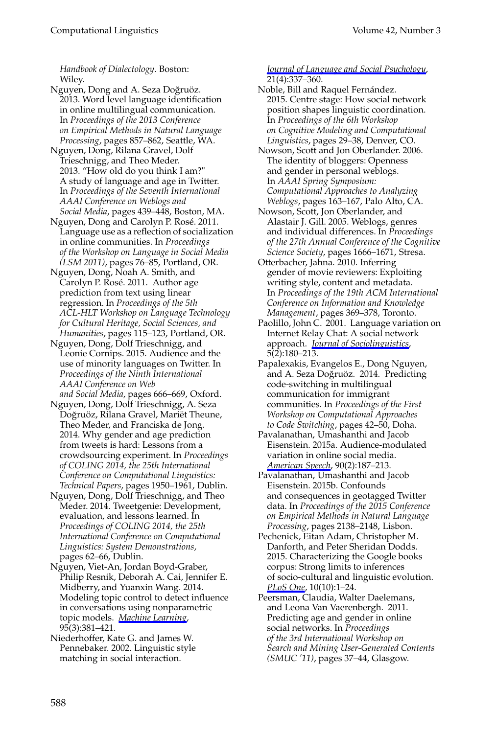*Handbook of Dialectology*. Boston: Wiley.

Nguyen, Dong and A. Seza Doğruöz. 2013. Word level language identification in online multilingual communication. In *Proceedings of the 2013 Conference on Empirical Methods in Natural Language Processing*, pages 857–862, Seattle, WA.

Nguyen, Dong, Rilana Gravel, Dolf Trieschnigg, and Theo Meder. 2013. "How old do you think I am?" A study of language and age in Twitter. In *Proceedings of the Seventh International AAAI Conference on Weblogs and Social Media*, pages 439–448, Boston, MA.

Nguyen, Dong and Carolyn P. Rosé. 2011. Language use as a reflection of socialization in online communities. In *Proceedings of the Workshop on Language in Social Media (LSM 2011)*, pages 76–85, Portland, OR.

Nguyen, Dong, Noah A. Smith, and Carolyn P. Rosé. 2011. Author age prediction from text using linear regression. In *Proceedings of the 5th ACL-HLT Workshop on Language Technology for Cultural Heritage, Social Sciences, and Humanities*, pages 115–123, Portland, OR.

Nguyen, Dong, Dolf Trieschnigg, and Leonie Cornips. 2015. Audience and the use of minority languages on Twitter. In *Proceedings of the Ninth International AAAI Conference on Web*

*and Social Media*, pages 666–669, Oxford. Nguyen, Dong, Dolf Trieschnigg, A. Seza Doğruöz, Rilana Gravel, Mariët Theune, Theo Meder, and Franciska de Jong. 2014. Why gender and age prediction from tweets is hard: Lessons from a crowdsourcing experiment. In *Proceedings of COLING 2014, the 25th International Conference on Computational Linguistics: Technical Papers*, pages 1950–1961, Dublin.

Nguyen, Dong, Dolf Trieschnigg, and Theo Meder. 2014. Tweetgenie: Development, evaluation, and lessons learned. In *Proceedings of COLING 2014, the 25th International Conference on Computational Linguistics: System Demonstrations*, pages 62–66, Dublin.

Nguyen, Viet-An, Jordan Boyd-Graber, Philip Resnik, Deborah A. Cai, Jennifer E. Midberry, and Yuanxin Wang. 2014. Modeling topic control to detect influence in conversations using nonparametric topic models. *[Machine Learning](http://www.mitpressjournals.org/action/showLinks?crossref=10.1007%2Fs10994-013-5417-9)*, 95(3):381–421.

Niederhoffer, Kate G. and James W. Pennebaker. 2002. Linguistic style matching in social interaction.

*[Journal of Language and Social Psychology](http://www.mitpressjournals.org/action/showLinks?crossref=10.1177%2F026192702237953)*, 21(4):337–360.

Noble, Bill and Raquel Fernández. 2015. Centre stage: How social network position shapes linguistic coordination. In *Proceedings of the 6th Workshop on Cognitive Modeling and Computational Linguistics*, pages 29–38, Denver, CO.

Nowson, Scott and Jon Oberlander. 2006. The identity of bloggers: Openness and gender in personal weblogs. In *AAAI Spring Symposium: Computational Approaches to Analyzing Weblogs*, pages 163–167, Palo Alto, CA.

Nowson, Scott, Jon Oberlander, and Alastair J. Gill. 2005. Weblogs, genres and individual differences. In *Proceedings of the 27th Annual Conference of the Cognitive Science Society*, pages 1666–1671, Stresa.

Otterbacher, Jahna. 2010. Inferring gender of movie reviewers: Exploiting writing style, content and metadata. In *Proceedings of the 19th ACM International Conference on Information and Knowledge Management*, pages 369–378, Toronto.

Paolillo, John C. 2001. Language variation on Internet Relay Chat: A social network approach. *[Journal of Sociolinguistics](http://www.mitpressjournals.org/action/showLinks?crossref=10.1111%2F1467-9481.00147)*, 5(2):180–213.

Papalexakis, Evangelos E., Dong Nguyen, and A. Seza Doğruöz. 2014. Predicting code-switching in multilingual communication for immigrant communities. In *Proceedings of the First Workshop on Computational Approaches to Code Switching*, pages 42–50, Doha.

Pavalanathan, Umashanthi and Jacob Eisenstein. 2015a. Audience-modulated variation in online social media. *[American Speech](http://www.mitpressjournals.org/action/showLinks?crossref=10.1215%2F00031283-3130324)*, 90(2):187–213.

Pavalanathan, Umashanthi and Jacob Eisenstein. 2015b. Confounds and consequences in geotagged Twitter data. In *Proceedings of the 2015 Conference on Empirical Methods in Natural Language Processing*, pages 2138–2148, Lisbon.

Pechenick, Eitan Adam, Christopher M. Danforth, and Peter Sheridan Dodds. 2015. Characterizing the Google books corpus: Strong limits to inferences of socio-cultural and linguistic evolution. *[PLoS One](http://www.mitpressjournals.org/action/showLinks?crossref=10.1371%2Fjournal.pone.0137041)*, 10(10):1–24.

Peersman, Claudia, Walter Daelemans, and Leona Van Vaerenbergh. 2011. Predicting age and gender in online social networks. In *Proceedings of the 3rd International Workshop on Search and Mining User-Generated Contents (SMUC '11)*, pages 37–44, Glasgow.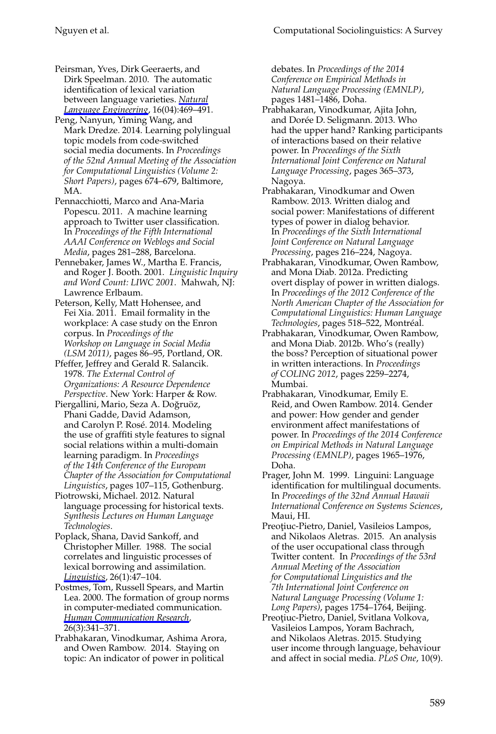Peirsman, Yves, Dirk Geeraerts, and Dirk Speelman. 2010. The automatic identification of lexical variation between language varieties. *[Natural](http://www.mitpressjournals.org/action/showLinks?crossref=10.1017%2FS1351324910000161) [Language Engineering](http://www.mitpressjournals.org/action/showLinks?crossref=10.1017%2FS1351324910000161)*, 16(04):469–491.

Peng, Nanyun, Yiming Wang, and Mark Dredze. 2014. Learning polylingual topic models from code-switched social media documents. In *Proceedings of the 52nd Annual Meeting of the Association for Computational Linguistics (Volume 2: Short Papers)*, pages 674–679, Baltimore, MA.

Pennacchiotti, Marco and Ana-Maria Popescu. 2011. A machine learning approach to Twitter user classification. In *Proceedings of the Fifth International AAAI Conference on Weblogs and Social Media*, pages 281–288, Barcelona.

Pennebaker, James W., Martha E. Francis, and Roger J. Booth. 2001. *Linguistic Inquiry and Word Count: LIWC 2001*. Mahwah, NJ: Lawrence Erlbaum.

Peterson, Kelly, Matt Hohensee, and Fei Xia. 2011. Email formality in the workplace: A case study on the Enron corpus. In *Proceedings of the Workshop on Language in Social Media (LSM 2011)*, pages 86–95, Portland, OR.

Pfeffer, Jeffrey and Gerald R. Salancik. 1978. *The External Control of Organizations: A Resource Dependence Perspective*. New York: Harper & Row.

Piergallini, Mario, Seza A. Doğruöz, Phani Gadde, David Adamson, and Carolyn P. Rosé. 2014. Modeling the use of graffiti style features to signal social relations within a multi-domain learning paradigm. In *Proceedings of the 14th Conference of the European Chapter of the Association for Computational Linguistics*, pages 107–115, Gothenburg.

Piotrowski, Michael. 2012. Natural language processing for historical texts. *Synthesis Lectures on Human Language Technologies*.

Poplack, Shana, David Sankoff, and Christopher Miller. 1988. The social correlates and linguistic processes of lexical borrowing and assimilation. *[Linguistics](http://www.mitpressjournals.org/action/showLinks?crossref=10.1515%2Fling.1988.26.1.47)*, 26(1):47–104.

Postmes, Tom, Russell Spears, and Martin Lea. 2000. The formation of group norms in computer-mediated communication. *[Human Communication Research](http://www.mitpressjournals.org/action/showLinks?crossref=10.1111%2Fj.1468-2958.2000.tb00761.x)*, 26(3):341–371.

Prabhakaran, Vinodkumar, Ashima Arora, and Owen Rambow. 2014. Staying on topic: An indicator of power in political

debates. In *Proceedings of the 2014 Conference on Empirical Methods in Natural Language Processing (EMNLP)*, pages 1481–1486, Doha.

Prabhakaran, Vinodkumar, Ajita John, and Dorée D. Seligmann. 2013. Who had the upper hand? Ranking participants of interactions based on their relative power. In *Proceedings of the Sixth International Joint Conference on Natural Language Processing*, pages 365–373, Nagoya.

Prabhakaran, Vinodkumar and Owen Rambow. 2013. Written dialog and social power: Manifestations of different types of power in dialog behavior. In *Proceedings of the Sixth International Joint Conference on Natural Language Processing*, pages 216–224, Nagoya.

Prabhakaran, Vinodkumar, Owen Rambow, and Mona Diab. 2012a. Predicting overt display of power in written dialogs. In *Proceedings of the 2012 Conference of the North American Chapter of the Association for Computational Linguistics: Human Language Technologies*, pages 518–522, Montréal.

Prabhakaran, Vinodkumar, Owen Rambow, and Mona Diab. 2012b. Who's (really) the boss? Perception of situational power in written interactions. In *Proceedings of COLING 2012*, pages 2259–2274, Mumbai.

Prabhakaran, Vinodkumar, Emily E. Reid, and Owen Rambow. 2014. Gender and power: How gender and gender environment affect manifestations of power. In *Proceedings of the 2014 Conference on Empirical Methods in Natural Language Processing (EMNLP)*, pages 1965–1976, Doha.

Prager, John M. 1999. Linguini: Language identification for multilingual documents. In *Proceedings of the 32nd Annual Hawaii International Conference on Systems Sciences*, Maui, HI.

Preoțiuc-Pietro, Daniel, Vasileios Lampos, and Nikolaos Aletras. 2015. An analysis of the user occupational class through Twitter content. In *Proceedings of the 53rd Annual Meeting of the Association for Computational Linguistics and the 7th International Joint Conference on Natural Language Processing (Volume 1: Long Papers)*, pages 1754–1764, Beijing.

Preoțiuc-Pietro, Daniel, Svitlana Volkova, Vasileios Lampos, Yoram Bachrach, and Nikolaos Aletras. 2015. Studying user income through language, behaviour and affect in social media. *PLoS One*, 10(9).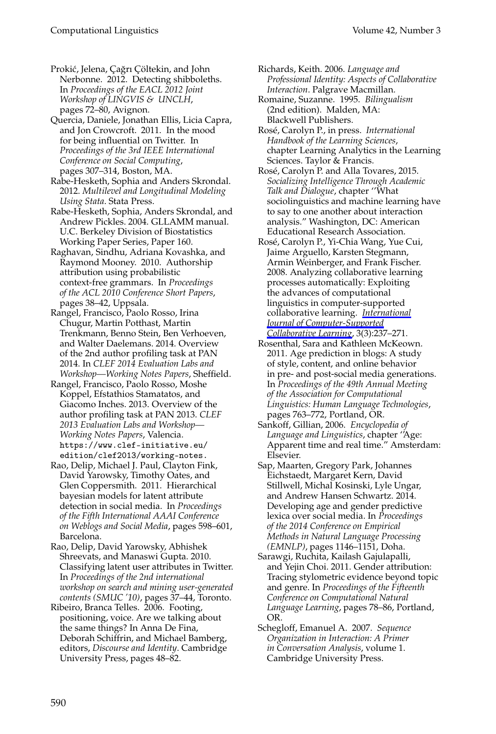Prokić, Jelena, Çağrı Çöltekin, and John Nerbonne. 2012. Detecting shibboleths. In *Proceedings of the EACL 2012 Joint Workshop of LINGVIS & UNCLH*, pages 72–80, Avignon.

Quercia, Daniele, Jonathan Ellis, Licia Capra, and Jon Crowcroft. 2011. In the mood for being influential on Twitter. In *Proceedings of the 3rd IEEE International Conference on Social Computing*, pages 307–314, Boston, MA.

Rabe-Hesketh, Sophia and Anders Skrondal. 2012. *Multilevel and Longitudinal Modeling Using Stata*. Stata Press.

Rabe-Hesketh, Sophia, Anders Skrondal, and Andrew Pickles. 2004. GLLAMM manual. U.C. Berkeley Division of Biostatistics Working Paper Series, Paper 160.

Raghavan, Sindhu, Adriana Kovashka, and Raymond Mooney. 2010. Authorship attribution using probabilistic context-free grammars. In *Proceedings of the ACL 2010 Conference Short Papers*, pages 38–42, Uppsala.

Rangel, Francisco, Paolo Rosso, Irina Chugur, Martin Potthast, Martin Trenkmann, Benno Stein, Ben Verhoeven, and Walter Daelemans. 2014. Overview of the 2nd author profiling task at PAN 2014. In *CLEF 2014 Evaluation Labs and Workshop—Working Notes Papers*, Sheffield.

Rangel, Francisco, Paolo Rosso, Moshe Koppel, Efstathios Stamatatos, and Giacomo Inches. 2013. Overview of the author profiling task at PAN 2013. *CLEF 2013 Evaluation Labs and Workshop— Working Notes Papers*, Valencia. https://www.clef-initiative.eu/ edition/clef2013/working-notes.

Rao, Delip, Michael J. Paul, Clayton Fink, David Yarowsky, Timothy Oates, and Glen Coppersmith. 2011. Hierarchical bayesian models for latent attribute detection in social media. In *Proceedings of the Fifth International AAAI Conference on Weblogs and Social Media*, pages 598–601, Barcelona.

Rao, Delip, David Yarowsky, Abhishek Shreevats, and Manaswi Gupta. 2010. Classifying latent user attributes in Twitter. In *Proceedings of the 2nd international workshop on search and mining user-generated contents (SMUC '10)*, pages 37–44, Toronto.

Ribeiro, Branca Telles. 2006. Footing, positioning, voice. Are we talking about the same things? In Anna De Fina, Deborah Schiffrin, and Michael Bamberg, editors, *Discourse and Identity*. Cambridge University Press, pages 48–82.

Richards, Keith. 2006. *Language and Professional Identity: Aspects of Collaborative Interaction*. Palgrave Macmillan.

Romaine, Suzanne. 1995. *Bilingualism* (2nd edition). Malden, MA: Blackwell Publishers.

Rosé, Carolyn P., in press. *International Handbook of the Learning Sciences*, chapter Learning Analytics in the Learning Sciences. Taylor & Francis.

Rosé, Carolyn P. and Alla Tovares, 2015. *Socializing Intelligence Through Academic Talk and Dialogue*, chapter ''What sociolinguistics and machine learning have to say to one another about interaction analysis." Washington, DC: American Educational Research Association.

Rosé, Carolyn P., Yi-Chia Wang, Yue Cui, Jaime Arguello, Karsten Stegmann, Armin Weinberger, and Frank Fischer. 2008. Analyzing collaborative learning processes automatically: Exploiting the advances of computational linguistics in computer-supported collaborative learning. *[International](http://www.mitpressjournals.org/action/showLinks?crossref=10.1007%2Fs11412-007-9034-0) [Journal of Computer-Supported](http://www.mitpressjournals.org/action/showLinks?crossref=10.1007%2Fs11412-007-9034-0) [Collaborative Learning](http://www.mitpressjournals.org/action/showLinks?crossref=10.1007%2Fs11412-007-9034-0)*, 3(3):237–271.

Rosenthal, Sara and Kathleen McKeown. 2011. Age prediction in blogs: A study of style, content, and online behavior in pre- and post-social media generations. In *Proceedings of the 49th Annual Meeting of the Association for Computational Linguistics: Human Language Technologies*, pages 763–772, Portland, OR.

Sankoff, Gillian, 2006. *Encyclopedia of Language and Linguistics*, chapter ''Age: Apparent time and real time." Amsterdam: Elsevier.

Sap, Maarten, Gregory Park, Johannes Eichstaedt, Margaret Kern, David Stillwell, Michal Kosinski, Lyle Ungar, and Andrew Hansen Schwartz. 2014. Developing age and gender predictive lexica over social media. In *Proceedings of the 2014 Conference on Empirical Methods in Natural Language Processing (EMNLP)*, pages 1146–1151, Doha.

Sarawgi, Ruchita, Kailash Gajulapalli, and Yejin Choi. 2011. Gender attribution: Tracing stylometric evidence beyond topic and genre. In *Proceedings of the Fifteenth Conference on Computational Natural Language Learning*, pages 78–86, Portland, OR.

Schegloff, Emanuel A. 2007. *Sequence Organization in Interaction: A Primer in Conversation Analysis*, volume 1. Cambridge University Press.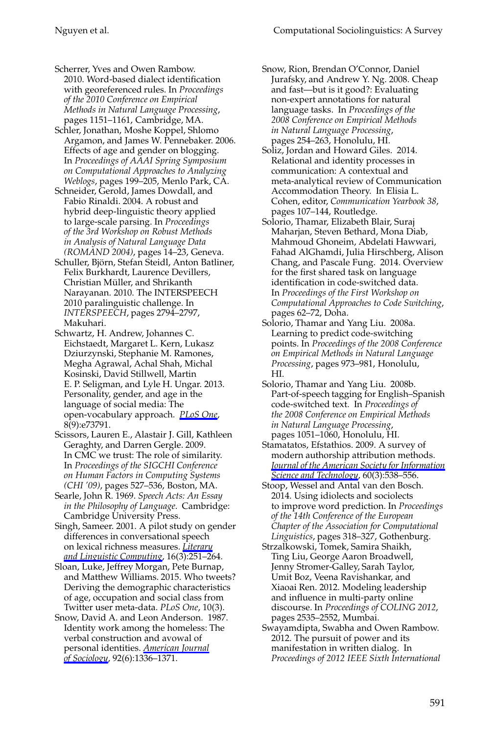Scherrer, Yves and Owen Rambow. 2010. Word-based dialect identification with georeferenced rules. In *Proceedings of the 2010 Conference on Empirical Methods in Natural Language Processing*, pages 1151–1161, Cambridge, MA.

- Schler, Jonathan, Moshe Koppel, Shlomo Argamon, and James W. Pennebaker. 2006. Effects of age and gender on blogging. In *Proceedings of AAAI Spring Symposium on Computational Approaches to Analyzing Weblogs*, pages 199–205, Menlo Park, CA.
- Schneider, Gerold, James Dowdall, and Fabio Rinaldi. 2004. A robust and hybrid deep-linguistic theory applied to large-scale parsing. In *Proceedings of the 3rd Workshop on Robust Methods in Analysis of Natural Language Data (ROMAND 2004)*, pages 14–23, Geneva.
- Schuller, Björn, Stefan Steidl, Anton Batliner, Felix Burkhardt, Laurence Devillers, Christian Müller, and Shrikanth Narayanan. 2010. The INTERSPEECH 2010 paralinguistic challenge. In *INTERSPEECH*, pages 2794–2797, Makuhari.
- Schwartz, H. Andrew, Johannes C. Eichstaedt, Margaret L. Kern, Lukasz Dziurzynski, Stephanie M. Ramones, Megha Agrawal, Achal Shah, Michal Kosinski, David Stillwell, Martin E. P. Seligman, and Lyle H. Ungar. 2013. Personality, gender, and age in the language of social media: The open-vocabulary approach. *[PLoS One](http://www.mitpressjournals.org/action/showLinks?crossref=10.1371%2Fjournal.pone.0073791)*, 8(9):e73791.
- Scissors, Lauren E., Alastair J. Gill, Kathleen Geraghty, and Darren Gergle. 2009. In CMC we trust: The role of similarity. In *Proceedings of the SIGCHI Conference on Human Factors in Computing Systems (CHI '09)*, pages 527–536, Boston, MA.
- Searle, John R. 1969. *Speech Acts: An Essay in the Philosophy of Language*. Cambridge: Cambridge University Press.
- Singh, Sameer. 2001. A pilot study on gender differences in conversational speech on lexical richness measures. *[Literary](http://www.mitpressjournals.org/action/showLinks?crossref=10.1093%2Fllc%2F16.3.251) [and Linguistic Computing](http://www.mitpressjournals.org/action/showLinks?crossref=10.1093%2Fllc%2F16.3.251)*, 16(3):251–264.
- Sloan, Luke, Jeffrey Morgan, Pete Burnap, and Matthew Williams. 2015. Who tweets? Deriving the demographic characteristics of age, occupation and social class from Twitter user meta-data. *PLoS One*, 10(3).
- Snow, David A. and Leon Anderson. 1987. Identity work among the homeless: The verbal construction and avowal of personal identities. *[American Journal](http://www.mitpressjournals.org/action/showLinks?crossref=10.1086%2F228668) [of Sociology](http://www.mitpressjournals.org/action/showLinks?crossref=10.1086%2F228668)*, 92(6):1336–1371.
- Snow, Rion, Brendan O'Connor, Daniel Jurafsky, and Andrew Y. Ng. 2008. Cheap and fast—but is it good?: Evaluating non-expert annotations for natural language tasks. In *Proceedings of the 2008 Conference on Empirical Methods in Natural Language Processing*, pages 254–263, Honolulu, HI.
- Soliz, Jordan and Howard Giles. 2014. Relational and identity processes in communication: A contextual and meta-analytical review of Communication Accommodation Theory. In Elisia L. Cohen, editor, *Communication Yearbook 38*, pages 107–144, Routledge.
- Solorio, Thamar, Elizabeth Blair, Suraj Maharjan, Steven Bethard, Mona Diab, Mahmoud Ghoneim, Abdelati Hawwari, Fahad AlGhamdi, Julia Hirschberg, Alison Chang, and Pascale Fung. 2014. Overview for the first shared task on language identification in code-switched data. In *Proceedings of the First Workshop on Computational Approaches to Code Switching*, pages 62–72, Doha.
- Solorio, Thamar and Yang Liu. 2008a. Learning to predict code-switching points. In *Proceedings of the 2008 Conference on Empirical Methods in Natural Language Processing*, pages 973–981, Honolulu, HI.
- Solorio, Thamar and Yang Liu. 2008b. Part-of-speech tagging for English–Spanish code-switched text. In *Proceedings of the 2008 Conference on Empirical Methods in Natural Language Processing*, pages 1051–1060, Honolulu, HI.
- Stamatatos, Efstathios. 2009. A survey of modern authorship attribution methods. *[Journal of the American Society for Information](http://www.mitpressjournals.org/action/showLinks?crossref=10.1002%2Fasi.21001) [Science and Technology](http://www.mitpressjournals.org/action/showLinks?crossref=10.1002%2Fasi.21001)*, 60(3):538–556.
- Stoop, Wessel and Antal van den Bosch. 2014. Using idiolects and sociolects to improve word prediction. In *Proceedings of the 14th Conference of the European Chapter of the Association for Computational Linguistics*, pages 318–327, Gothenburg.
- Strzalkowski, Tomek, Samira Shaikh, Ting Liu, George Aaron Broadwell, Jenny Stromer-Galley, Sarah Taylor, Umit Boz, Veena Ravishankar, and Xiaoai Ren. 2012. Modeling leadership and influence in multi-party online discourse. In *Proceedings of COLING 2012*, pages 2535–2552, Mumbai.
- Swayamdipta, Swabha and Owen Rambow. 2012. The pursuit of power and its manifestation in written dialog. In *Proceedings of 2012 IEEE Sixth International*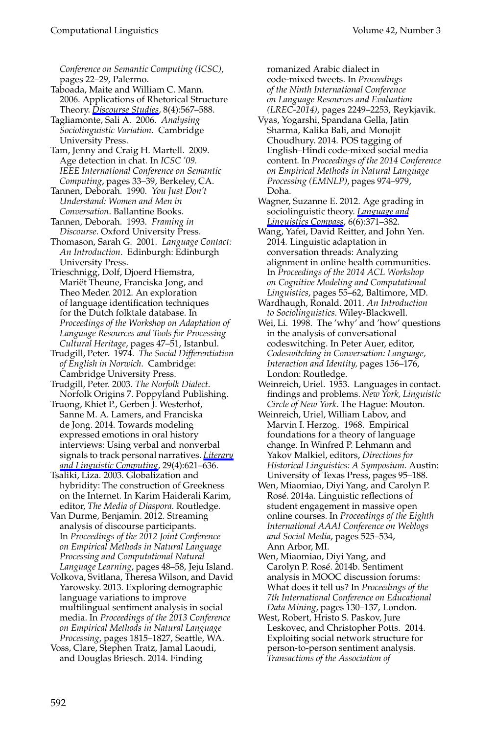*Conference on Semantic Computing (ICSC)*, pages 22–29, Palermo.

- Taboada, Maite and William C. Mann. 2006. Applications of Rhetorical Structure Theory. *[Discourse Studies](http://www.mitpressjournals.org/action/showLinks?crossref=10.1177%2F1461445606064836)*, 8(4):567–588.
- Tagliamonte, Sali A. 2006. *Analysing Sociolinguistic Variation*. Cambridge University Press.
- Tam, Jenny and Craig H. Martell. 2009. Age detection in chat. In *ICSC '09. IEEE International Conference on Semantic Computing*, pages 33–39, Berkeley, CA.
- Tannen, Deborah. 1990. *You Just Don't Understand: Women and Men in Conversation*. Ballantine Books.
- Tannen, Deborah. 1993. *Framing in Discourse*. Oxford University Press.
- Thomason, Sarah G. 2001. *Language Contact: An Introduction*. Edinburgh: Edinburgh University Press.
- Trieschnigg, Dolf, Djoerd Hiemstra, Mariët Theune, Franciska Jong, and Theo Meder. 2012. An exploration of language identification techniques for the Dutch folktale database. In *Proceedings of the Workshop on Adaptation of Language Resources and Tools for Processing Cultural Heritage*, pages 47–51, Istanbul.
- Trudgill, Peter. 1974. *The Social Differentiation of English in Norwich*. Cambridge: Cambridge University Press.
- Trudgill, Peter. 2003. *The Norfolk Dialect*. Norfolk Origins 7. Poppyland Publishing.
- Truong, Khiet P., Gerben J. Westerhof, Sanne M. A. Lamers, and Franciska de Jong. 2014. Towards modeling expressed emotions in oral history interviews: Using verbal and nonverbal signals to track personal narratives. *[Literary](http://www.mitpressjournals.org/action/showLinks?crossref=10.1093%2Fllc%2Ffqu041) [and Linguistic Computing](http://www.mitpressjournals.org/action/showLinks?crossref=10.1093%2Fllc%2Ffqu041)*, 29(4):621–636.
- Tsaliki, Liza. 2003. Globalization and hybridity: The construction of Greekness on the Internet. In Karim Haiderali Karim, editor, *The Media of Diaspora*. Routledge.
- Van Durme, Benjamin. 2012. Streaming analysis of discourse participants. In *Proceedings of the 2012 Joint Conference on Empirical Methods in Natural Language Processing and Computational Natural Language Learning*, pages 48–58, Jeju Island.
- Volkova, Svitlana, Theresa Wilson, and David Yarowsky. 2013. Exploring demographic language variations to improve multilingual sentiment analysis in social media. In *Proceedings of the 2013 Conference on Empirical Methods in Natural Language Processing*, pages 1815–1827, Seattle, WA.
- Voss, Clare, Stephen Tratz, Jamal Laoudi, and Douglas Briesch. 2014. Finding

romanized Arabic dialect in code-mixed tweets. In *Proceedings of the Ninth International Conference on Language Resources and Evaluation (LREC-2014)*, pages 2249–2253, Reykjavik.

- Vyas, Yogarshi, Spandana Gella, Jatin Sharma, Kalika Bali, and Monojit Choudhury. 2014. POS tagging of English–Hindi code-mixed social media content. In *Proceedings of the 2014 Conference on Empirical Methods in Natural Language Processing (EMNLP)*, pages 974–979, Doha.
- Wagner, Suzanne E. 2012. Age grading in sociolinguistic theory. *[Language and](http://www.mitpressjournals.org/action/showLinks?crossref=10.1002%2Flnc3.343) [Linguistics Compass](http://www.mitpressjournals.org/action/showLinks?crossref=10.1002%2Flnc3.343)*, 6(6):371–382.
- Wang, Yafei, David Reitter, and John Yen. 2014. Linguistic adaptation in conversation threads: Analyzing alignment in online health communities. In *Proceedings of the 2014 ACL Workshop on Cognitive Modeling and Computational Linguistics*, pages 55–62, Baltimore, MD.
- Wardhaugh, Ronald. 2011. *An Introduction to Sociolinguistics*. Wiley-Blackwell.
- Wei, Li. 1998. The 'why' and 'how' questions in the analysis of conversational codeswitching. In Peter Auer, editor, *Codeswitching in Conversation: Language, Interaction and Identity,* pages 156–176, London: Routledge.
- Weinreich, Uriel. 1953. Languages in contact. findings and problems. *New York, Linguistic Circle of New York*. The Hague: Mouton.
- Weinreich, Uriel, William Labov, and Marvin I. Herzog. 1968. Empirical foundations for a theory of language change. In Winfred P. Lehmann and Yakov Malkiel, editors, *Directions for Historical Linguistics: A Symposium*. Austin: University of Texas Press, pages 95–188.
- Wen, Miaomiao, Diyi Yang, and Carolyn P. Rosé. 2014a. Linguistic reflections of student engagement in massive open online courses. In *Proceedings of the Eighth International AAAI Conference on Weblogs and Social Media*, pages 525–534, Ann Arbor, MI.
- Wen, Miaomiao, Diyi Yang, and Carolyn P. Rosé. 2014b. Sentiment analysis in MOOC discussion forums: What does it tell us? In *Proceedings of the 7th International Conference on Educational Data Mining*, pages 130–137, London.
- West, Robert, Hristo S. Paskov, Jure Leskovec, and Christopher Potts. 2014. Exploiting social network structure for person-to-person sentiment analysis. *Transactions of the Association of*